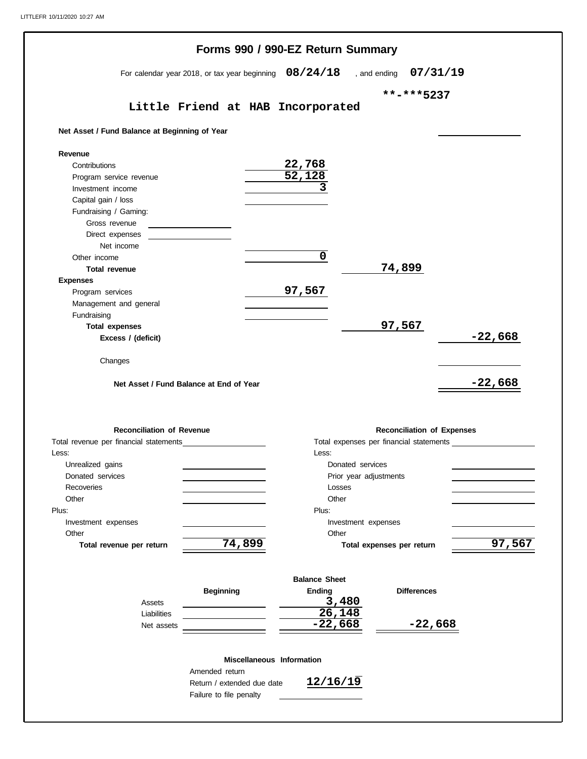|                                                                     |                                                          | Forms 990 / 990-EZ Return Summary |                           |                                   |                                                                |
|---------------------------------------------------------------------|----------------------------------------------------------|-----------------------------------|---------------------------|-----------------------------------|----------------------------------------------------------------|
|                                                                     | For calendar year 2018, or tax year beginning $08/24/18$ |                                   |                           | , and ending $07/31/19$           |                                                                |
|                                                                     |                                                          |                                   |                           | **-***5237                        |                                                                |
|                                                                     | Little Friend at HAB Incorporated                        |                                   |                           |                                   |                                                                |
| Net Asset / Fund Balance at Beginning of Year                       |                                                          |                                   |                           |                                   |                                                                |
| Revenue                                                             |                                                          |                                   |                           |                                   |                                                                |
| Contributions                                                       |                                                          | 22,768                            |                           |                                   |                                                                |
| Program service revenue                                             |                                                          | 52,128                            |                           |                                   |                                                                |
| Investment income                                                   |                                                          | 3                                 |                           |                                   |                                                                |
| Capital gain / loss                                                 |                                                          |                                   |                           |                                   |                                                                |
| Fundraising / Gaming:                                               |                                                          |                                   |                           |                                   |                                                                |
| Gross revenue                                                       |                                                          |                                   |                           |                                   |                                                                |
| Direct expenses                                                     |                                                          |                                   |                           |                                   |                                                                |
| Net income                                                          |                                                          |                                   |                           |                                   |                                                                |
| Other income                                                        |                                                          | $\mathbf 0$                       |                           |                                   |                                                                |
| <b>Total revenue</b>                                                |                                                          |                                   | 74,899                    |                                   |                                                                |
| <b>Expenses</b>                                                     |                                                          |                                   |                           |                                   |                                                                |
| Program services                                                    |                                                          | 97,567                            |                           |                                   |                                                                |
| Management and general                                              |                                                          |                                   |                           |                                   |                                                                |
| Fundraising                                                         |                                                          |                                   |                           |                                   |                                                                |
| <b>Total expenses</b>                                               |                                                          |                                   | 97,567                    |                                   |                                                                |
|                                                                     |                                                          |                                   |                           |                                   | $-22,668$                                                      |
| Excess / (deficit)<br>Changes                                       | Net Asset / Fund Balance at End of Year                  |                                   |                           |                                   | $-22,668$                                                      |
| <b>Reconciliation of Revenue</b>                                    |                                                          |                                   |                           |                                   |                                                                |
|                                                                     |                                                          |                                   |                           | <b>Reconciliation of Expenses</b> |                                                                |
|                                                                     |                                                          | Less:                             |                           |                                   |                                                                |
| Total revenue per financial statements<br>Less:<br>Unrealized gains |                                                          | Donated services                  |                           |                                   |                                                                |
| Donated services                                                    |                                                          |                                   | Prior year adjustments    |                                   |                                                                |
| <b>Recoveries</b>                                                   |                                                          | Losses                            |                           |                                   |                                                                |
| Other                                                               |                                                          | Other                             |                           |                                   |                                                                |
|                                                                     |                                                          | Plus:                             |                           |                                   |                                                                |
| Investment expenses                                                 |                                                          |                                   | Investment expenses       |                                   |                                                                |
| Other                                                               |                                                          | Other                             |                           |                                   |                                                                |
| Total revenue per return                                            | 74,899                                                   |                                   | Total expenses per return |                                   |                                                                |
|                                                                     |                                                          |                                   |                           |                                   |                                                                |
|                                                                     |                                                          | <b>Balance Sheet</b>              |                           |                                   |                                                                |
| Assets                                                              | <b>Beginning</b>                                         | Ending                            |                           | <b>Differences</b>                |                                                                |
| Plus:                                                               |                                                          | 3,480                             |                           |                                   |                                                                |
| Liabilities<br>Net assets                                           |                                                          | $\overline{26,148}$<br>$-22,668$  |                           | <u>–22,668</u>                    | Total expenses per financial statements<br>$\overline{97,567}$ |
|                                                                     | Miscellaneous Information<br>Amended return              | 12/16/19                          |                           |                                   |                                                                |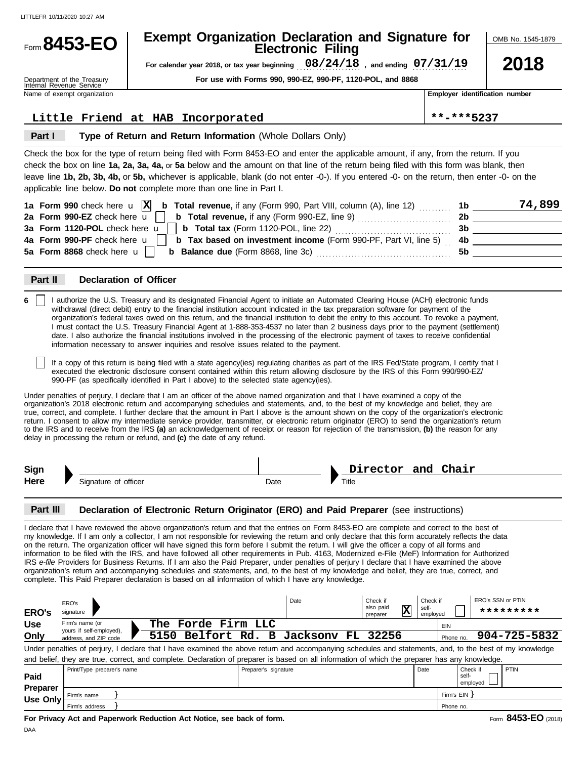#### **Electronic Filing Exempt Organization Declaration and Signature for 8453-EO**

OMB No. 1545-1879

Department of the Treasury<br>Internal Revenue Service

Name of exempt organization **Employer identification number Employer identification number** 

**, and ending**  . . . . . . . . . . . . . . . . . **For calendar year 2018, or tax year beginning** . . . . . . . . . . . . . . . . . . . . **08/24/18 07/31/19 For use with Forms 990, 990-EZ, 990-PF, 1120-POL, and 8868**

**2018**

#### **Little Friend at HAB Incorporated \*\*-\*\*\*5237**

#### **Part I Type of Return and Return Information** (Whole Dollars Only)

check the box on line **1a, 2a, 3a, 4a,** or **5a** below and the amount on that line of the return being filed with this form was blank, then leave line **1b, 2b, 3b, 4b,** or **5b,** whichever is applicable, blank (do not enter -0-). If you entered -0- on the return, then enter -0- on the applicable line below. **Do not** complete more than one line in Part I. Check the box for the type of return being filed with Form 8453-EO and enter the applicable amount, if any, from the return. If you

| 1a Form 990 check here $\mathbf{u} \times \mathbf{X}$ b Total revenue, if any (Form 990, Part VIII, column (A), line 12)  | 1 b | 74,899 |
|---------------------------------------------------------------------------------------------------------------------------|-----|--------|
| <b>b</b> Total revenue, if any (Form 990-EZ, line 9) $\ldots$ $\ldots$ $\ldots$<br>2a Form 990-EZ check here $\mathbf{u}$ |     |        |
| <b>b</b> Total tax (Form 1120-POL, line 22)<br>3a Form 1120-POL check here u                                              |     |        |
| 4a Form 990-PF check here $\mathbf{u}$  <br><b>b</b> Tax based on investment income (Form 990-PF, Part VI, line 5) 4b     |     |        |
| 5a Form 8868 check here $\mathbf{u}$    <br><b>b Balance due</b> (Form 8868, line 3c)                                     |     |        |
|                                                                                                                           |     |        |

#### **Part II Declaration of Officer**

**6** I authorize the U.S. Treasury and its designated Financial Agent to initiate an Automated Clearing House (ACH) electronic funds withdrawal (direct debit) entry to the financial institution account indicated in the tax preparation software for payment of the organization's federal taxes owed on this return, and the financial institution to debit the entry to this account. To revoke a payment, I must contact the U.S. Treasury Financial Agent at 1-888-353-4537 no later than 2 business days prior to the payment (settlement) date. I also authorize the financial institutions involved in the processing of the electronic payment of taxes to receive confidential information necessary to answer inquiries and resolve issues related to the payment.

If a copy of this return is being filed with a state agency(ies) regulating charities as part of the IRS Fed/State program, I certify that I executed the electronic disclosure consent contained within this return allowing disclosure by the IRS of this Form 990/990-EZ/ 990-PF (as specifically identified in Part I above) to the selected state agency(ies).

Under penalties of perjury, I declare that I am an officer of the above named organization and that I have examined a copy of the organization's 2018 electronic return and accompanying schedules and statements, and, to the best of my knowledge and belief, they are true, correct, and complete. I further declare that the amount in Part I above is the amount shown on the copy of the organization's electronic return. I consent to allow my intermediate service provider, transmitter, or electronic return originator (ERO) to send the organization's return to the IRS and to receive from the IRS **(a)** an acknowledgement of receipt or reason for rejection of the transmission, **(b)** the reason for any delay in processing the return or refund, and **(c)** the date of any refund.

| Sign |                      |      | Chair<br>Director and |
|------|----------------------|------|-----------------------|
| Here | Signature of officer | Date | Title                 |

#### **Part III Declaration of Electronic Return Originator (ERO) and Paid Preparer** (see instructions)

I declare that I have reviewed the above organization's return and that the entries on Form 8453-EO are complete and correct to the best of my knowledge. If I am only a collector, I am not responsible for reviewing the return and only declare that this form accurately reflects the data on the return. The organization officer will have signed this form before I submit the return. I will give the officer a copy of all forms and information to be filed with the IRS, and have followed all other requirements in Pub. 4163, Modernized e-File (MeF) Information for Authorized IRS *e-file* Providers for Business Returns. If I am also the Paid Preparer, under penalties of perjury I declare that I have examined the above organization's return and accompanying schedules and statements, and, to the best of my knowledge and belief, they are true, correct, and complete. This Paid Preparer declaration is based on all information of which I have any knowledge.

| <b>ERO's</b>                                                                                                                                            | ERO's<br>signature                                                                                                                         |  |      |                |  |  |  | Date                            |  | Check if<br>also paid<br>preparer | $\overline{\textbf{x}}$ | Check if<br>self-<br>employed |           | ERO's SSN or PTIN<br>********* |
|---------------------------------------------------------------------------------------------------------------------------------------------------------|--------------------------------------------------------------------------------------------------------------------------------------------|--|------|----------------|--|--|--|---------------------------------|--|-----------------------------------|-------------------------|-------------------------------|-----------|--------------------------------|
| <b>Use</b>                                                                                                                                              | Firm's name (or                                                                                                                            |  | The  | Forde Firm LLC |  |  |  |                                 |  |                                   |                         |                               | EIN       |                                |
| Only                                                                                                                                                    | yours if self-employed),<br>address, and ZIP code                                                                                          |  | 5150 |                |  |  |  | Belfort Rd. B Jacksony FL 32256 |  |                                   |                         |                               | Phone no. | 904-725-5832                   |
| Under penalties of perjury, I declare that I have examined the above return and accompanying schedules and statements, and, to the best of my knowledge |                                                                                                                                            |  |      |                |  |  |  |                                 |  |                                   |                         |                               |           |                                |
|                                                                                                                                                         | and belief they are true correct and complete. Declaration of preparer is based on all information of which the preparer bas any knowledge |  |      |                |  |  |  |                                 |  |                                   |                         |                               |           |                                |

| and policit they are tract correct, and complete. Docidiation or proparer to bacca on all linemater or minor the proparer nac any hiromotique |                            |                      |           |                                         |  |  |  |  |  |  |
|-----------------------------------------------------------------------------------------------------------------------------------------------|----------------------------|----------------------|-----------|-----------------------------------------|--|--|--|--|--|--|
| Paid                                                                                                                                          | Print/Type preparer's name | Preparer's signature | Date      | Check if<br>PTIN<br>l self-<br>employed |  |  |  |  |  |  |
| Preparer<br><b>Use Only</b>                                                                                                                   | Firm's name                |                      |           | Firm's EIN                              |  |  |  |  |  |  |
|                                                                                                                                               | Firm's address             |                      | Phone no. |                                         |  |  |  |  |  |  |
|                                                                                                                                               |                            |                      |           |                                         |  |  |  |  |  |  |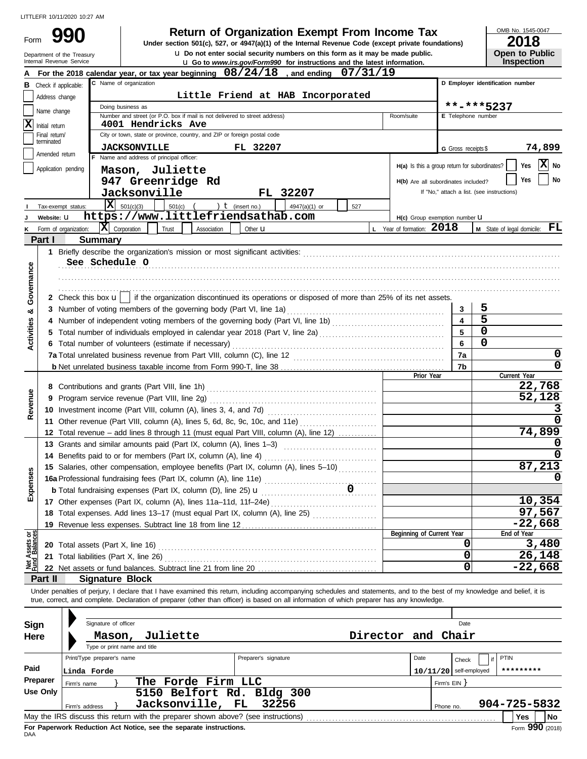Department of the Treasury<br>Internal Boyonya Service

Form

**u** Do not enter social security numbers on this form as it may be made public. **990 1990 2018 Depending Solution Solution Solution Script Script Script Script Script Prom Income Tax 1947(a)(1)** of the Internal Revenue Code (except private foundations)

OMB No. 1545-0047

| ---                   |  |
|-----------------------|--|
| <b>Open to Public</b> |  |
|                       |  |
| <b>Inspection</b>     |  |

|                                |                | Internal Revenue Service               |                                                                                                                                                                            |                                   |                      | <b>u</b> Go to www.irs.gov/Form990 for instructions and the latest information. |          |  |                                                 |                                            |                     |                                            | <b>Inspection</b>                               |           |  |
|--------------------------------|----------------|----------------------------------------|----------------------------------------------------------------------------------------------------------------------------------------------------------------------------|-----------------------------------|----------------------|---------------------------------------------------------------------------------|----------|--|-------------------------------------------------|--------------------------------------------|---------------------|--------------------------------------------|-------------------------------------------------|-----------|--|
|                                |                |                                        | For the 2018 calendar year, or tax year beginning 08/24/18                                                                                                                 |                                   |                      | , and ending                                                                    | 07/31/19 |  |                                                 |                                            |                     |                                            |                                                 |           |  |
|                                |                | <b>B</b> Check if applicable:          | C Name of organization                                                                                                                                                     |                                   |                      |                                                                                 |          |  |                                                 |                                            |                     |                                            | D Employer identification number                |           |  |
|                                | Address change |                                        |                                                                                                                                                                            | Little Friend at HAB Incorporated |                      |                                                                                 |          |  |                                                 |                                            |                     |                                            |                                                 |           |  |
|                                |                |                                        | Doing business as                                                                                                                                                          |                                   |                      |                                                                                 |          |  |                                                 |                                            |                     | **-***5237                                 |                                                 |           |  |
|                                | Name change    |                                        | Number and street (or P.O. box if mail is not delivered to street address)                                                                                                 |                                   |                      |                                                                                 |          |  | Room/suite                                      |                                            |                     | E Telephone number                         |                                                 |           |  |
| X                              | Initial return |                                        | 4001 Hendricks Ave                                                                                                                                                         |                                   |                      |                                                                                 |          |  |                                                 |                                            |                     |                                            |                                                 |           |  |
|                                | Final return/  |                                        | City or town, state or province, country, and ZIP or foreign postal code                                                                                                   |                                   |                      |                                                                                 |          |  |                                                 |                                            |                     |                                            |                                                 |           |  |
|                                | terminated     |                                        | <b>JACKSONVILLE</b>                                                                                                                                                        |                                   | FL 32207             |                                                                                 |          |  |                                                 |                                            | G Gross receipts \$ |                                            |                                                 | 74,899    |  |
|                                | Amended return |                                        | F Name and address of principal officer:                                                                                                                                   |                                   |                      |                                                                                 |          |  |                                                 |                                            |                     |                                            |                                                 |           |  |
|                                |                | Application pending                    | Mason, Juliette                                                                                                                                                            |                                   |                      |                                                                                 |          |  | $H(a)$ Is this a group return for subordinates? |                                            |                     |                                            | Yes                                             | X No      |  |
|                                |                |                                        | 947 Greenridge Rd                                                                                                                                                          |                                   |                      |                                                                                 |          |  |                                                 | Yes<br>H(b) Are all subordinates included? |                     |                                            |                                                 |           |  |
|                                |                |                                        | Jacksonville                                                                                                                                                               |                                   |                      | FL 32207                                                                        |          |  |                                                 |                                            |                     | If "No," attach a list. (see instructions) |                                                 |           |  |
|                                |                |                                        |                                                                                                                                                                            |                                   |                      |                                                                                 |          |  |                                                 |                                            |                     |                                            |                                                 |           |  |
|                                |                | Tax-exempt status:                     | $X = 501(c)(3)$<br>https://www.littlefriendsathab.com                                                                                                                      | 501(c)<br>$($ ) $t$ (insert no.)  |                      | 4947(a)(1) or                                                                   | 527      |  |                                                 |                                            |                     |                                            |                                                 |           |  |
| J                              | Website: U     |                                        | H(c) Group exemption number U                                                                                                                                              |                                   |                      |                                                                                 |          |  |                                                 |                                            |                     |                                            |                                                 |           |  |
| κ                              |                | Form of organization:                  | $\mathbf{X}$ Corporation<br>Trust                                                                                                                                          | Association                       | Other <sub>u</sub>   |                                                                                 |          |  | L Year of formation: 2018                       |                                            |                     |                                            | <b>M</b> State of legal domicile: $\mathbf{FL}$ |           |  |
|                                | Part I         | <b>Summary</b>                         |                                                                                                                                                                            |                                   |                      |                                                                                 |          |  |                                                 |                                            |                     |                                            |                                                 |           |  |
|                                |                |                                        |                                                                                                                                                                            |                                   |                      |                                                                                 |          |  |                                                 |                                            |                     |                                            |                                                 |           |  |
|                                |                | See Schedule O                         |                                                                                                                                                                            |                                   |                      |                                                                                 |          |  |                                                 |                                            |                     |                                            |                                                 |           |  |
| Governance                     |                |                                        |                                                                                                                                                                            |                                   |                      |                                                                                 |          |  |                                                 |                                            |                     |                                            |                                                 |           |  |
|                                |                |                                        |                                                                                                                                                                            |                                   |                      |                                                                                 |          |  |                                                 |                                            |                     |                                            |                                                 |           |  |
|                                |                |                                        | 2 Check this box $\mathbf{u}$ if the organization discontinued its operations or disposed of more than 25% of its net assets.                                              |                                   |                      |                                                                                 |          |  |                                                 |                                            |                     |                                            |                                                 |           |  |
|                                |                |                                        |                                                                                                                                                                            |                                   |                      |                                                                                 |          |  |                                                 |                                            | 3                   | 5                                          |                                                 |           |  |
| න්                             |                |                                        |                                                                                                                                                                            |                                   |                      |                                                                                 |          |  |                                                 |                                            |                     | 5                                          |                                                 |           |  |
| Activities                     |                |                                        |                                                                                                                                                                            |                                   |                      |                                                                                 |          |  |                                                 |                                            |                     |                                            |                                                 |           |  |
|                                |                |                                        |                                                                                                                                                                            |                                   |                      |                                                                                 |          |  |                                                 |                                            |                     | 0                                          |                                                 |           |  |
|                                |                |                                        | 6 Total number of volunteers (estimate if necessary)                                                                                                                       |                                   |                      |                                                                                 |          |  |                                                 |                                            | 6                   | 0                                          |                                                 |           |  |
|                                |                |                                        |                                                                                                                                                                            |                                   |                      |                                                                                 |          |  |                                                 |                                            | 7a                  |                                            |                                                 | 0         |  |
|                                |                |                                        |                                                                                                                                                                            |                                   |                      |                                                                                 |          |  |                                                 |                                            | 7b                  |                                            |                                                 | 0         |  |
|                                |                |                                        |                                                                                                                                                                            |                                   |                      |                                                                                 |          |  | Prior Year                                      |                                            |                     |                                            | Current Year                                    |           |  |
|                                |                |                                        |                                                                                                                                                                            |                                   |                      |                                                                                 |          |  |                                                 |                                            |                     |                                            |                                                 | 22,768    |  |
| Revenue                        |                |                                        | 9 Program service revenue (Part VIII, line 2g)                                                                                                                             |                                   |                      |                                                                                 |          |  |                                                 |                                            |                     |                                            |                                                 | 52,128    |  |
|                                |                |                                        |                                                                                                                                                                            |                                   |                      |                                                                                 |          |  |                                                 |                                            |                     |                                            |                                                 | 3         |  |
|                                |                |                                        | 11 Other revenue (Part VIII, column (A), lines 5, 6d, 8c, 9c, 10c, and 11e)                                                                                                |                                   |                      |                                                                                 |          |  |                                                 |                                            |                     |                                            |                                                 | 0         |  |
|                                |                |                                        | 12 Total revenue – add lines 8 through 11 (must equal Part VIII, column (A), line 12)                                                                                      |                                   |                      |                                                                                 |          |  |                                                 |                                            |                     |                                            |                                                 | 74,899    |  |
|                                |                |                                        | 13 Grants and similar amounts paid (Part IX, column (A), lines 1-3)                                                                                                        |                                   |                      |                                                                                 |          |  |                                                 |                                            |                     |                                            |                                                 |           |  |
|                                |                |                                        | 14 Benefits paid to or for members (Part IX, column (A), line 4)                                                                                                           |                                   |                      |                                                                                 |          |  |                                                 |                                            |                     |                                            |                                                 | 0         |  |
|                                |                |                                        | 15 Salaries, other compensation, employee benefits (Part IX, column (A), lines 5-10)                                                                                       |                                   |                      |                                                                                 |          |  |                                                 |                                            |                     |                                            |                                                 | 87,213    |  |
|                                |                |                                        |                                                                                                                                                                            |                                   |                      |                                                                                 |          |  |                                                 |                                            |                     |                                            |                                                 | 0         |  |
| enses                          |                |                                        |                                                                                                                                                                            |                                   |                      |                                                                                 |          |  |                                                 |                                            |                     |                                            |                                                 |           |  |
| Еxр                            |                |                                        | <b>b</b> Total fundraising expenses (Part IX, column (D), line 25) <b>u</b>                                                                                                |                                   |                      |                                                                                 |          |  |                                                 |                                            |                     |                                            |                                                 |           |  |
|                                |                |                                        | 17 Other expenses (Part IX, column (A), lines 11a-11d, 11f-24e)                                                                                                            |                                   |                      |                                                                                 |          |  |                                                 |                                            |                     |                                            |                                                 | 10,354    |  |
|                                |                |                                        | 18 Total expenses. Add lines 13-17 (must equal Part IX, column (A), line 25)                                                                                               |                                   |                      |                                                                                 |          |  |                                                 |                                            |                     |                                            |                                                 | 97,567    |  |
|                                |                |                                        | 19 Revenue less expenses. Subtract line 18 from line 12                                                                                                                    |                                   |                      |                                                                                 |          |  |                                                 |                                            |                     |                                            |                                                 | $-22,668$ |  |
| Net Assets or<br>Fund Balances |                |                                        |                                                                                                                                                                            |                                   |                      |                                                                                 |          |  | Beginning of Current Year                       |                                            |                     |                                            | End of Year                                     |           |  |
|                                |                | 20 Total assets (Part X, line 16)      |                                                                                                                                                                            |                                   |                      |                                                                                 |          |  |                                                 |                                            | 0                   |                                            |                                                 | 3,480     |  |
|                                |                | 21 Total liabilities (Part X, line 26) |                                                                                                                                                                            |                                   |                      |                                                                                 |          |  |                                                 |                                            | 0                   |                                            |                                                 | 26,148    |  |
|                                |                |                                        |                                                                                                                                                                            |                                   |                      |                                                                                 |          |  |                                                 |                                            | 0                   |                                            |                                                 | $-22,668$ |  |
|                                | Part II        | <b>Signature Block</b>                 |                                                                                                                                                                            |                                   |                      |                                                                                 |          |  |                                                 |                                            |                     |                                            |                                                 |           |  |
|                                |                |                                        | Under penalties of perjury, I declare that I have examined this return, including accompanying schedules and statements, and to the best of my knowledge and belief, it is |                                   |                      |                                                                                 |          |  |                                                 |                                            |                     |                                            |                                                 |           |  |
|                                |                |                                        | true, correct, and complete. Declaration of preparer (other than officer) is based on all information of which preparer has any knowledge.                                 |                                   |                      |                                                                                 |          |  |                                                 |                                            |                     |                                            |                                                 |           |  |
|                                |                |                                        |                                                                                                                                                                            |                                   |                      |                                                                                 |          |  |                                                 |                                            |                     |                                            |                                                 |           |  |
| Sign                           |                | Signature of officer                   |                                                                                                                                                                            |                                   |                      |                                                                                 |          |  |                                                 |                                            | Date                |                                            |                                                 |           |  |
|                                |                |                                        | Juliette                                                                                                                                                                   |                                   |                      |                                                                                 |          |  | Director and Chair                              |                                            |                     |                                            |                                                 |           |  |
| Here                           |                | Mason,                                 |                                                                                                                                                                            |                                   |                      |                                                                                 |          |  |                                                 |                                            |                     |                                            |                                                 |           |  |
|                                |                |                                        | Type or print name and title                                                                                                                                               |                                   |                      |                                                                                 |          |  |                                                 |                                            |                     |                                            |                                                 |           |  |
|                                |                | Print/Type preparer's name             |                                                                                                                                                                            |                                   | Preparer's signature |                                                                                 |          |  | Date                                            |                                            | Check               |                                            | PTIN                                            |           |  |
| Paid                           |                | Linda Forde                            |                                                                                                                                                                            |                                   |                      |                                                                                 |          |  |                                                 | $10/11/20$ self-employed                   |                     |                                            | *********                                       |           |  |
|                                | Preparer       | Firm's name                            |                                                                                                                                                                            | The Forde Firm LLC                |                      |                                                                                 |          |  |                                                 | Firm's $EIN$ }                             |                     |                                            |                                                 |           |  |
|                                | Use Only       |                                        |                                                                                                                                                                            | 5150 Belfort Rd.                  |                      | <b>Bldg 300</b>                                                                 |          |  |                                                 |                                            |                     |                                            |                                                 |           |  |
|                                |                | Firm's address                         |                                                                                                                                                                            | Jacksonville, FL                  |                      | 32256                                                                           |          |  |                                                 | Phone no.                                  |                     |                                            | 904-725-5832                                    |           |  |
|                                |                |                                        | May the IRS discuss this return with the preparer shown above? (see instructions)                                                                                          |                                   |                      |                                                                                 |          |  |                                                 |                                            |                     |                                            | <b>Yes</b>                                      | No        |  |

| Sign<br>Here |                            | Signature of officer<br>Mason, | Juliette                                                                          |                           | Director and Chair |      |            | Date                     |              |           |
|--------------|----------------------------|--------------------------------|-----------------------------------------------------------------------------------|---------------------------|--------------------|------|------------|--------------------------|--------------|-----------|
|              |                            | Type or print name and title   |                                                                                   |                           |                    |      |            |                          |              |           |
|              | Print/Type preparer's name |                                |                                                                                   | Preparer's signature      |                    | Date |            | Check                    | PTIN         |           |
| Paid         | Linda Forde                |                                |                                                                                   |                           |                    |      |            | $10/11/20$ self-employed | *********    |           |
| Preparer     | Firm's name                |                                | The Forde Firm LLC                                                                |                           |                    |      | Firm's EIN |                          |              |           |
| Use Only     |                            |                                |                                                                                   | 5150 Belfort Rd. Bldg 300 |                    |      |            |                          |              |           |
|              | Firm's address             |                                | Jacksonville, FL 32256                                                            |                           |                    |      | Phone no.  |                          | 904-725-5832 |           |
|              |                            |                                | May the IRS discuss this return with the preparer shown above? (see instructions) |                           |                    |      |            |                          | <b>Yes</b>   | <b>No</b> |
|              |                            |                                | Fax Bananceal: Badrietten, Aat Nation, and the accessor instrumetors.             |                           |                    |      |            |                          |              | nnn.      |

**For**<br>DAA **For Paperwork Reduction Act Notice, see the separate instructions.**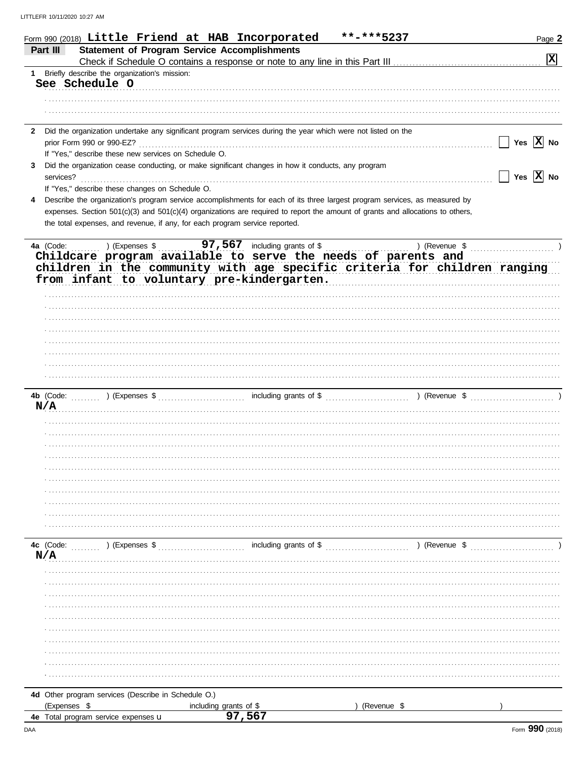|                | Form 990 (2018) Little Friend at HAB Incorporated                                                                                                          |                        | **-***5237  |               | Page 2                             |
|----------------|------------------------------------------------------------------------------------------------------------------------------------------------------------|------------------------|-------------|---------------|------------------------------------|
| Part III       | <b>Statement of Program Service Accomplishments</b>                                                                                                        |                        |             |               | $\boxed{\mathbf{x}}$               |
|                | 1 Briefly describe the organization's mission:                                                                                                             |                        |             |               |                                    |
| See Schedule O |                                                                                                                                                            |                        |             |               |                                    |
|                |                                                                                                                                                            |                        |             |               |                                    |
|                |                                                                                                                                                            |                        |             |               |                                    |
|                |                                                                                                                                                            |                        |             |               |                                    |
| $\mathbf{2}$   | Did the organization undertake any significant program services during the year which were not listed on the                                               |                        |             |               |                                    |
|                |                                                                                                                                                            |                        |             |               | $\Box$ Yes $\boxed{\mathbf{X}}$ No |
| 3              | If "Yes," describe these new services on Schedule O.<br>Did the organization cease conducting, or make significant changes in how it conducts, any program |                        |             |               |                                    |
| services?      |                                                                                                                                                            |                        |             |               | $\Box$ Yes $\boxed{\mathbf{X}}$ No |
|                | If "Yes," describe these changes on Schedule O.                                                                                                            |                        |             |               |                                    |
|                | Describe the organization's program service accomplishments for each of its three largest program services, as measured by                                 |                        |             |               |                                    |
|                | expenses. Section 501(c)(3) and 501(c)(4) organizations are required to report the amount of grants and allocations to others,                             |                        |             |               |                                    |
|                | the total expenses, and revenue, if any, for each program service reported.                                                                                |                        |             |               |                                    |
|                |                                                                                                                                                            |                        |             |               |                                    |
|                |                                                                                                                                                            |                        |             |               |                                    |
|                | Childcare program available to serve the needs of parents and                                                                                              |                        |             |               |                                    |
|                | children in the community with age specific criteria for children ranging<br>from infant to voluntary pre-kindergarten.                                    |                        |             |               |                                    |
|                |                                                                                                                                                            |                        |             |               |                                    |
|                |                                                                                                                                                            |                        |             |               |                                    |
|                |                                                                                                                                                            |                        |             |               |                                    |
|                |                                                                                                                                                            |                        |             |               |                                    |
|                |                                                                                                                                                            |                        |             |               |                                    |
|                |                                                                                                                                                            |                        |             |               |                                    |
|                |                                                                                                                                                            |                        |             |               |                                    |
|                |                                                                                                                                                            |                        |             |               |                                    |
|                |                                                                                                                                                            |                        |             |               |                                    |
| N/A            |                                                                                                                                                            |                        |             |               |                                    |
|                |                                                                                                                                                            |                        |             |               |                                    |
|                |                                                                                                                                                            |                        |             |               |                                    |
|                |                                                                                                                                                            |                        |             |               |                                    |
|                |                                                                                                                                                            |                        |             |               |                                    |
|                |                                                                                                                                                            |                        |             |               |                                    |
|                |                                                                                                                                                            |                        |             |               |                                    |
|                |                                                                                                                                                            |                        |             |               |                                    |
|                |                                                                                                                                                            |                        |             |               |                                    |
|                |                                                                                                                                                            |                        |             |               |                                    |
|                |                                                                                                                                                            |                        |             |               |                                    |
| 4c (Code:      | $(1, 1, 1, 1, 1, 1)$ (Expenses \$                                                                                                                          | including grants of \$ |             | ) (Revenue \$ |                                    |
| N/A            |                                                                                                                                                            |                        |             |               |                                    |
|                |                                                                                                                                                            |                        |             |               |                                    |
|                |                                                                                                                                                            |                        |             |               |                                    |
|                |                                                                                                                                                            |                        |             |               |                                    |
|                |                                                                                                                                                            |                        |             |               |                                    |
|                |                                                                                                                                                            |                        |             |               |                                    |
|                |                                                                                                                                                            |                        |             |               |                                    |
|                |                                                                                                                                                            |                        |             |               |                                    |
|                |                                                                                                                                                            |                        |             |               |                                    |
|                |                                                                                                                                                            |                        |             |               |                                    |
|                |                                                                                                                                                            |                        |             |               |                                    |
|                | 4d Other program services (Describe in Schedule O.)                                                                                                        |                        |             |               |                                    |
| (Expenses \$   |                                                                                                                                                            | including grants of \$ | (Revenue \$ |               |                                    |
|                | 4e Total program service expenses u                                                                                                                        | 97,567                 |             |               |                                    |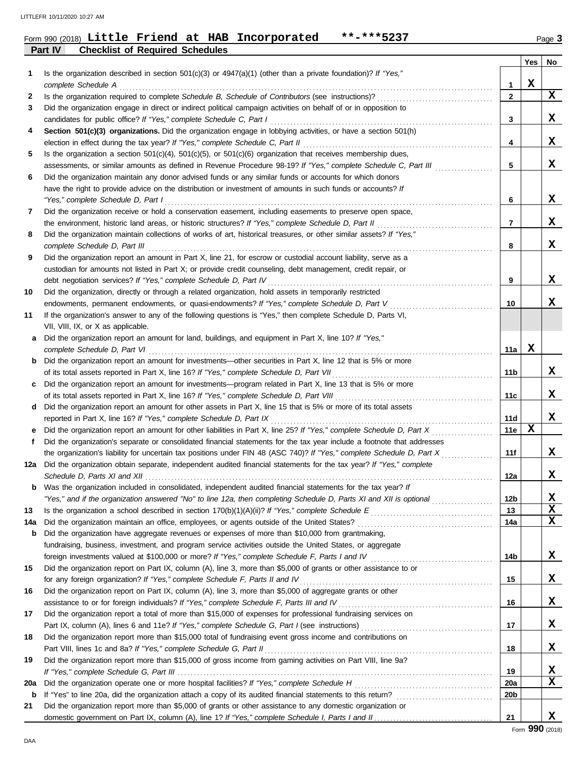### **Part IV Checklist of Required Schedules** Form 990 (2018) Page **3 Little Friend at HAB Incorporated \*\*-\*\*\*5237**

|     | noonnot or noquirou conouur                                                                                                                          |                 |          |             |
|-----|------------------------------------------------------------------------------------------------------------------------------------------------------|-----------------|----------|-------------|
| 1   | Is the organization described in section $501(c)(3)$ or $4947(a)(1)$ (other than a private foundation)? If "Yes,"<br>complete Schedule A             | 1               | Yes<br>X | No          |
| 2   | Is the organization required to complete Schedule B, Schedule of Contributors (see instructions)?                                                    | $\mathbf{2}$    |          | X           |
| 3   | Did the organization engage in direct or indirect political campaign activities on behalf of or in opposition to                                     |                 |          |             |
|     | candidates for public office? If "Yes," complete Schedule C, Part I                                                                                  | 3               |          | X           |
| 4   | Section 501(c)(3) organizations. Did the organization engage in lobbying activities, or have a section 501(h)                                        |                 |          |             |
|     | election in effect during the tax year? If "Yes," complete Schedule C, Part II                                                                       | 4               |          | X           |
| 5   | Is the organization a section $501(c)(4)$ , $501(c)(5)$ , or $501(c)(6)$ organization that receives membership dues,                                 |                 |          |             |
|     | assessments, or similar amounts as defined in Revenue Procedure 98-19? If "Yes," complete Schedule C, Part III                                       | 5               |          | x           |
| 6   | Did the organization maintain any donor advised funds or any similar funds or accounts for which donors                                              |                 |          |             |
|     | have the right to provide advice on the distribution or investment of amounts in such funds or accounts? If                                          |                 |          |             |
|     | "Yes," complete Schedule D, Part I                                                                                                                   | 6               |          | x           |
| 7   | Did the organization receive or hold a conservation easement, including easements to preserve open space,                                            |                 |          |             |
|     | the environment, historic land areas, or historic structures? If "Yes," complete Schedule D, Part II                                                 | 7               |          | x           |
| 8   | Did the organization maintain collections of works of art, historical treasures, or other similar assets? If "Yes,"<br>complete Schedule D, Part III | 8               |          | x           |
| 9   | Did the organization report an amount in Part X, line 21, for escrow or custodial account liability, serve as a                                      |                 |          |             |
|     | custodian for amounts not listed in Part X; or provide credit counseling, debt management, credit repair, or                                         |                 |          |             |
|     | debt negotiation services? If "Yes," complete Schedule D, Part IV                                                                                    | 9               |          | x           |
| 10  | Did the organization, directly or through a related organization, hold assets in temporarily restricted                                              |                 |          |             |
|     | endowments, permanent endowments, or quasi-endowments? If "Yes," complete Schedule D, Part V                                                         | 10              |          | x           |
| 11  | If the organization's answer to any of the following questions is "Yes," then complete Schedule D, Parts VI,                                         |                 |          |             |
|     | VII, VIII, IX, or X as applicable.                                                                                                                   |                 |          |             |
| a   | Did the organization report an amount for land, buildings, and equipment in Part X, line 10? If "Yes,"<br>complete Schedule D, Part VI               | 11a             | х        |             |
| b   | Did the organization report an amount for investments—other securities in Part X, line 12 that is 5% or more                                         |                 |          |             |
|     | of its total assets reported in Part X, line 16? If "Yes," complete Schedule D, Part VII                                                             | 11b             |          | x           |
| c   | Did the organization report an amount for investments—program related in Part X, line 13 that is 5% or more                                          |                 |          |             |
|     | of its total assets reported in Part X, line 16? If "Yes," complete Schedule D, Part VIII                                                            | 11c             |          | x           |
| d   | Did the organization report an amount for other assets in Part X, line 15 that is 5% or more of its total assets                                     |                 |          |             |
|     | reported in Part X, line 16? If "Yes," complete Schedule D, Part IX                                                                                  | 11d             |          | x           |
| е   | Did the organization report an amount for other liabilities in Part X, line 25? If "Yes," complete Schedule D, Part X                                | 11e             | X        |             |
| f   | Did the organization's separate or consolidated financial statements for the tax year include a footnote that addresses                              |                 |          |             |
|     | the organization's liability for uncertain tax positions under FIN 48 (ASC 740)? If "Yes," complete Schedule D, Part X                               | 11f             |          | x           |
| 12a | Did the organization obtain separate, independent audited financial statements for the tax year? If "Yes," complete                                  | 12a             |          | X           |
| b   | Was the organization included in consolidated, independent audited financial statements for the tax year? If                                         |                 |          |             |
|     | "Yes," and if the organization answered "No" to line 12a, then completing Schedule D, Parts XI and XII is optional                                   | 12 <sub>b</sub> |          | X           |
| 13  |                                                                                                                                                      | 13              |          | $\mathbf x$ |
| 14a | Did the organization maintain an office, employees, or agents outside of the United States?                                                          | 14a             |          | X           |
| b   | Did the organization have aggregate revenues or expenses of more than \$10,000 from grantmaking,                                                     |                 |          |             |
|     | fundraising, business, investment, and program service activities outside the United States, or aggregate                                            |                 |          |             |
|     | foreign investments valued at \$100,000 or more? If "Yes," complete Schedule F, Parts I and IV [[[[[[[[[[[[[[[                                       | 14b             |          | X           |
| 15  | Did the organization report on Part IX, column (A), line 3, more than \$5,000 of grants or other assistance to or                                    |                 |          |             |
|     | for any foreign organization? If "Yes," complete Schedule F, Parts II and IV                                                                         | 15              |          | X           |
| 16  | Did the organization report on Part IX, column (A), line 3, more than \$5,000 of aggregate grants or other                                           |                 |          |             |
|     | assistance to or for foreign individuals? If "Yes," complete Schedule F, Parts III and IV                                                            | 16              |          | X           |
| 17  | Did the organization report a total of more than \$15,000 of expenses for professional fundraising services on                                       |                 |          | X           |
| 18  | Did the organization report more than \$15,000 total of fundraising event gross income and contributions on                                          | 17              |          |             |
|     | Part VIII, lines 1c and 8a? If "Yes," complete Schedule G, Part II                                                                                   | 18              |          | X           |
| 19  | Did the organization report more than \$15,000 of gross income from gaming activities on Part VIII, line 9a?                                         |                 |          |             |
|     |                                                                                                                                                      | 19              |          | X           |
| 20a | Did the organization operate one or more hospital facilities? If "Yes," complete Schedule H                                                          | <b>20a</b>      |          | $\mathbf x$ |
| b   |                                                                                                                                                      | 20b             |          |             |
| 21  | Did the organization report more than \$5,000 of grants or other assistance to any domestic organization or                                          |                 |          |             |
|     |                                                                                                                                                      | 21              |          | x           |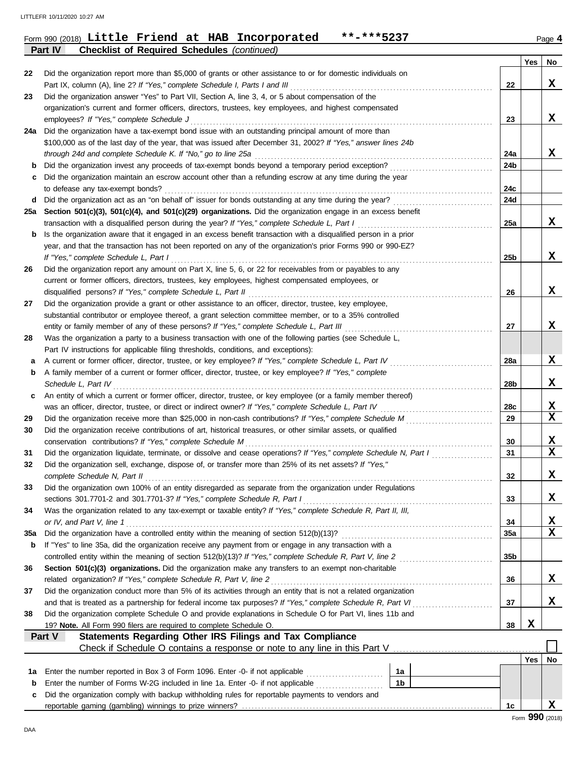|  | Form 990 (2018) Little Friend at HAB Incorporated          |  |  | **-***5237 | Page 4 |
|--|------------------------------------------------------------|--|--|------------|--------|
|  | <b>Part IV</b> Checklist of Required Schedules (continued) |  |  |            |        |

|     |                                                                                                                                                            |            | Yes | No |
|-----|------------------------------------------------------------------------------------------------------------------------------------------------------------|------------|-----|----|
| 22  | Did the organization report more than \$5,000 of grants or other assistance to or for domestic individuals on                                              |            |     |    |
|     | Part IX, column (A), line 2? If "Yes," complete Schedule I, Parts I and III                                                                                | 22         |     | x  |
| 23  | Did the organization answer "Yes" to Part VII, Section A, line 3, 4, or 5 about compensation of the                                                        |            |     |    |
|     | organization's current and former officers, directors, trustees, key employees, and highest compensated<br>employees? If "Yes," complete Schedule J        | 23         |     | x  |
| 24a | Did the organization have a tax-exempt bond issue with an outstanding principal amount of more than                                                        |            |     |    |
|     | \$100,000 as of the last day of the year, that was issued after December 31, 2002? If "Yes," answer lines 24b                                              |            |     |    |
|     | through 24d and complete Schedule K. If "No," go to line 25a                                                                                               | 24a        |     | x  |
| b   | Did the organization invest any proceeds of tax-exempt bonds beyond a temporary period exception?                                                          | 24b        |     |    |
| c   | Did the organization maintain an escrow account other than a refunding escrow at any time during the year                                                  |            |     |    |
|     | to defease any tax-exempt bonds?                                                                                                                           | 24c        |     |    |
| d   | Did the organization act as an "on behalf of" issuer for bonds outstanding at any time during the year?                                                    | 24d        |     |    |
| 25a | Section 501(c)(3), 501(c)(4), and 501(c)(29) organizations. Did the organization engage in an excess benefit                                               |            |     |    |
|     | transaction with a disqualified person during the year? If "Yes," complete Schedule L, Part I                                                              | 25a        |     | x  |
| b   | Is the organization aware that it engaged in an excess benefit transaction with a disqualified person in a prior                                           |            |     |    |
|     | year, and that the transaction has not been reported on any of the organization's prior Forms 990 or 990-EZ?                                               |            |     |    |
|     | If "Yes," complete Schedule L, Part I                                                                                                                      | 25b        |     | X  |
| 26  | Did the organization report any amount on Part X, line 5, 6, or 22 for receivables from or payables to any                                                 |            |     |    |
|     | current or former officers, directors, trustees, key employees, highest compensated employees, or                                                          |            |     |    |
|     | disqualified persons? If "Yes," complete Schedule L, Part II                                                                                               | 26         |     | x  |
| 27  | Did the organization provide a grant or other assistance to an officer, director, trustee, key employee,                                                   |            |     |    |
|     | substantial contributor or employee thereof, a grant selection committee member, or to a 35% controlled                                                    |            |     |    |
|     | entity or family member of any of these persons? If "Yes," complete Schedule L, Part III                                                                   | 27         |     | x  |
| 28  | Was the organization a party to a business transaction with one of the following parties (see Schedule L,                                                  |            |     |    |
|     | Part IV instructions for applicable filing thresholds, conditions, and exceptions):                                                                        |            |     |    |
|     | A current or former officer, director, trustee, or key employee? If "Yes," complete Schedule L, Part IV                                                    | 28a        |     | X  |
| b   | A family member of a current or former officer, director, trustee, or key employee? If "Yes," complete                                                     |            |     |    |
|     | Schedule L, Part IV                                                                                                                                        | 28b        |     | X  |
| c   | An entity of which a current or former officer, director, trustee, or key employee (or a family member thereof)                                            |            |     |    |
|     | was an officer, director, trustee, or direct or indirect owner? If "Yes," complete Schedule L, Part IV                                                     | 28c        |     | X  |
| 29  | Did the organization receive more than \$25,000 in non-cash contributions? If "Yes," complete Schedule M                                                   | 29         |     | X  |
| 30  | Did the organization receive contributions of art, historical treasures, or other similar assets, or qualified                                             |            |     |    |
|     | conservation contributions? If "Yes," complete Schedule M                                                                                                  | 30         |     | X  |
| 31  | Did the organization liquidate, terminate, or dissolve and cease operations? If "Yes," complete Schedule N, Part I                                         | 31         |     | X  |
| 32  | Did the organization sell, exchange, dispose of, or transfer more than 25% of its net assets? If "Yes,"                                                    |            |     |    |
|     | complete Schedule N, Part II                                                                                                                               | 32         |     | X  |
| 33  | Did the organization own 100% of an entity disregarded as separate from the organization under Regulations                                                 |            |     |    |
|     | sections 301.7701-2 and 301.7701-3? If "Yes," complete Schedule R, Part I                                                                                  | 33         |     | x  |
| 34  | Was the organization related to any tax-exempt or taxable entity? If "Yes," complete Schedule R, Part II, III,<br>or IV, and Part V, line 1                | 34         |     | X  |
| 35a |                                                                                                                                                            | <b>35a</b> |     | X  |
| b   | If "Yes" to line 35a, did the organization receive any payment from or engage in any transaction with a                                                    |            |     |    |
|     | controlled entity within the meaning of section 512(b)(13)? If "Yes," complete Schedule R, Part V, line 2                                                  | 35b        |     |    |
| 36  | Section 501(c)(3) organizations. Did the organization make any transfers to an exempt non-charitable                                                       |            |     |    |
|     | related organization? If "Yes," complete Schedule R, Part V, line 2                                                                                        | 36         |     | x  |
| 37  | Did the organization conduct more than 5% of its activities through an entity that is not a related organization                                           |            |     |    |
|     | and that is treated as a partnership for federal income tax purposes? If "Yes," complete Schedule R, Part VI                                               | 37         |     | x  |
| 38  | Did the organization complete Schedule O and provide explanations in Schedule O for Part VI, lines 11b and                                                 |            |     |    |
|     | 19? Note. All Form 990 filers are required to complete Schedule O.                                                                                         | 38         | X   |    |
|     | <b>Statements Regarding Other IRS Filings and Tax Compliance</b><br>Part V                                                                                 |            |     |    |
|     | Check if Schedule O contains a response or note to any line in this Part V [11] Check if Schedule O contains a response or note to any line in this Part V |            |     |    |
|     |                                                                                                                                                            |            | Yes | No |
| 1a  | Enter the number reported in Box 3 of Form 1096. Enter -0- if not applicable<br>1а                                                                         |            |     |    |
| b   | 1 <sub>b</sub><br>Enter the number of Forms W-2G included in line 1a. Enter -0- if not applicable <i>minimum</i>                                           |            |     |    |
| c   | Did the organization comply with backup withholding rules for reportable payments to vendors and                                                           |            |     |    |
|     |                                                                                                                                                            | 1c         |     | x  |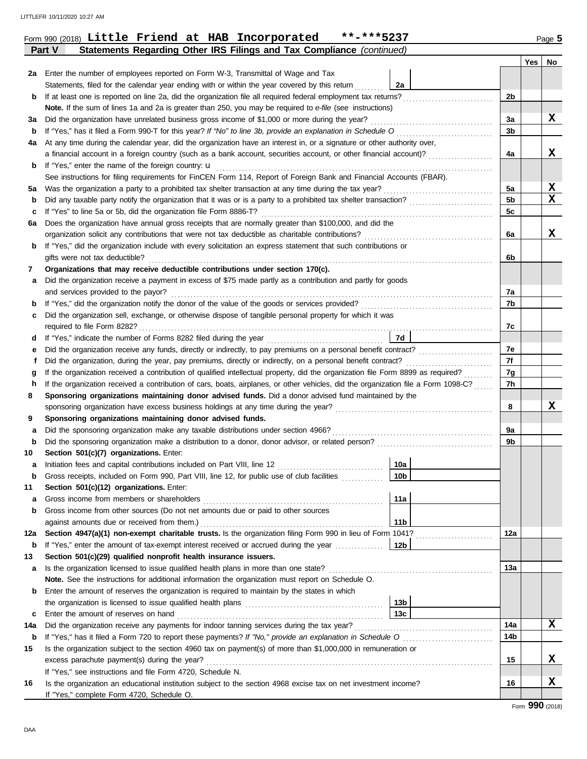|        |                                                                                                                                                 |                 |                | Yes | No              |
|--------|-------------------------------------------------------------------------------------------------------------------------------------------------|-----------------|----------------|-----|-----------------|
|        | 2a Enter the number of employees reported on Form W-3, Transmittal of Wage and Tax                                                              |                 |                |     |                 |
|        | Statements, filed for the calendar year ending with or within the year covered by this return                                                   | 2a              |                |     |                 |
| b      |                                                                                                                                                 |                 | 2b             |     |                 |
|        | Note. If the sum of lines 1a and 2a is greater than 250, you may be required to e-file (see instructions)                                       |                 |                |     |                 |
| За     | Did the organization have unrelated business gross income of \$1,000 or more during the year?                                                   |                 | 3a             |     | x               |
| b      |                                                                                                                                                 |                 | 3 <sub>b</sub> |     |                 |
| 4a     | At any time during the calendar year, did the organization have an interest in, or a signature or other authority over,                         |                 |                |     |                 |
|        | a financial account in a foreign country (such as a bank account, securities account, or other financial account)?                              |                 | 4a             |     | х               |
| b      | If "Yes," enter the name of the foreign country: <b>u</b>                                                                                       |                 |                |     |                 |
|        | See instructions for filing requirements for FinCEN Form 114, Report of Foreign Bank and Financial Accounts (FBAR).                             |                 |                |     |                 |
| 5a     |                                                                                                                                                 |                 | 5a             |     | x               |
| b      |                                                                                                                                                 |                 | 5 <sub>b</sub> |     | $\mathbf x$     |
| c      | If "Yes" to line 5a or 5b, did the organization file Form 8886-T?                                                                               |                 | 5c             |     |                 |
| 6а     | Does the organization have annual gross receipts that are normally greater than \$100,000, and did the                                          |                 |                |     |                 |
|        |                                                                                                                                                 |                 | 6a             |     | X               |
| b      | If "Yes," did the organization include with every solicitation an express statement that such contributions or                                  |                 |                |     |                 |
|        | gifts were not tax deductible?                                                                                                                  |                 | 6b             |     |                 |
| 7      | Organizations that may receive deductible contributions under section 170(c).                                                                   |                 |                |     |                 |
| а      | Did the organization receive a payment in excess of \$75 made partly as a contribution and partly for goods                                     |                 |                |     |                 |
|        | and services provided to the payor?                                                                                                             |                 | 7a             |     |                 |
| b      |                                                                                                                                                 |                 | 7b             |     |                 |
| с      | Did the organization sell, exchange, or otherwise dispose of tangible personal property for which it was                                        |                 |                |     |                 |
|        |                                                                                                                                                 |                 | 7c             |     |                 |
| d      |                                                                                                                                                 | 7d              |                |     |                 |
| е      |                                                                                                                                                 |                 | 7e             |     |                 |
| f      |                                                                                                                                                 |                 | 7f             |     |                 |
| g      |                                                                                                                                                 |                 | 7g             |     |                 |
| h      | If the organization received a contribution of cars, boats, airplanes, or other vehicles, did the organization file a Form 1098-C?              |                 | 7h             |     |                 |
| 8      | Sponsoring organizations maintaining donor advised funds. Did a donor advised fund maintained by the                                            |                 | 8              |     | х               |
| 9      |                                                                                                                                                 |                 |                |     |                 |
|        | Sponsoring organizations maintaining donor advised funds.<br>Did the sponsoring organization make any taxable distributions under section 4966? |                 | 9a             |     |                 |
| а<br>b |                                                                                                                                                 |                 | 9b             |     |                 |
| 10     | Section 501(c)(7) organizations. Enter:                                                                                                         |                 |                |     |                 |
| а      | Initiation fees and capital contributions included on Part VIII, line 12 [11][11][11][11][11][11][11][11][11][                                  | 10a             |                |     |                 |
| b      | Gross receipts, included on Form 990, Part VIII, line 12, for public use of club facilities                                                     | 10 <sub>b</sub> |                |     |                 |
| 11     | Section 501(c)(12) organizations. Enter:                                                                                                        |                 |                |     |                 |
| a      | Gross income from members or shareholders                                                                                                       | 11a             |                |     |                 |
| b      | Gross income from other sources (Do not net amounts due or paid to other sources                                                                |                 |                |     |                 |
|        | against amounts due or received from them.)                                                                                                     | 11 <sub>b</sub> |                |     |                 |
| 12a    | Section 4947(a)(1) non-exempt charitable trusts. Is the organization filing Form 990 in lieu of Form 1041?                                      |                 | 12a            |     |                 |
| b      | If "Yes," enter the amount of tax-exempt interest received or accrued during the year                                                           | 12b             |                |     |                 |
| 13     | Section 501(c)(29) qualified nonprofit health insurance issuers.                                                                                |                 |                |     |                 |
| a      |                                                                                                                                                 |                 | 13а            |     |                 |
|        | Note. See the instructions for additional information the organization must report on Schedule O.                                               |                 |                |     |                 |
| b      | Enter the amount of reserves the organization is required to maintain by the states in which                                                    |                 |                |     |                 |
|        |                                                                                                                                                 | 13 <sub>b</sub> |                |     |                 |
| c      | Enter the amount of reserves on hand                                                                                                            | 13c             |                |     |                 |
| 14a    |                                                                                                                                                 |                 | 14a            |     | X               |
| b      |                                                                                                                                                 |                 | 14b            |     |                 |
| 15     | Is the organization subject to the section 4960 tax on payment(s) of more than \$1,000,000 in remuneration or                                   |                 |                |     |                 |
|        | excess parachute payment(s) during the year?                                                                                                    |                 | 15             |     | х               |
|        | If "Yes," see instructions and file Form 4720, Schedule N.                                                                                      |                 |                |     |                 |
| 16     | Is the organization an educational institution subject to the section 4968 excise tax on net investment income?                                 |                 | 16             |     | X               |
|        | If "Yes," complete Form 4720, Schedule O.                                                                                                       |                 |                |     |                 |
|        |                                                                                                                                                 |                 |                |     | Form 990 (2018) |

**Part V Statements Regarding Other IRS Filings and Tax Compliance** *(continued)*

## Form 990 (2018) Page **5 Little Friend at HAB Incorporated \*\*-\*\*\*5237**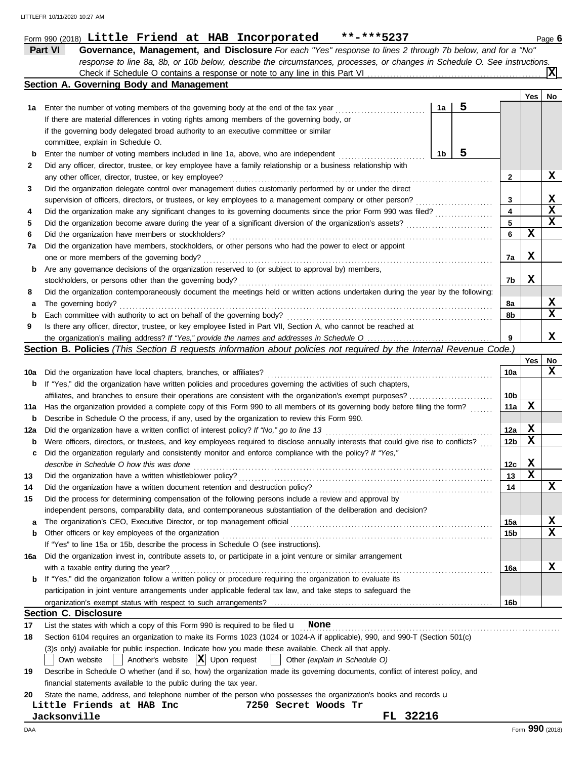|     | Part VI<br>Governance, Management, and Disclosure For each "Yes" response to lines 2 through 7b below, and for a "No"               |                 |                              |                  |
|-----|-------------------------------------------------------------------------------------------------------------------------------------|-----------------|------------------------------|------------------|
|     | response to line 8a, 8b, or 10b below, describe the circumstances, processes, or changes in Schedule O. See instructions.           |                 |                              |                  |
|     |                                                                                                                                     |                 |                              | X                |
|     | Section A. Governing Body and Management                                                                                            |                 |                              |                  |
|     | 5                                                                                                                                   |                 | Yes                          | No               |
| 1a  | Enter the number of voting members of the governing body at the end of the tax year<br>1a                                           |                 |                              |                  |
|     | If there are material differences in voting rights among members of the governing body, or                                          |                 |                              |                  |
|     | if the governing body delegated broad authority to an executive committee or similar                                                |                 |                              |                  |
|     | committee, explain in Schedule O.<br>5                                                                                              |                 |                              |                  |
| b   | 1b<br>Enter the number of voting members included in line 1a, above, who are independent                                            |                 |                              |                  |
| 2   | Did any officer, director, trustee, or key employee have a family relationship or a business relationship with                      |                 |                              | X                |
|     | any other officer, director, trustee, or key employee?                                                                              | 2               |                              |                  |
| 3   | Did the organization delegate control over management duties customarily performed by or under the direct                           |                 |                              |                  |
|     | supervision of officers, directors, or trustees, or key employees to a management company or other person?                          | 3               |                              | х<br>$\mathbf x$ |
| 4   | Did the organization make any significant changes to its governing documents since the prior Form 990 was filed?                    | 4               |                              | X                |
| 5   | Did the organization become aware during the year of a significant diversion of the organization's assets?                          | 5               |                              |                  |
| 6   | Did the organization have members or stockholders?                                                                                  | 6               | х                            |                  |
| 7a  | Did the organization have members, stockholders, or other persons who had the power to elect or appoint                             |                 |                              |                  |
|     | one or more members of the governing body?                                                                                          | 7a              | X                            |                  |
| b   | Are any governance decisions of the organization reserved to (or subject to approval by) members,                                   |                 |                              |                  |
|     | stockholders, or persons other than the governing body?                                                                             | 7b              | х                            |                  |
| 8   | Did the organization contemporaneously document the meetings held or written actions undertaken during the year by the following:   |                 |                              |                  |
| а   | The governing body?                                                                                                                 | 8a              |                              | x<br>$\mathbf x$ |
| b   | Each committee with authority to act on behalf of the governing body?                                                               | 8b              |                              |                  |
| 9   | Is there any officer, director, trustee, or key employee listed in Part VII, Section A, who cannot be reached at                    |                 |                              |                  |
|     |                                                                                                                                     | 9               |                              | x                |
|     | Section B. Policies (This Section B requests information about policies not required by the Internal Revenue Code.)                 |                 |                              |                  |
|     |                                                                                                                                     |                 | Yes                          | No<br>х          |
| 10a | Did the organization have local chapters, branches, or affiliates?                                                                  | 10a             |                              |                  |
| b   | If "Yes," did the organization have written policies and procedures governing the activities of such chapters,                      |                 |                              |                  |
|     | affiliates, and branches to ensure their operations are consistent with the organization's exempt purposes?                         | 10b             |                              |                  |
| 11a | Has the organization provided a complete copy of this Form 990 to all members of its governing body before filing the form?         | 11a             | х                            |                  |
| b   | Describe in Schedule O the process, if any, used by the organization to review this Form 990.                                       |                 |                              |                  |
| 12a | Did the organization have a written conflict of interest policy? If "No," go to line 13                                             | 12a             | X                            |                  |
| b   | Were officers, directors, or trustees, and key employees required to disclose annually interests that could give rise to conflicts? | 12 <sub>b</sub> | х                            |                  |
| c   | Did the organization regularly and consistently monitor and enforce compliance with the policy? If "Yes,"                           |                 |                              |                  |
|     | describe in Schedule O how this was done                                                                                            | 12с             | x<br>$\overline{\mathbf{x}}$ |                  |
| 13  | Did the organization have a written whistleblower policy?                                                                           | 13              |                              |                  |
| 14  | Did the organization have a written document retention and destruction policy?                                                      | 14              |                              | x                |
| 15  | Did the process for determining compensation of the following persons include a review and approval by                              |                 |                              |                  |
|     | independent persons, comparability data, and contemporaneous substantiation of the deliberation and decision?                       |                 |                              |                  |
| а   |                                                                                                                                     | 15a             |                              | X<br>x           |
| b   | Other officers or key employees of the organization                                                                                 | 15b             |                              |                  |
|     | If "Yes" to line 15a or 15b, describe the process in Schedule O (see instructions).                                                 |                 |                              |                  |
| 16а | Did the organization invest in, contribute assets to, or participate in a joint venture or similar arrangement                      |                 |                              |                  |
|     | with a taxable entity during the year?                                                                                              | 16a             |                              | x                |
| b   | If "Yes," did the organization follow a written policy or procedure requiring the organization to evaluate its                      |                 |                              |                  |
|     | participation in joint venture arrangements under applicable federal tax law, and take steps to safeguard the                       |                 |                              |                  |
|     |                                                                                                                                     | 16b             |                              |                  |
|     | <b>Section C. Disclosure</b>                                                                                                        |                 |                              |                  |
| 17  | List the states with which a copy of this Form 990 is required to be filed $\mathbf u$ None                                         |                 |                              |                  |
| 18  | Section 6104 requires an organization to make its Forms 1023 (1024 or 1024-A if applicable), 990, and 990-T (Section 501(c)         |                 |                              |                  |
|     | (3)s only) available for public inspection. Indicate how you made these available. Check all that apply.                            |                 |                              |                  |
|     | $\vert$ Another's website $\vert X \vert$ Upon request<br>Other (explain in Schedule O)<br>Own website<br>$\mathbf{I}$              |                 |                              |                  |
| 19  | Describe in Schedule O whether (and if so, how) the organization made its governing documents, conflict of interest policy, and     |                 |                              |                  |
|     | financial statements available to the public during the tax year.                                                                   |                 |                              |                  |
| 20  | State the name, address, and telephone number of the person who possesses the organization's books and records u                    |                 |                              |                  |
|     | Little Friends at HAB Inc<br>7250 Secret Woods Tr                                                                                   |                 |                              |                  |
|     | FL 32216<br>Jacksonville                                                                                                            |                 |                              |                  |

Form 990 (2018) Little Friend at HAB Incorporated \*\*-\*\*\*5237 Page 6

**Little Friend at HAB Incorporated \*\*-\*\*\*5237**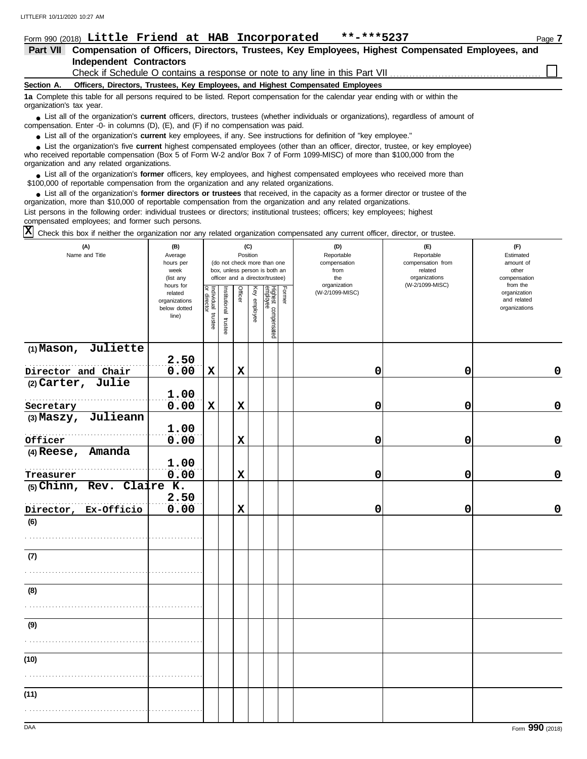| $***$ -***5237<br>Form 990 (2018) Little Friend at HAB Incorporated                                                                                                                                                                 | Page 7 |  |  |  |  |  |  |  |  |
|-------------------------------------------------------------------------------------------------------------------------------------------------------------------------------------------------------------------------------------|--------|--|--|--|--|--|--|--|--|
| Compensation of Officers, Directors, Trustees, Key Employees, Highest Compensated Employees, and<br>Part VII                                                                                                                        |        |  |  |  |  |  |  |  |  |
| <b>Independent Contractors</b>                                                                                                                                                                                                      |        |  |  |  |  |  |  |  |  |
|                                                                                                                                                                                                                                     |        |  |  |  |  |  |  |  |  |
| Officers, Directors, Trustees, Key Employees, and Highest Compensated Employees<br>Section A.                                                                                                                                       |        |  |  |  |  |  |  |  |  |
| 1a Complete this table for all persons required to be listed. Report compensation for the calendar year ending with or within the<br>organization's tax year.                                                                       |        |  |  |  |  |  |  |  |  |
| • List all of the organization's current officers, directors, trustees (whether individuals or organizations), regardless of amount of<br>compensation. Enter -0- in columns $(D)$ , $(E)$ , and $(F)$ if no compensation was paid. |        |  |  |  |  |  |  |  |  |
| • List all of the organization's current key employees, if any. See instructions for definition of "key employee."                                                                                                                  |        |  |  |  |  |  |  |  |  |
| • List the organization's five current highest compensated employees (other than an officer, director, trustee, or key employee)                                                                                                    |        |  |  |  |  |  |  |  |  |

who received reportable compensation (Box 5 of Form W-2 and/or Box 7 of Form 1099-MISC) of more than \$100,000 from the organization and any related organizations. **•**

■ List all of the organization's **former** officers, key employees, and highest compensated employees who received more than<br> **•** 00,000 of reportable compensation from the ergonization and any related ergonizations \$100,000 of reportable compensation from the organization and any related organizations.

List all of the organization's **former directors or trustees** that received, in the capacity as a former director or trustee of the ● List all of the organization's former directors or trustees that received, in the capacity as a former director organization, more than \$10,000 of reportable compensation from the organization and any related organizati List persons in the following order: individual trustees or directors; institutional trustees; officers; key employees; highest

compensated employees; and former such persons.

 $\overline{X}$  Check this box if neither the organization nor any related organization compensated any current officer, director, or trustee.

| (A)<br>Name and Title     | (B)<br>Average<br>hours per<br>week<br>(list any<br>hours for | (C)<br>Position<br>(do not check more than one<br>box, unless person is both an<br>officer and a director/trustee) |                       |             |              |                                 |        | (D)<br>Reportable<br>compensation<br>from<br>the<br>organization | (E)<br>Reportable<br>compensation from<br>related<br>organizations<br>(W-2/1099-MISC) | (F)<br>Estimated<br>amount of<br>other<br>compensation<br>from the |  |
|---------------------------|---------------------------------------------------------------|--------------------------------------------------------------------------------------------------------------------|-----------------------|-------------|--------------|---------------------------------|--------|------------------------------------------------------------------|---------------------------------------------------------------------------------------|--------------------------------------------------------------------|--|
|                           | related<br>organizations<br>below dotted<br>line)             | Individual<br>or director<br>trustee                                                                               | Institutional trustee | Officer     | Key employee | Highest compensated<br>employee | Former | (W-2/1099-MISC)                                                  |                                                                                       | organization<br>and related<br>organizations                       |  |
| (1) Mason, Juliette       | 2.50                                                          |                                                                                                                    |                       |             |              |                                 |        |                                                                  |                                                                                       |                                                                    |  |
| Director and Chair        | 0.00                                                          | $\mathbf x$                                                                                                        |                       | $\mathbf x$ |              |                                 |        | 0                                                                | $\mathbf 0$                                                                           | 0                                                                  |  |
| (2) Carter, Julie         | 1.00                                                          |                                                                                                                    |                       |             |              |                                 |        |                                                                  |                                                                                       |                                                                    |  |
| Secretary                 | 0.00                                                          | $\mathbf x$                                                                                                        |                       | $\mathbf x$ |              |                                 |        | 0                                                                | 0                                                                                     | $\pmb{0}$                                                          |  |
| (3) Maszy, Julieann       |                                                               |                                                                                                                    |                       |             |              |                                 |        |                                                                  |                                                                                       |                                                                    |  |
| Officer                   | 1.00<br>0.00                                                  |                                                                                                                    |                       | $\mathbf x$ |              |                                 |        | 0                                                                | $\mathbf 0$                                                                           | $\mathbf 0$                                                        |  |
| Amanda<br>$(4)$ Reese,    |                                                               |                                                                                                                    |                       |             |              |                                 |        |                                                                  |                                                                                       |                                                                    |  |
| .                         | 1.00                                                          |                                                                                                                    |                       |             |              |                                 |        |                                                                  |                                                                                       |                                                                    |  |
| Treasurer                 | 0.00                                                          |                                                                                                                    |                       | $\mathbf x$ |              |                                 |        | 0                                                                | $\mathbf 0$                                                                           | $\mathbf 0$                                                        |  |
| (5) Chinn, Rev. Claire K. | 2.50                                                          |                                                                                                                    |                       |             |              |                                 |        |                                                                  |                                                                                       |                                                                    |  |
| Director, Ex-Officio      | 0.00                                                          |                                                                                                                    |                       | $\mathbf x$ |              |                                 |        | 0                                                                | $\mathbf 0$                                                                           | $\pmb{0}$                                                          |  |
| (6)                       |                                                               |                                                                                                                    |                       |             |              |                                 |        |                                                                  |                                                                                       |                                                                    |  |
|                           |                                                               |                                                                                                                    |                       |             |              |                                 |        |                                                                  |                                                                                       |                                                                    |  |
| (7)                       |                                                               |                                                                                                                    |                       |             |              |                                 |        |                                                                  |                                                                                       |                                                                    |  |
|                           |                                                               |                                                                                                                    |                       |             |              |                                 |        |                                                                  |                                                                                       |                                                                    |  |
| (8)                       |                                                               |                                                                                                                    |                       |             |              |                                 |        |                                                                  |                                                                                       |                                                                    |  |
|                           |                                                               |                                                                                                                    |                       |             |              |                                 |        |                                                                  |                                                                                       |                                                                    |  |
| (9)                       |                                                               |                                                                                                                    |                       |             |              |                                 |        |                                                                  |                                                                                       |                                                                    |  |
|                           |                                                               |                                                                                                                    |                       |             |              |                                 |        |                                                                  |                                                                                       |                                                                    |  |
| (10)                      |                                                               |                                                                                                                    |                       |             |              |                                 |        |                                                                  |                                                                                       |                                                                    |  |
|                           |                                                               |                                                                                                                    |                       |             |              |                                 |        |                                                                  |                                                                                       |                                                                    |  |
| (11)                      |                                                               |                                                                                                                    |                       |             |              |                                 |        |                                                                  |                                                                                       |                                                                    |  |
|                           |                                                               |                                                                                                                    |                       |             |              |                                 |        |                                                                  |                                                                                       |                                                                    |  |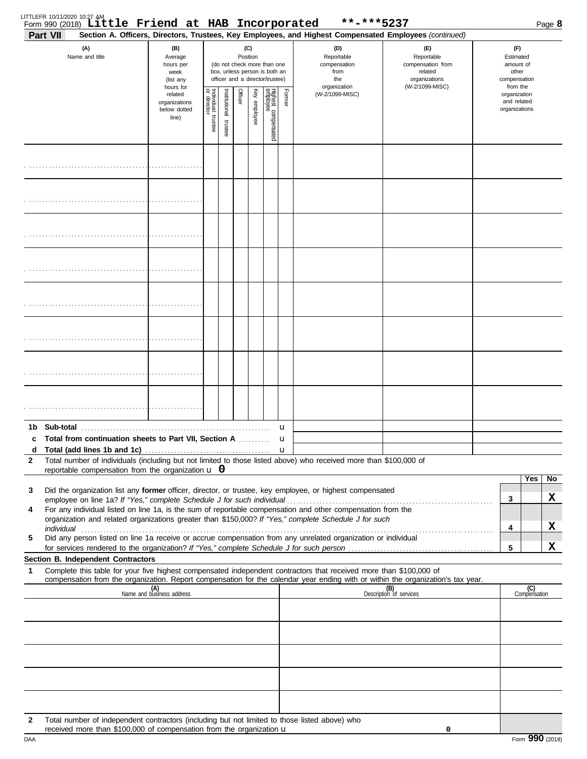| <b>Part VII</b><br>Section A. Officers, Directors, Trustees, Key Employees, and Highest Compensated Employees (continued)                                                                                                                                   |                                                               |                                                                                                                    |                       |         |              |                                 |                                                                  |                 |                                                                                       |        |                                                                    |         |
|-------------------------------------------------------------------------------------------------------------------------------------------------------------------------------------------------------------------------------------------------------------|---------------------------------------------------------------|--------------------------------------------------------------------------------------------------------------------|-----------------------|---------|--------------|---------------------------------|------------------------------------------------------------------|-----------------|---------------------------------------------------------------------------------------|--------|--------------------------------------------------------------------|---------|
| (A)<br>Name and title                                                                                                                                                                                                                                       | (B)<br>Average<br>hours per<br>week<br>(list any<br>hours for | (C)<br>Position<br>(do not check more than one<br>box, unless person is both an<br>officer and a director/trustee) |                       |         |              |                                 | (D)<br>Reportable<br>compensation<br>from<br>the<br>organization |                 | (E)<br>Reportable<br>compensation from<br>related<br>organizations<br>(W-2/1099-MISC) |        | (F)<br>Estimated<br>amount of<br>other<br>compensation<br>from the |         |
|                                                                                                                                                                                                                                                             | related<br>organizations<br>below dotted<br>line)             | Individual trustee<br>or director                                                                                  | Institutional trustee | Officer | Key employee | Highest compensated<br>employee | Former                                                           | (W-2/1099-MISC) |                                                                                       |        | organization<br>and related<br>organizations                       |         |
|                                                                                                                                                                                                                                                             |                                                               |                                                                                                                    |                       |         |              |                                 |                                                                  |                 |                                                                                       |        |                                                                    |         |
|                                                                                                                                                                                                                                                             |                                                               |                                                                                                                    |                       |         |              |                                 |                                                                  |                 |                                                                                       |        |                                                                    |         |
|                                                                                                                                                                                                                                                             |                                                               |                                                                                                                    |                       |         |              |                                 |                                                                  |                 |                                                                                       |        |                                                                    |         |
|                                                                                                                                                                                                                                                             |                                                               |                                                                                                                    |                       |         |              |                                 |                                                                  |                 |                                                                                       |        |                                                                    |         |
|                                                                                                                                                                                                                                                             |                                                               |                                                                                                                    |                       |         |              |                                 |                                                                  |                 |                                                                                       |        |                                                                    |         |
|                                                                                                                                                                                                                                                             |                                                               |                                                                                                                    |                       |         |              |                                 |                                                                  |                 |                                                                                       |        |                                                                    |         |
|                                                                                                                                                                                                                                                             |                                                               |                                                                                                                    |                       |         |              |                                 |                                                                  |                 |                                                                                       |        |                                                                    |         |
|                                                                                                                                                                                                                                                             |                                                               |                                                                                                                    |                       |         |              |                                 |                                                                  |                 |                                                                                       |        |                                                                    |         |
|                                                                                                                                                                                                                                                             |                                                               |                                                                                                                    |                       |         |              |                                 | u                                                                |                 |                                                                                       |        |                                                                    |         |
| c Total from continuation sheets to Part VII, Section A                                                                                                                                                                                                     |                                                               |                                                                                                                    |                       |         |              |                                 | u                                                                |                 |                                                                                       |        |                                                                    |         |
| d<br>Total number of individuals (including but not limited to those listed above) who received more than \$100,000 of<br>2<br>reportable compensation from the organization $\bf{u}$ 0                                                                     |                                                               |                                                                                                                    |                       |         |              |                                 | $\mathbf u$                                                      |                 |                                                                                       |        |                                                                    |         |
| Did the organization list any former officer, director, or trustee, key employee, or highest compensated<br>3<br>employee on line 1a? If "Yes," complete Schedule J for such individual                                                                     |                                                               |                                                                                                                    |                       |         |              |                                 |                                                                  |                 |                                                                                       | 3      | Yes                                                                | No<br>X |
| For any individual listed on line 1a, is the sum of reportable compensation and other compensation from the<br>4<br>organization and related organizations greater than \$150,000? If "Yes," complete Schedule J for such                                   |                                                               |                                                                                                                    |                       |         |              |                                 |                                                                  |                 |                                                                                       |        |                                                                    | X       |
| individual<br>Did any person listed on line 1a receive or accrue compensation from any unrelated organization or individual<br>5                                                                                                                            |                                                               |                                                                                                                    |                       |         |              |                                 |                                                                  |                 |                                                                                       | 4<br>5 |                                                                    | x       |
| Section B. Independent Contractors                                                                                                                                                                                                                          |                                                               |                                                                                                                    |                       |         |              |                                 |                                                                  |                 |                                                                                       |        |                                                                    |         |
| Complete this table for your five highest compensated independent contractors that received more than \$100,000 of<br>1<br>compensation from the organization. Report compensation for the calendar year ending with or within the organization's tax year. |                                                               |                                                                                                                    |                       |         |              |                                 |                                                                  |                 |                                                                                       |        |                                                                    |         |
|                                                                                                                                                                                                                                                             | (A)<br>Name and business address                              |                                                                                                                    |                       |         |              |                                 |                                                                  |                 | (B)<br>Description of services                                                        |        | (C)<br>Compensation                                                |         |
|                                                                                                                                                                                                                                                             |                                                               |                                                                                                                    |                       |         |              |                                 |                                                                  |                 |                                                                                       |        |                                                                    |         |
|                                                                                                                                                                                                                                                             |                                                               |                                                                                                                    |                       |         |              |                                 |                                                                  |                 |                                                                                       |        |                                                                    |         |
|                                                                                                                                                                                                                                                             |                                                               |                                                                                                                    |                       |         |              |                                 |                                                                  |                 |                                                                                       |        |                                                                    |         |
|                                                                                                                                                                                                                                                             |                                                               |                                                                                                                    |                       |         |              |                                 |                                                                  |                 |                                                                                       |        |                                                                    |         |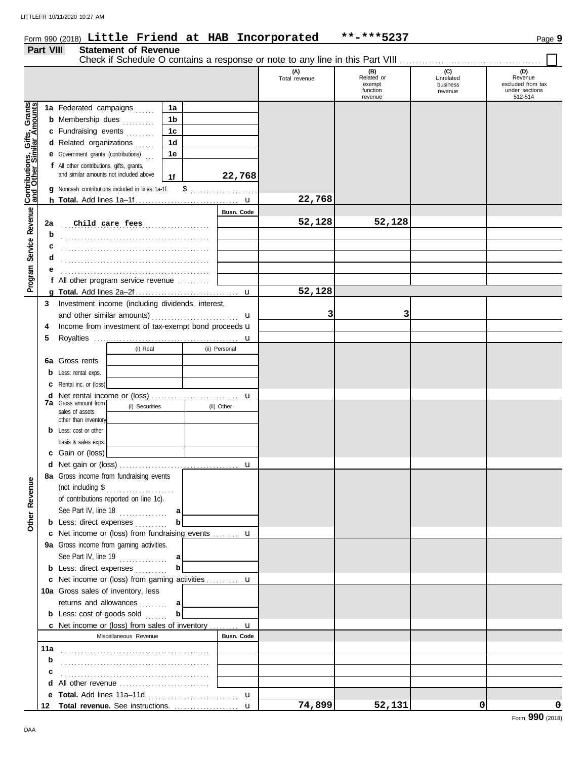## Form 990 (2018) Page **9 Little Friend at HAB Incorporated \*\*-\*\*\*5237**

### **Part VIII Statement of Revenue**

|  |  |  |  | nse or note to any line in this Part VIII. |  |
|--|--|--|--|--------------------------------------------|--|

|                                                             | ган үш | <b>ORIGHTON OF IVEAGING</b>                                                                |                |               |                      |                                                    |                                         |                                                                  |
|-------------------------------------------------------------|--------|--------------------------------------------------------------------------------------------|----------------|---------------|----------------------|----------------------------------------------------|-----------------------------------------|------------------------------------------------------------------|
|                                                             |        |                                                                                            |                |               | (A)<br>Total revenue | (B)<br>Related or<br>exempt<br>function<br>revenue | (C)<br>Unrelated<br>business<br>revenue | (D)<br>Revenue<br>excluded from tax<br>under sections<br>512-514 |
|                                                             |        | 1a Federated campaigns                                                                     | 1a             |               |                      |                                                    |                                         |                                                                  |
|                                                             |        | <b>b</b> Membership dues                                                                   | 1 <sub>b</sub> |               |                      |                                                    |                                         |                                                                  |
|                                                             |        | c Fundraising events<br>in Salawan                                                         | 1 <sub>c</sub> |               |                      |                                                    |                                         |                                                                  |
|                                                             |        | d Related organizations                                                                    | 1 <sub>d</sub> |               |                      |                                                    |                                         |                                                                  |
|                                                             |        | <b>e</b> Government grants (contributions)                                                 | 1e             |               |                      |                                                    |                                         |                                                                  |
|                                                             |        | f All other contributions, gifts, grants,                                                  |                |               |                      |                                                    |                                         |                                                                  |
|                                                             |        | and similar amounts not included above                                                     | 1f             | 22,768        |                      |                                                    |                                         |                                                                  |
|                                                             |        | g Noncash contributions included in lines 1a-1f:                                           | \$             |               |                      |                                                    |                                         |                                                                  |
| Program Service Revenue <b>Contributions, Gifts, Grants</b> |        |                                                                                            |                |               | 22,768               |                                                    |                                         |                                                                  |
|                                                             |        |                                                                                            |                | Busn. Code    |                      |                                                    |                                         |                                                                  |
|                                                             | 2a     | Child care fees                                                                            | .              |               | 52,128               | 52,128                                             |                                         |                                                                  |
|                                                             | b      |                                                                                            |                |               |                      |                                                    |                                         |                                                                  |
|                                                             | с      |                                                                                            |                |               |                      |                                                    |                                         |                                                                  |
|                                                             | d      |                                                                                            |                |               |                      |                                                    |                                         |                                                                  |
|                                                             |        |                                                                                            |                |               |                      |                                                    |                                         |                                                                  |
|                                                             |        | f All other program service revenue                                                        |                |               |                      |                                                    |                                         |                                                                  |
|                                                             |        |                                                                                            |                |               | 52,128               |                                                    |                                         |                                                                  |
|                                                             |        | 3 Investment income (including dividends, interest,                                        |                |               |                      |                                                    |                                         |                                                                  |
|                                                             |        | and other similar amounts)                                                                 |                | u             | 3                    | 3                                                  |                                         |                                                                  |
|                                                             | 4      | Income from investment of tax-exempt bond proceeds u                                       |                |               |                      |                                                    |                                         |                                                                  |
|                                                             | 5      |                                                                                            |                |               |                      |                                                    |                                         |                                                                  |
|                                                             |        | (i) Real                                                                                   |                | (ii) Personal |                      |                                                    |                                         |                                                                  |
|                                                             | 6а     | Gross rents                                                                                |                |               |                      |                                                    |                                         |                                                                  |
|                                                             | b      | Less: rental exps.                                                                         |                |               |                      |                                                    |                                         |                                                                  |
|                                                             | c      | Rental inc. or (loss)                                                                      |                |               |                      |                                                    |                                         |                                                                  |
|                                                             | d      | <b>7a</b> Gross amount from                                                                |                |               |                      |                                                    |                                         |                                                                  |
|                                                             |        | (i) Securities<br>sales of assets                                                          |                | (ii) Other    |                      |                                                    |                                         |                                                                  |
|                                                             |        | other than inventory                                                                       |                |               |                      |                                                    |                                         |                                                                  |
|                                                             |        | <b>b</b> Less: cost or other                                                               |                |               |                      |                                                    |                                         |                                                                  |
|                                                             |        | basis & sales exps.                                                                        |                |               |                      |                                                    |                                         |                                                                  |
|                                                             |        | c Gain or (loss)                                                                           |                |               |                      |                                                    |                                         |                                                                  |
|                                                             |        |                                                                                            |                |               |                      |                                                    |                                         |                                                                  |
| $\omega$                                                    |        | 8a Gross income from fundraising events                                                    |                |               |                      |                                                    |                                         |                                                                  |
|                                                             |        | (not including \$<br>.                                                                     |                |               |                      |                                                    |                                         |                                                                  |
|                                                             |        | of contributions reported on line 1c).                                                     |                |               |                      |                                                    |                                         |                                                                  |
| Other Revenu                                                |        | See Part IV, line $18$                                                                     | a              |               |                      |                                                    |                                         |                                                                  |
|                                                             |        | <b>b</b> Less: direct expenses                                                             | b              |               |                      |                                                    |                                         |                                                                  |
|                                                             |        | c Net income or (loss) from fundraising events  u                                          |                |               |                      |                                                    |                                         |                                                                  |
|                                                             |        | 9a Gross income from gaming activities.                                                    |                |               |                      |                                                    |                                         |                                                                  |
|                                                             |        | See Part IV, line 19 $\ldots$                                                              |                |               |                      |                                                    |                                         |                                                                  |
|                                                             |        | <b>b</b> Less: direct expenses                                                             | b              |               |                      |                                                    |                                         |                                                                  |
|                                                             |        | c Net income or (loss) from gaming activities  u                                           |                |               |                      |                                                    |                                         |                                                                  |
|                                                             |        | 10a Gross sales of inventory, less                                                         |                |               |                      |                                                    |                                         |                                                                  |
|                                                             |        | returns and allowances                                                                     | a              |               |                      |                                                    |                                         |                                                                  |
|                                                             |        | <b>b</b> Less: cost of goods sold                                                          | b              |               |                      |                                                    |                                         |                                                                  |
|                                                             |        | c Net income or (loss) from sales of inventory  u                                          |                |               |                      |                                                    |                                         |                                                                  |
|                                                             |        | Miscellaneous Revenue                                                                      |                | Busn. Code    |                      |                                                    |                                         |                                                                  |
|                                                             | 11a    |                                                                                            |                |               |                      |                                                    |                                         |                                                                  |
|                                                             | b      |                                                                                            |                |               |                      |                                                    |                                         |                                                                  |
|                                                             | c      |                                                                                            |                |               |                      |                                                    |                                         |                                                                  |
|                                                             |        | <b>d</b> All other revenue $\ldots$ , $\ldots$ , $\ldots$ , $\ldots$ , $\ldots$ , $\ldots$ |                |               |                      |                                                    |                                         |                                                                  |
|                                                             |        |                                                                                            |                | u             | 74,899               | 52,131                                             | $\Omega$                                | $\Omega$                                                         |
|                                                             |        |                                                                                            |                |               |                      |                                                    |                                         |                                                                  |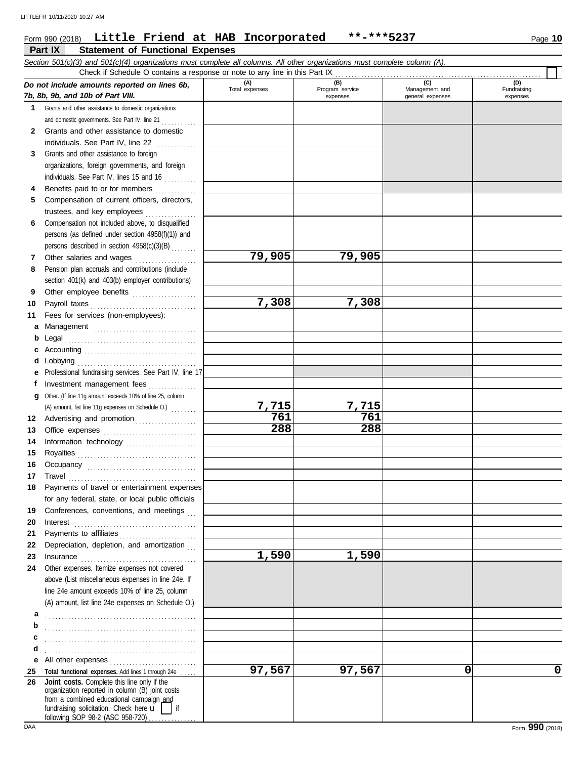#### **Part IX Statement of Functional Expenses** Form 990 (2018) Page **10 Little Friend at HAB Incorporated \*\*-\*\*\*5237**

|              | Section 501(c)(3) and 501(c)(4) organizations must complete all columns. All other organizations must complete column (A).<br>Check if Schedule O contains a response or note to any line in this Part IX |                |                             |                                    |                         |
|--------------|-----------------------------------------------------------------------------------------------------------------------------------------------------------------------------------------------------------|----------------|-----------------------------|------------------------------------|-------------------------|
|              | Do not include amounts reported on lines 6b,                                                                                                                                                              | (A)            | (B)                         | (C)                                | (D)                     |
|              | 7b, 8b, 9b, and 10b of Part VIII.                                                                                                                                                                         | Total expenses | Program service<br>expenses | Management and<br>general expenses | Fundraising<br>expenses |
| 1            | Grants and other assistance to domestic organizations                                                                                                                                                     |                |                             |                                    |                         |
|              | and domestic governments. See Part IV, line 21                                                                                                                                                            |                |                             |                                    |                         |
| $\mathbf{2}$ | Grants and other assistance to domestic                                                                                                                                                                   |                |                             |                                    |                         |
|              | individuals. See Part IV, line 22                                                                                                                                                                         |                |                             |                                    |                         |
| 3            | Grants and other assistance to foreign                                                                                                                                                                    |                |                             |                                    |                         |
|              | organizations, foreign governments, and foreign                                                                                                                                                           |                |                             |                                    |                         |
|              | individuals. See Part IV, lines 15 and 16                                                                                                                                                                 |                |                             |                                    |                         |
| 4            | Benefits paid to or for members                                                                                                                                                                           |                |                             |                                    |                         |
| 5.           | .<br>Compensation of current officers, directors,                                                                                                                                                         |                |                             |                                    |                         |
|              | trustees, and key employees                                                                                                                                                                               |                |                             |                                    |                         |
| 6            | Compensation not included above, to disqualified                                                                                                                                                          |                |                             |                                    |                         |
|              | persons (as defined under section 4958(f)(1)) and                                                                                                                                                         |                |                             |                                    |                         |
|              | persons described in section 4958(c)(3)(B)                                                                                                                                                                |                |                             |                                    |                         |
| 7            | Other salaries and wages                                                                                                                                                                                  | 79,905         | 79,905                      |                                    |                         |
| 8            | Pension plan accruals and contributions (include                                                                                                                                                          |                |                             |                                    |                         |
|              | section 401(k) and 403(b) employer contributions)                                                                                                                                                         |                |                             |                                    |                         |
| 9            | Other employee benefits                                                                                                                                                                                   |                |                             |                                    |                         |
| 10           | Payroll taxes                                                                                                                                                                                             | 7,308          | 7,308                       |                                    |                         |
| 11           | Fees for services (non-employees):                                                                                                                                                                        |                |                             |                                    |                         |
| а            |                                                                                                                                                                                                           |                |                             |                                    |                         |
| b            | Legal                                                                                                                                                                                                     |                |                             |                                    |                         |
| c            |                                                                                                                                                                                                           |                |                             |                                    |                         |
| d            | Lobbying                                                                                                                                                                                                  |                |                             |                                    |                         |
| е            | Professional fundraising services. See Part IV, line 17                                                                                                                                                   |                |                             |                                    |                         |
| f            | Investment management fees<br>.                                                                                                                                                                           |                |                             |                                    |                         |
| q            | Other. (If line 11g amount exceeds 10% of line 25, column                                                                                                                                                 |                |                             |                                    |                         |
|              |                                                                                                                                                                                                           | 7,715          | 7,715                       |                                    |                         |
| 12           | Advertising and promotion [11] [11] Advertising and promotion                                                                                                                                             | 761            | 761                         |                                    |                         |
| 13           |                                                                                                                                                                                                           | 288            | 288                         |                                    |                         |
| 14           | Information technology                                                                                                                                                                                    |                |                             |                                    |                         |
| 15           |                                                                                                                                                                                                           |                |                             |                                    |                         |
| 16           |                                                                                                                                                                                                           |                |                             |                                    |                         |
| 17           | Travel                                                                                                                                                                                                    |                |                             |                                    |                         |
|              | Payments of travel or entertainment expenses                                                                                                                                                              |                |                             |                                    |                         |
|              | for any federal, state, or local public officials                                                                                                                                                         |                |                             |                                    |                         |
| 19           | Conferences, conventions, and meetings                                                                                                                                                                    |                |                             |                                    |                         |
| 20           | Interest                                                                                                                                                                                                  |                |                             |                                    |                         |
| 21           | Payments to affiliates                                                                                                                                                                                    |                |                             |                                    |                         |
| 22           | Depreciation, depletion, and amortization                                                                                                                                                                 |                |                             |                                    |                         |
| 23           | Insurance                                                                                                                                                                                                 | 1,590          | 1,590                       |                                    |                         |
| 24           | Other expenses. Itemize expenses not covered                                                                                                                                                              |                |                             |                                    |                         |
|              | above (List miscellaneous expenses in line 24e. If                                                                                                                                                        |                |                             |                                    |                         |
|              | line 24e amount exceeds 10% of line 25, column                                                                                                                                                            |                |                             |                                    |                         |
|              | (A) amount, list line 24e expenses on Schedule O.)                                                                                                                                                        |                |                             |                                    |                         |
| а            |                                                                                                                                                                                                           |                |                             |                                    |                         |
| b            |                                                                                                                                                                                                           |                |                             |                                    |                         |
| c            |                                                                                                                                                                                                           |                |                             |                                    |                         |
| d            |                                                                                                                                                                                                           |                |                             |                                    |                         |
| е            | All other expenses                                                                                                                                                                                        |                |                             |                                    |                         |
| 25           | Total functional expenses. Add lines 1 through 24e                                                                                                                                                        | 97,567         | 97,567                      | $\mathbf{0}$                       | $\mathbf 0$             |
| 26           | Joint costs. Complete this line only if the<br>organization reported in column (B) joint costs                                                                                                            |                |                             |                                    |                         |
|              | from a combined educational campaign and                                                                                                                                                                  |                |                             |                                    |                         |
|              | fundraising solicitation. Check here $\mathbf{u}$<br>if                                                                                                                                                   |                |                             |                                    |                         |

following SOP 98-2 (ASC 958-720) . . . . . . . . . . . . .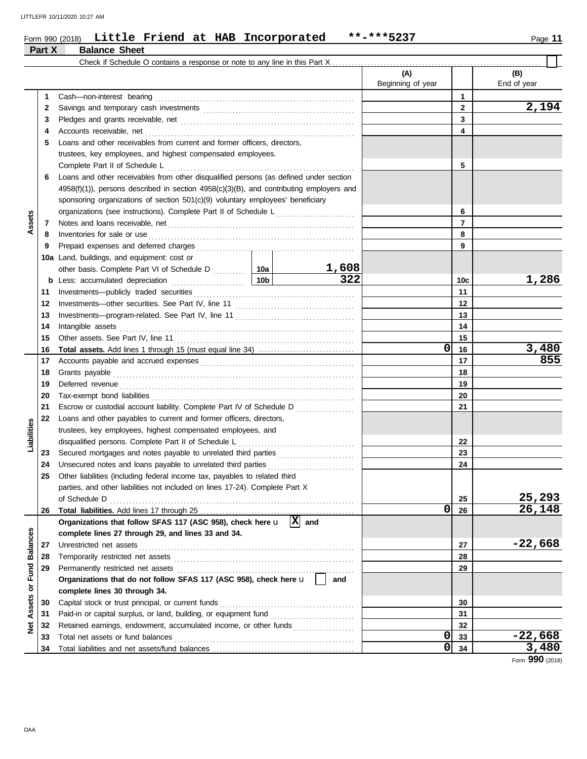#### Form 990 (2018) Page **11 Little Friend at HAB Incorporated \*\*-\*\*\*5237 Part X Balance Sheet**

|                 |    | Check if Schedule O contains a response or note to any line in this Part X                          |  |                     |                          |              |                    |
|-----------------|----|-----------------------------------------------------------------------------------------------------|--|---------------------|--------------------------|--------------|--------------------|
|                 |    |                                                                                                     |  |                     | (A)<br>Beginning of year |              | (B)<br>End of year |
|                 | 1  | Cash-non-interest bearing                                                                           |  |                     |                          | 1            |                    |
|                 | 2  |                                                                                                     |  |                     |                          | $\mathbf{2}$ | 2,194              |
|                 | 3  |                                                                                                     |  |                     |                          | 3            |                    |
|                 | 4  | Accounts receivable, net                                                                            |  |                     |                          | 4            |                    |
|                 | 5  | Loans and other receivables from current and former officers, directors,                            |  |                     |                          |              |                    |
|                 |    | trustees, key employees, and highest compensated employees.                                         |  |                     |                          |              |                    |
|                 |    | Complete Part II of Schedule L                                                                      |  |                     |                          | 5            |                    |
|                 | 6  | Loans and other receivables from other disqualified persons (as defined under section               |  |                     |                          |              |                    |
|                 |    | $4958(f)(1)$ , persons described in section $4958(c)(3)(B)$ , and contributing employers and        |  |                     |                          |              |                    |
|                 |    | sponsoring organizations of section 501(c)(9) voluntary employees' beneficiary                      |  |                     |                          |              |                    |
|                 |    |                                                                                                     |  | 6                   |                          |              |                    |
| Assets          | 7  |                                                                                                     |  |                     | $\overline{7}$           |              |                    |
|                 | 8  | Inventories for sale or use                                                                         |  |                     | 8                        |              |                    |
|                 | 9  |                                                                                                     |  |                     |                          | 9            |                    |
|                 |    | 10a Land, buildings, and equipment: cost or                                                         |  |                     |                          |              |                    |
|                 |    |                                                                                                     |  | $\frac{1,608}{322}$ |                          |              |                    |
|                 |    | 10b<br><b>b</b> Less: accumulated depreciation                                                      |  |                     |                          | 10c          | 1,286              |
|                 | 11 |                                                                                                     |  |                     |                          | 11           |                    |
|                 | 12 |                                                                                                     |  |                     |                          | 12           |                    |
|                 | 13 |                                                                                                     |  |                     |                          | 13           |                    |
|                 | 14 | Intangible assets                                                                                   |  |                     |                          | 14           |                    |
|                 | 15 |                                                                                                     |  |                     |                          | 15           |                    |
|                 | 16 |                                                                                                     |  |                     | $\mathbf 0$              | 16           | 3,480              |
|                 | 17 |                                                                                                     |  |                     |                          | 17           | 855                |
|                 | 18 | Grants payable                                                                                      |  |                     |                          | 18           |                    |
|                 | 19 | Deferred revenue                                                                                    |  |                     | 19                       |              |                    |
|                 | 20 | Tax-exempt bond liabilities                                                                         |  |                     | 20                       |              |                    |
|                 | 21 | Escrow or custodial account liability. Complete Part IV of Schedule D                               |  |                     | 21                       |              |                    |
|                 | 22 | Loans and other payables to current and former officers, directors,                                 |  |                     |                          |              |                    |
| Liabilities     |    | trustees, key employees, highest compensated employees, and                                         |  |                     |                          |              |                    |
|                 |    | disqualified persons. Complete Part II of Schedule L                                                |  |                     |                          | 22           |                    |
|                 | 23 |                                                                                                     |  |                     |                          | 23           |                    |
|                 | 24 | Unsecured notes and loans payable to unrelated third parties                                        |  |                     |                          | 24           |                    |
|                 | 25 | Other liabilities (including federal income tax, payables to related third                          |  |                     |                          |              |                    |
|                 |    | parties, and other liabilities not included on lines 17-24). Complete Part X                        |  |                     |                          |              |                    |
|                 |    | of Schedule D                                                                                       |  |                     |                          | 25           | 25,293             |
|                 | 26 |                                                                                                     |  |                     | 0                        | 26           | 26,148             |
|                 |    | Organizations that follow SFAS 117 (ASC 958), check here $\mathbf{u}$   $\overline{\mathbf{X}}$ and |  |                     |                          |              |                    |
|                 |    | complete lines 27 through 29, and lines 33 and 34.                                                  |  |                     |                          |              |                    |
| <b>Balances</b> | 27 | Unrestricted net assets                                                                             |  |                     |                          | 27           | $-22,668$          |
|                 | 28 | Temporarily restricted net assets                                                                   |  |                     |                          | 28           |                    |
|                 | 29 | Permanently restricted net assets                                                                   |  |                     |                          | 29           |                    |
|                 |    | Organizations that do not follow SFAS 117 (ASC 958), check here u                                   |  | and                 |                          |              |                    |
|                 |    | complete lines 30 through 34.                                                                       |  |                     |                          |              |                    |
| Assets or Fund  | 30 | Capital stock or trust principal, or current funds                                                  |  |                     |                          | 30           |                    |
|                 | 31 | Paid-in or capital surplus, or land, building, or equipment fund                                    |  |                     |                          | 31           |                    |
| <b>Net</b>      | 32 | Retained earnings, endowment, accumulated income, or other funds                                    |  |                     |                          | 32           |                    |
|                 | 33 | Total net assets or fund balances                                                                   |  |                     | 0                        | 33           | $-22,668$          |
|                 | 34 |                                                                                                     |  |                     | 0                        | 34           | 3,480              |
|                 |    |                                                                                                     |  |                     |                          |              | Form 990 (2018)    |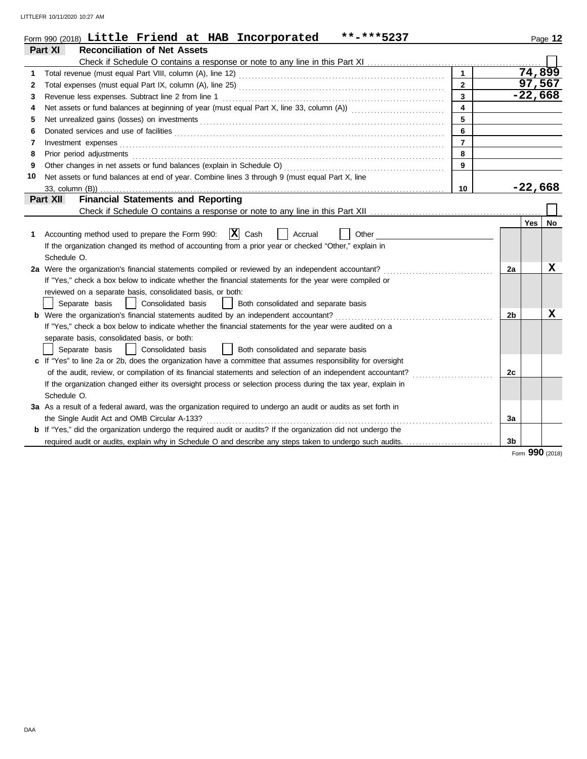|    | **-***5237<br>Form 990 (2018) Little Friend at HAB Incorporated                                                       |                         |                | Page 12          |
|----|-----------------------------------------------------------------------------------------------------------------------|-------------------------|----------------|------------------|
|    | <b>Reconciliation of Net Assets</b><br>Part XI                                                                        |                         |                |                  |
|    |                                                                                                                       |                         |                |                  |
| 1  |                                                                                                                       |                         |                | 74,899           |
| 2  |                                                                                                                       | $\overline{2}$          |                | 97,567           |
| 3  | Revenue less expenses. Subtract line 2 from line 1                                                                    | $\overline{3}$          |                | $-22,668$        |
| 4  |                                                                                                                       | $\overline{\mathbf{4}}$ |                |                  |
| 5  |                                                                                                                       | 5                       |                |                  |
| 6  |                                                                                                                       | 6                       |                |                  |
| 7  | Investment expenses                                                                                                   | $\overline{7}$          |                |                  |
| 8  | Prior period adjustments entertainments and adjustments of the contract of the contract of the contract of the        | 8                       |                |                  |
| 9  |                                                                                                                       | 9                       |                |                  |
| 10 | Net assets or fund balances at end of year. Combine lines 3 through 9 (must equal Part X, line                        |                         |                |                  |
|    |                                                                                                                       | 10                      |                | $-22,668$        |
|    | <b>Financial Statements and Reporting</b><br>Part XII                                                                 |                         |                |                  |
|    |                                                                                                                       |                         |                |                  |
|    |                                                                                                                       |                         |                | <b>Yes</b><br>No |
| 1  | $ \mathbf{X} $ Cash<br>Accounting method used to prepare the Form 990:<br>Accrual<br>Other                            |                         |                |                  |
|    | If the organization changed its method of accounting from a prior year or checked "Other," explain in                 |                         |                |                  |
|    | Schedule O.                                                                                                           |                         |                |                  |
|    | 2a Were the organization's financial statements compiled or reviewed by an independent accountant?                    |                         | 2a             | x                |
|    | If "Yes," check a box below to indicate whether the financial statements for the year were compiled or                |                         |                |                  |
|    | reviewed on a separate basis, consolidated basis, or both:                                                            |                         |                |                  |
|    | Separate basis<br>  Consolidated basis<br>  Both consolidated and separate basis                                      |                         |                |                  |
|    | <b>b</b> Were the organization's financial statements audited by an independent accountant?                           |                         | 2b             | X                |
|    | If "Yes," check a box below to indicate whether the financial statements for the year were audited on a               |                         |                |                  |
|    | separate basis, consolidated basis, or both:                                                                          |                         |                |                  |
|    | Consolidated basis<br>  Both consolidated and separate basis<br>Separate basis<br>$\Box$                              |                         |                |                  |
|    | c If "Yes" to line 2a or 2b, does the organization have a committee that assumes responsibility for oversight         |                         |                |                  |
|    | of the audit, review, or compilation of its financial statements and selection of an independent accountant?          |                         | 2c             |                  |
|    | If the organization changed either its oversight process or selection process during the tax year, explain in         |                         |                |                  |
|    | Schedule O.                                                                                                           |                         |                |                  |
|    | 3a As a result of a federal award, was the organization required to undergo an audit or audits as set forth in        |                         |                |                  |
|    | the Single Audit Act and OMB Circular A-133?                                                                          |                         | За             |                  |
|    | <b>b</b> If "Yes," did the organization undergo the required audit or audits? If the organization did not undergo the |                         |                |                  |
|    | required audit or audits, explain why in Schedule O and describe any steps taken to undergo such audits.              |                         | 3 <sub>b</sub> |                  |

Form **990** (2018)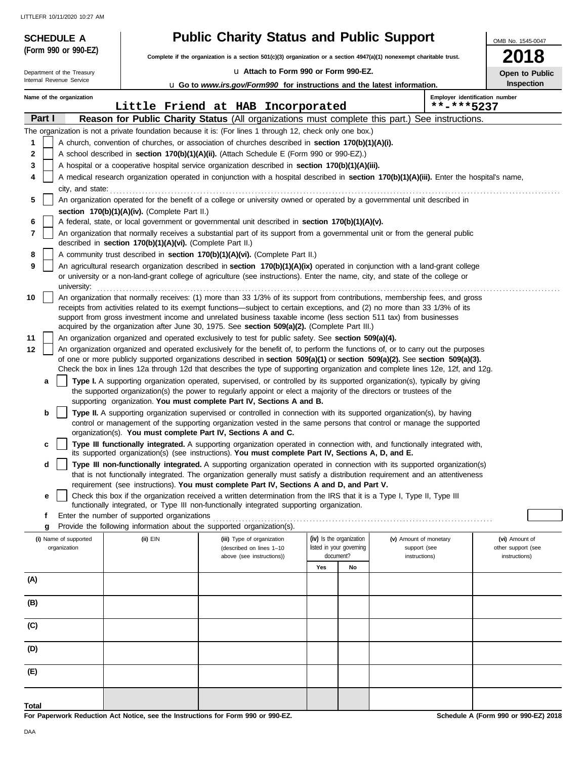| <b>SCHEDULE A</b><br>(Form 990 or 990-EZ) |                                                            | <b>Public Charity Status and Public Support</b>                                                                                                                                                                                                                 |                          |    |                        | OMB No. 1545-0047              |
|-------------------------------------------|------------------------------------------------------------|-----------------------------------------------------------------------------------------------------------------------------------------------------------------------------------------------------------------------------------------------------------------|--------------------------|----|------------------------|--------------------------------|
|                                           |                                                            | Complete if the organization is a section $501(c)(3)$ organization or a section $4947(a)(1)$ nonexempt charitable trust.                                                                                                                                        |                          |    |                        | 2018                           |
| Department of the Treasury                |                                                            | La Attach to Form 990 or Form 990-EZ.                                                                                                                                                                                                                           |                          |    |                        | Open to Public                 |
| Internal Revenue Service                  |                                                            | <b>u</b> Go to www.irs.gov/Form990 for instructions and the latest information.                                                                                                                                                                                 |                          |    |                        | Inspection                     |
| Name of the organization                  |                                                            | Little Friend at HAB Incorporated                                                                                                                                                                                                                               |                          |    | **-***5237             | Employer identification number |
| Part I                                    |                                                            | Reason for Public Charity Status (All organizations must complete this part.) See instructions.                                                                                                                                                                 |                          |    |                        |                                |
|                                           |                                                            | The organization is not a private foundation because it is: (For lines 1 through 12, check only one box.)                                                                                                                                                       |                          |    |                        |                                |
| 1                                         |                                                            | A church, convention of churches, or association of churches described in section 170(b)(1)(A)(i).                                                                                                                                                              |                          |    |                        |                                |
| $\mathbf{2}$                              |                                                            | A school described in section 170(b)(1)(A)(ii). (Attach Schedule E (Form 990 or 990-EZ).)                                                                                                                                                                       |                          |    |                        |                                |
| 3                                         |                                                            | A hospital or a cooperative hospital service organization described in section 170(b)(1)(A)(iii).                                                                                                                                                               |                          |    |                        |                                |
| 4                                         |                                                            | A medical research organization operated in conjunction with a hospital described in section 170(b)(1)(A)(iii). Enter the hospital's name,                                                                                                                      |                          |    |                        |                                |
| city, and state:<br>5                     |                                                            | An organization operated for the benefit of a college or university owned or operated by a governmental unit described in                                                                                                                                       |                          |    |                        |                                |
|                                           | section 170(b)(1)(A)(iv). (Complete Part II.)              |                                                                                                                                                                                                                                                                 |                          |    |                        |                                |
| 6                                         |                                                            | A federal, state, or local government or governmental unit described in section 170(b)(1)(A)(v).                                                                                                                                                                |                          |    |                        |                                |
| 7                                         | described in section 170(b)(1)(A)(vi). (Complete Part II.) | An organization that normally receives a substantial part of its support from a governmental unit or from the general public                                                                                                                                    |                          |    |                        |                                |
| 8                                         |                                                            | A community trust described in section 170(b)(1)(A)(vi). (Complete Part II.)                                                                                                                                                                                    |                          |    |                        |                                |
| 9<br>university:                          |                                                            | An agricultural research organization described in section 170(b)(1)(A)(ix) operated in conjunction with a land-grant college<br>or university or a non-land-grant college of agriculture (see instructions). Enter the name, city, and state of the college or |                          |    |                        |                                |
| 10                                        |                                                            | An organization that normally receives: (1) more than 33 1/3% of its support from contributions, membership fees, and gross                                                                                                                                     |                          |    |                        |                                |
|                                           |                                                            | receipts from activities related to its exempt functions—subject to certain exceptions, and (2) no more than 33 1/3% of its<br>support from gross investment income and unrelated business taxable income (less section 511 tax) from businesses                |                          |    |                        |                                |
|                                           |                                                            | acquired by the organization after June 30, 1975. See section 509(a)(2). (Complete Part III.)                                                                                                                                                                   |                          |    |                        |                                |
| 11                                        |                                                            | An organization organized and operated exclusively to test for public safety. See section 509(a)(4).                                                                                                                                                            |                          |    |                        |                                |
| 12                                        |                                                            | An organization organized and operated exclusively for the benefit of, to perform the functions of, or to carry out the purposes                                                                                                                                |                          |    |                        |                                |
|                                           |                                                            | of one or more publicly supported organizations described in section 509(a)(1) or section 509(a)(2). See section 509(a)(3).<br>Check the box in lines 12a through 12d that describes the type of supporting organization and complete lines 12e, 12f, and 12g.  |                          |    |                        |                                |
| a                                         |                                                            | Type I. A supporting organization operated, supervised, or controlled by its supported organization(s), typically by giving                                                                                                                                     |                          |    |                        |                                |
|                                           |                                                            | the supported organization(s) the power to regularly appoint or elect a majority of the directors or trustees of the                                                                                                                                            |                          |    |                        |                                |
| b                                         |                                                            | supporting organization. You must complete Part IV, Sections A and B.<br>Type II. A supporting organization supervised or controlled in connection with its supported organization(s), by having                                                                |                          |    |                        |                                |
|                                           |                                                            | control or management of the supporting organization vested in the same persons that control or manage the supported                                                                                                                                            |                          |    |                        |                                |
|                                           |                                                            | organization(s). You must complete Part IV, Sections A and C.                                                                                                                                                                                                   |                          |    |                        |                                |
| c                                         |                                                            | Type III functionally integrated. A supporting organization operated in connection with, and functionally integrated with,<br>its supported organization(s) (see instructions). You must complete Part IV, Sections A, D, and E.                                |                          |    |                        |                                |
| d                                         |                                                            | Type III non-functionally integrated. A supporting organization operated in connection with its supported organization(s)                                                                                                                                       |                          |    |                        |                                |
|                                           |                                                            | that is not functionally integrated. The organization generally must satisfy a distribution requirement and an attentiveness<br>requirement (see instructions). You must complete Part IV, Sections A and D, and Part V.                                        |                          |    |                        |                                |
| е                                         |                                                            | Check this box if the organization received a written determination from the IRS that it is a Type I, Type II, Type III                                                                                                                                         |                          |    |                        |                                |
|                                           |                                                            | functionally integrated, or Type III non-functionally integrated supporting organization.                                                                                                                                                                       |                          |    |                        |                                |
| f<br>g                                    | Enter the number of supported organizations                | Provide the following information about the supported organization(s).                                                                                                                                                                                          |                          |    |                        |                                |
| (i) Name of supported                     | (ii) EIN                                                   | (iii) Type of organization                                                                                                                                                                                                                                      | (iv) Is the organization |    | (v) Amount of monetary | (vi) Amount of                 |
| organization                              |                                                            | (described on lines 1-10                                                                                                                                                                                                                                        | listed in your governing |    | support (see           | other support (see             |
|                                           |                                                            | above (see instructions))                                                                                                                                                                                                                                       | document?<br>Yes         | No | instructions)          | instructions)                  |
| (A)                                       |                                                            |                                                                                                                                                                                                                                                                 |                          |    |                        |                                |
| (B)                                       |                                                            |                                                                                                                                                                                                                                                                 |                          |    |                        |                                |
| (C)                                       |                                                            |                                                                                                                                                                                                                                                                 |                          |    |                        |                                |
| (D)                                       |                                                            |                                                                                                                                                                                                                                                                 |                          |    |                        |                                |
| (E)                                       |                                                            |                                                                                                                                                                                                                                                                 |                          |    |                        |                                |
|                                           |                                                            |                                                                                                                                                                                                                                                                 |                          |    |                        |                                |
| Total                                     |                                                            |                                                                                                                                                                                                                                                                 |                          |    |                        |                                |

**For Paperwork Reduction Act Notice, see the Instructions for Form 990 or 990-EZ.**

**Schedule A (Form 990 or 990-EZ) 2018**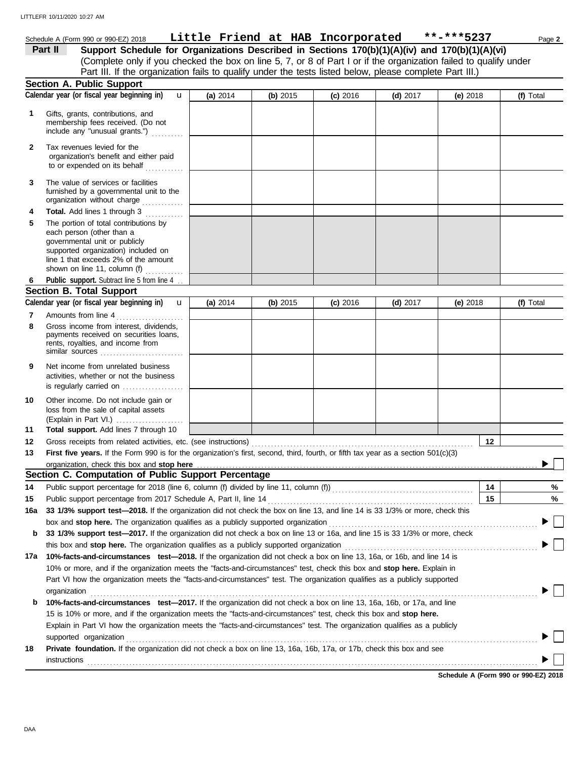#### Schedule A (Form 990 or 990-EZ) 2018 Page **2 Little Friend at HAB Incorporated \*\*-\*\*\*5237 Part II** Support Schedule for Organizations Described in Sections 170(b)(1)(A)(iv) and 170(b)(1)(A)(vi)

(Complete only if you checked the box on line 5, 7, or 8 of Part I or if the organization failed to qualify under Part III. If the organization fails to qualify under the tests listed below, please complete Part III.)

|              | Section A. Public Support                                                                                                                                                                                               |            |          |            |            |            |           |
|--------------|-------------------------------------------------------------------------------------------------------------------------------------------------------------------------------------------------------------------------|------------|----------|------------|------------|------------|-----------|
|              | Calendar year (or fiscal year beginning in)<br>$\mathbf{u}$                                                                                                                                                             | (a) $2014$ | (b) 2015 | $(c)$ 2016 | $(d)$ 2017 | (e) $2018$ | (f) Total |
| 1            | Gifts, grants, contributions, and<br>membership fees received. (Do not<br>include any "unusual grants.")                                                                                                                |            |          |            |            |            |           |
| $\mathbf{2}$ | Tax revenues levied for the<br>organization's benefit and either paid<br>to or expended on its behalf<br>.                                                                                                              |            |          |            |            |            |           |
| 3            | The value of services or facilities<br>furnished by a governmental unit to the<br>organization without charge                                                                                                           |            |          |            |            |            |           |
| 4<br>5       | Total. Add lines 1 through 3<br>.<br>The portion of total contributions by<br>each person (other than a<br>governmental unit or publicly<br>supported organization) included on<br>line 1 that exceeds 2% of the amount |            |          |            |            |            |           |
|              | shown on line 11, column (f) $\ldots$                                                                                                                                                                                   |            |          |            |            |            |           |
| 6            | Public support. Subtract line 5 from line 4.                                                                                                                                                                            |            |          |            |            |            |           |
|              | <b>Section B. Total Support</b>                                                                                                                                                                                         |            |          |            |            |            |           |
|              | Calendar year (or fiscal year beginning in)<br>$\mathbf{u}$                                                                                                                                                             | (a) $2014$ | (b) 2015 | $(c)$ 2016 | (d) $2017$ | $(e)$ 2018 | (f) Total |
| 7            | Amounts from line 4<br>.                                                                                                                                                                                                |            |          |            |            |            |           |
| 8            | Gross income from interest, dividends,<br>payments received on securities loans,<br>rents, royalties, and income from<br>similar sources                                                                                |            |          |            |            |            |           |
| 9            | Net income from unrelated business<br>activities, whether or not the business<br>is regularly carried on                                                                                                                |            |          |            |            |            |           |
| 10           | Other income. Do not include gain or<br>loss from the sale of capital assets<br>(Explain in Part VI.)                                                                                                                   |            |          |            |            |            |           |
| 11           | Total support. Add lines 7 through 10                                                                                                                                                                                   |            |          |            |            |            |           |
| 12           | Gross receipts from related activities, etc. (see instructions)                                                                                                                                                         |            |          |            |            | 12         |           |
| 13           | First five years. If the Form 990 is for the organization's first, second, third, fourth, or fifth tax year as a section 501(c)(3)                                                                                      |            |          |            |            |            |           |
|              | organization, check this box and stop here                                                                                                                                                                              |            |          |            |            |            |           |
|              | Section C. Computation of Public Support Percentage                                                                                                                                                                     |            |          |            |            |            |           |
| 14           | Public support percentage for 2018 (line 6, column (f) divided by line 11, column (f)) [[[[[[[[[[[[[[[[[[[[[[                                                                                                           |            |          |            |            | 14         | %         |
| 15           |                                                                                                                                                                                                                         |            |          |            |            | 15         | %         |
| 16a          | 33 1/3% support test-2018. If the organization did not check the box on line 13, and line 14 is 33 1/3% or more, check this                                                                                             |            |          |            |            |            |           |
|              | box and stop here. The organization qualifies as a publicly supported organization                                                                                                                                      |            |          |            |            |            |           |
| b            | 33 1/3% support test-2017. If the organization did not check a box on line 13 or 16a, and line 15 is 33 1/3% or more, check                                                                                             |            |          |            |            |            |           |
|              | this box and stop here. The organization qualifies as a publicly supported organization                                                                                                                                 |            |          |            |            |            |           |
| 17a          | 10%-facts-and-circumstances test-2018. If the organization did not check a box on line 13, 16a, or 16b, and line 14 is                                                                                                  |            |          |            |            |            |           |
|              | 10% or more, and if the organization meets the "facts-and-circumstances" test, check this box and stop here. Explain in                                                                                                 |            |          |            |            |            |           |
|              | Part VI how the organization meets the "facts-and-circumstances" test. The organization qualifies as a publicly supported                                                                                               |            |          |            |            |            |           |
|              | organization                                                                                                                                                                                                            |            |          |            |            |            |           |
| b            | 10%-facts-and-circumstances test-2017. If the organization did not check a box on line 13, 16a, 16b, or 17a, and line                                                                                                   |            |          |            |            |            |           |
|              | 15 is 10% or more, and if the organization meets the "facts-and-circumstances" test, check this box and stop here.                                                                                                      |            |          |            |            |            |           |
|              | Explain in Part VI how the organization meets the "facts-and-circumstances" test. The organization qualifies as a publicly                                                                                              |            |          |            |            |            |           |
|              | supported organization                                                                                                                                                                                                  |            |          |            |            |            |           |
| 18           | Private foundation. If the organization did not check a box on line 13, 16a, 16b, 17a, or 17b, check this box and see                                                                                                   |            |          |            |            |            |           |
|              | instructions                                                                                                                                                                                                            |            |          |            |            |            |           |
|              |                                                                                                                                                                                                                         |            |          |            |            |            |           |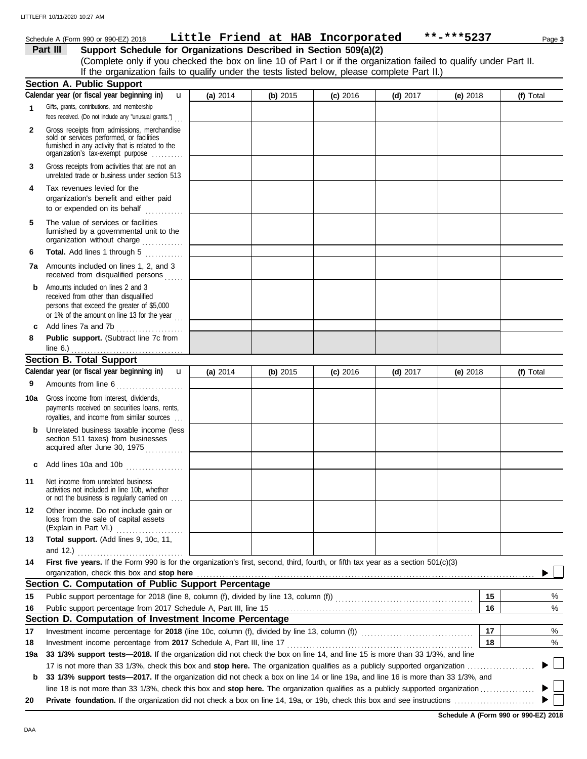### **Part III** Support Schedule for Organizations Described in Section 509(a)(2) (Complete only if you checked the box on line 10 of Part I or if the organization failed to qualify under Part II. Schedule A (Form 990 or 990-EZ) 2018 Page **3 Little Friend at HAB Incorporated \*\*-\*\*\*5237** If the organization fails to qualify under the tests listed below, please complete Part II.)

|                                 | <b>Section A. Public Support</b>                                                                                                                                                 |            |            |            |            |          |    |           |  |
|---------------------------------|----------------------------------------------------------------------------------------------------------------------------------------------------------------------------------|------------|------------|------------|------------|----------|----|-----------|--|
|                                 | Calendar year (or fiscal year beginning in)<br>$\mathbf{u}$                                                                                                                      | (a) 2014   | $(b)$ 2015 | $(c)$ 2016 | $(d)$ 2017 | (e) 2018 |    | (f) Total |  |
| 1                               | Gifts, grants, contributions, and membership                                                                                                                                     |            |            |            |            |          |    |           |  |
|                                 | fees received. (Do not include any "unusual grants.")                                                                                                                            |            |            |            |            |          |    |           |  |
| 2                               | Gross receipts from admissions, merchandise                                                                                                                                      |            |            |            |            |          |    |           |  |
|                                 | sold or services performed, or facilities<br>furnished in any activity that is related to the                                                                                    |            |            |            |            |          |    |           |  |
|                                 | organization's fax-exempt purpose                                                                                                                                                |            |            |            |            |          |    |           |  |
| 3                               | Gross receipts from activities that are not an<br>unrelated trade or business under section 513                                                                                  |            |            |            |            |          |    |           |  |
| 4                               | Tax revenues levied for the                                                                                                                                                      |            |            |            |            |          |    |           |  |
|                                 | organization's benefit and either paid<br>to or expended on its behalf                                                                                                           |            |            |            |            |          |    |           |  |
| 5                               | The value of services or facilities<br>furnished by a governmental unit to the<br>organization without charge                                                                    |            |            |            |            |          |    |           |  |
| 6                               | Total. Add lines 1 through 5<br><u>.</u><br>.                                                                                                                                    |            |            |            |            |          |    |           |  |
|                                 | 7a Amounts included on lines 1, 2, and 3<br>received from disqualified persons                                                                                                   |            |            |            |            |          |    |           |  |
| b                               | Amounts included on lines 2 and 3<br>received from other than disqualified<br>persons that exceed the greater of \$5,000<br>or 1% of the amount on line 13 for the year $\ldots$ |            |            |            |            |          |    |           |  |
| c                               | Add lines 7a and 7b                                                                                                                                                              |            |            |            |            |          |    |           |  |
| 8                               | Public support. (Subtract line 7c from                                                                                                                                           |            |            |            |            |          |    |           |  |
|                                 | line $6.$ )<br>.                                                                                                                                                                 |            |            |            |            |          |    |           |  |
| <b>Section B. Total Support</b> |                                                                                                                                                                                  |            |            |            |            |          |    |           |  |
|                                 | Calendar year (or fiscal year beginning in)<br>$\mathbf{u}$                                                                                                                      | (a) $2014$ | (b) $2015$ | $(c)$ 2016 | (d) $2017$ | (e) 2018 |    | (f) Total |  |
| 9                               | Amounts from line 6                                                                                                                                                              |            |            |            |            |          |    |           |  |
| 10a                             | Gross income from interest, dividends,<br>payments received on securities loans, rents,<br>royalties, and income from similar sources                                            |            |            |            |            |          |    |           |  |
| b                               | Unrelated business taxable income (less<br>section 511 taxes) from businesses<br>acquired after June 30, 1975                                                                    |            |            |            |            |          |    |           |  |
| c                               | Add lines 10a and 10b                                                                                                                                                            |            |            |            |            |          |    |           |  |
| 11                              | Net income from unrelated business<br>activities not included in line 10b, whether<br>or not the business is regularly carried on                                                |            |            |            |            |          |    |           |  |
| $12 \,$                         | Other income. Do not include gain or<br>loss from the sale of capital assets<br>(Explain in Part VI.)                                                                            |            |            |            |            |          |    |           |  |
| 13                              | Total support. (Add lines 9, 10c, 11,                                                                                                                                            |            |            |            |            |          |    |           |  |
|                                 | and $12.$ )                                                                                                                                                                      |            |            |            |            |          |    |           |  |
| 14                              | First five years. If the Form 990 is for the organization's first, second, third, fourth, or fifth tax year as a section 501(c)(3)                                               |            |            |            |            |          |    |           |  |
|                                 | organization, check this box and stop here                                                                                                                                       |            |            |            |            |          |    |           |  |
|                                 | Section C. Computation of Public Support Percentage                                                                                                                              |            |            |            |            |          |    |           |  |
| 15                              |                                                                                                                                                                                  |            |            |            |            |          | 15 | %         |  |
| 16                              |                                                                                                                                                                                  |            |            |            |            |          | 16 | %         |  |
|                                 | Section D. Computation of Investment Income Percentage                                                                                                                           |            |            |            |            |          |    |           |  |
| 17                              | Investment income percentage for 2018 (line 10c, column (f), divided by line 13, column (f)) [[[[[[[[[[[[[[[[                                                                    |            |            |            |            |          | 17 | %         |  |
| 18                              | Investment income percentage from 2017 Schedule A, Part III, line 17                                                                                                             |            |            |            |            |          | 18 | %         |  |
| 19a                             | 33 1/3% support tests-2018. If the organization did not check the box on line 14, and line 15 is more than 33 1/3%, and line                                                     |            |            |            |            |          |    |           |  |
|                                 | 17 is not more than 33 1/3%, check this box and stop here. The organization qualifies as a publicly supported organization                                                       |            |            |            |            |          |    |           |  |
| b                               | 33 1/3% support tests—2017. If the organization did not check a box on line 14 or line 19a, and line 16 is more than 33 1/3%, and                                                |            |            |            |            |          |    |           |  |
|                                 |                                                                                                                                                                                  |            |            |            |            |          |    |           |  |
| 20                              |                                                                                                                                                                                  |            |            |            |            |          |    |           |  |

**Schedule A (Form 990 or 990-EZ) 2018**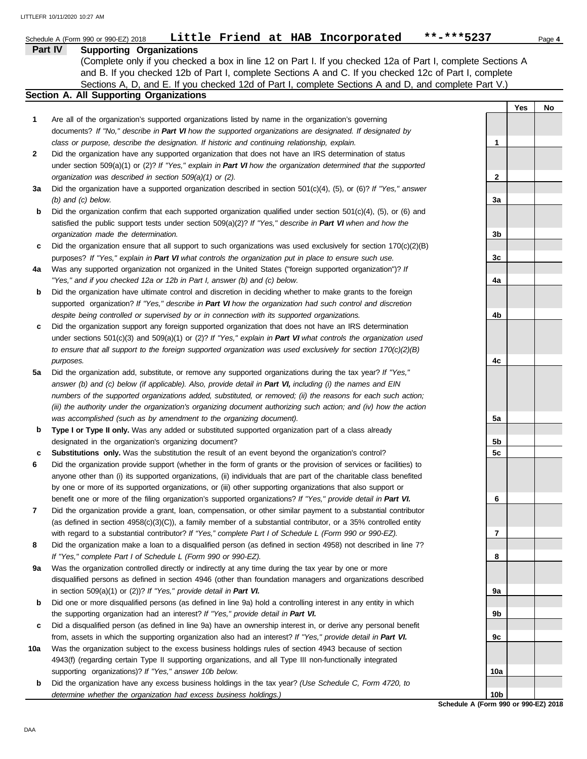|     | Little Friend at HAB Incorporated<br>Schedule A (Form 990 or 990-EZ) 2018                                                                                                                                                 | **-***5237                           | Page 4    |
|-----|---------------------------------------------------------------------------------------------------------------------------------------------------------------------------------------------------------------------------|--------------------------------------|-----------|
|     | Part IV<br><b>Supporting Organizations</b>                                                                                                                                                                                |                                      |           |
|     | (Complete only if you checked a box in line 12 on Part I. If you checked 12a of Part I, complete Sections A                                                                                                               |                                      |           |
|     | and B. If you checked 12b of Part I, complete Sections A and C. If you checked 12c of Part I, complete                                                                                                                    |                                      |           |
|     | Sections A, D, and E. If you checked 12d of Part I, complete Sections A and D, and complete Part V.)                                                                                                                      |                                      |           |
|     | <b>Section A. All Supporting Organizations</b>                                                                                                                                                                            |                                      |           |
|     |                                                                                                                                                                                                                           |                                      | Yes<br>No |
| 1   | Are all of the organization's supported organizations listed by name in the organization's governing                                                                                                                      |                                      |           |
|     | documents? If "No," describe in Part VI how the supported organizations are designated. If designated by                                                                                                                  |                                      |           |
|     | class or purpose, describe the designation. If historic and continuing relationship, explain.                                                                                                                             | 1                                    |           |
| 2   | Did the organization have any supported organization that does not have an IRS determination of status<br>under section 509(a)(1) or (2)? If "Yes," explain in Part VI how the organization determined that the supported |                                      |           |
|     | organization was described in section 509(a)(1) or (2).                                                                                                                                                                   | 2                                    |           |
| 3a  | Did the organization have a supported organization described in section $501(c)(4)$ , (5), or (6)? If "Yes," answer                                                                                                       |                                      |           |
|     | $(b)$ and $(c)$ below.                                                                                                                                                                                                    | За                                   |           |
| b   | Did the organization confirm that each supported organization qualified under section 501(c)(4), (5), or (6) and                                                                                                          |                                      |           |
|     | satisfied the public support tests under section 509(a)(2)? If "Yes," describe in Part VI when and how the                                                                                                                |                                      |           |
|     | organization made the determination.                                                                                                                                                                                      | 3b                                   |           |
| c   | Did the organization ensure that all support to such organizations was used exclusively for section $170(c)(2)(B)$                                                                                                        |                                      |           |
|     | purposes? If "Yes," explain in Part VI what controls the organization put in place to ensure such use.                                                                                                                    | 3c                                   |           |
| 4a  | Was any supported organization not organized in the United States ("foreign supported organization")? If                                                                                                                  |                                      |           |
|     | "Yes," and if you checked 12a or 12b in Part I, answer (b) and (c) below.                                                                                                                                                 | 4a                                   |           |
| b   | Did the organization have ultimate control and discretion in deciding whether to make grants to the foreign                                                                                                               |                                      |           |
|     | supported organization? If "Yes," describe in Part VI how the organization had such control and discretion                                                                                                                |                                      |           |
|     | despite being controlled or supervised by or in connection with its supported organizations.                                                                                                                              | 4b                                   |           |
| c   | Did the organization support any foreign supported organization that does not have an IRS determination                                                                                                                   |                                      |           |
|     | under sections $501(c)(3)$ and $509(a)(1)$ or (2)? If "Yes," explain in Part VI what controls the organization used                                                                                                       |                                      |           |
|     | to ensure that all support to the foreign supported organization was used exclusively for section $170(c)(2)(B)$                                                                                                          |                                      |           |
|     | purposes.                                                                                                                                                                                                                 | 4c                                   |           |
| 5a  | Did the organization add, substitute, or remove any supported organizations during the tax year? If "Yes,"                                                                                                                |                                      |           |
|     | answer (b) and (c) below (if applicable). Also, provide detail in Part VI, including (i) the names and EIN                                                                                                                |                                      |           |
|     | numbers of the supported organizations added, substituted, or removed; (ii) the reasons for each such action;                                                                                                             |                                      |           |
|     | (iii) the authority under the organization's organizing document authorizing such action; and (iv) how the action                                                                                                         |                                      |           |
|     | was accomplished (such as by amendment to the organizing document).                                                                                                                                                       | 5a                                   |           |
| b   | Type I or Type II only. Was any added or substituted supported organization part of a class already                                                                                                                       |                                      |           |
|     | designated in the organization's organizing document?                                                                                                                                                                     | 5b                                   |           |
| c   | Substitutions only. Was the substitution the result of an event beyond the organization's control?                                                                                                                        | 5 <sub>c</sub>                       |           |
| 6   | Did the organization provide support (whether in the form of grants or the provision of services or facilities) to                                                                                                        |                                      |           |
|     | anyone other than (i) its supported organizations, (ii) individuals that are part of the charitable class benefited                                                                                                       |                                      |           |
|     | by one or more of its supported organizations, or (iii) other supporting organizations that also support or                                                                                                               |                                      |           |
|     | benefit one or more of the filing organization's supported organizations? If "Yes," provide detail in Part VI.                                                                                                            | 6                                    |           |
| 7   | Did the organization provide a grant, loan, compensation, or other similar payment to a substantial contributor                                                                                                           |                                      |           |
|     | (as defined in section $4958(c)(3)(C)$ ), a family member of a substantial contributor, or a 35% controlled entity                                                                                                        |                                      |           |
|     | with regard to a substantial contributor? If "Yes," complete Part I of Schedule L (Form 990 or 990-EZ).                                                                                                                   | 7                                    |           |
| 8   | Did the organization make a loan to a disqualified person (as defined in section 4958) not described in line 7?                                                                                                           |                                      |           |
|     | If "Yes," complete Part I of Schedule L (Form 990 or 990-EZ).                                                                                                                                                             | 8                                    |           |
| 9а  | Was the organization controlled directly or indirectly at any time during the tax year by one or more                                                                                                                     |                                      |           |
|     | disqualified persons as defined in section 4946 (other than foundation managers and organizations described                                                                                                               |                                      |           |
|     | in section $509(a)(1)$ or (2))? If "Yes," provide detail in Part VI.                                                                                                                                                      | 9а                                   |           |
| b   | Did one or more disqualified persons (as defined in line 9a) hold a controlling interest in any entity in which                                                                                                           |                                      |           |
|     | the supporting organization had an interest? If "Yes," provide detail in Part VI.                                                                                                                                         | 9b                                   |           |
| c   | Did a disqualified person (as defined in line 9a) have an ownership interest in, or derive any personal benefit                                                                                                           |                                      |           |
|     | from, assets in which the supporting organization also had an interest? If "Yes," provide detail in Part VI.                                                                                                              | 9c                                   |           |
| 10a | Was the organization subject to the excess business holdings rules of section 4943 because of section                                                                                                                     |                                      |           |
|     | 4943(f) (regarding certain Type II supporting organizations, and all Type III non-functionally integrated                                                                                                                 |                                      |           |
|     | supporting organizations)? If "Yes," answer 10b below.<br>Did the organization have any excess business holdings in the tax year? (Use Schedule C, Form 4720, to                                                          | 10a                                  |           |
| b   |                                                                                                                                                                                                                           | 10b                                  |           |
|     | determine whether the organization had excess business holdings.)                                                                                                                                                         | Schedule A (Form 990 or 990-EZ) 2018 |           |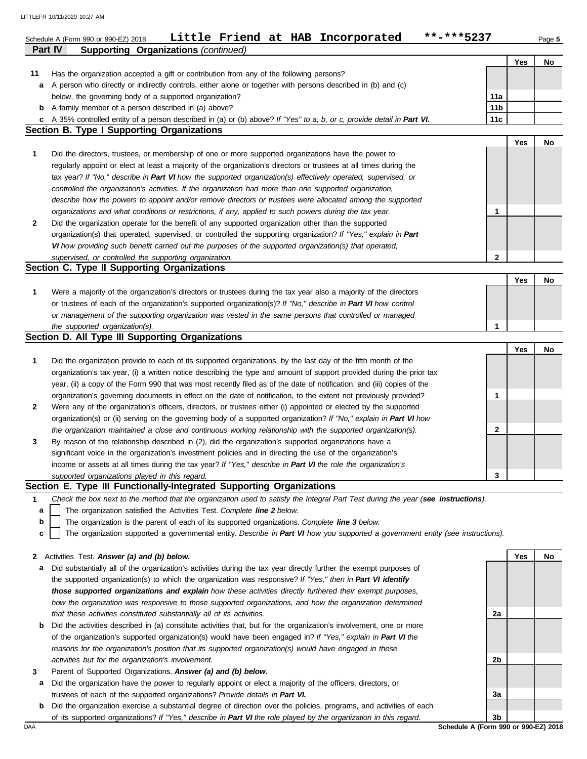|         | **-***5237<br>Little Friend at HAB Incorporated<br>Schedule A (Form 990 or 990-EZ) 2018                                                                                                                                           |                 |     | Page 5 |
|---------|-----------------------------------------------------------------------------------------------------------------------------------------------------------------------------------------------------------------------------------|-----------------|-----|--------|
|         | <b>Supporting Organizations (continued)</b><br>Part IV                                                                                                                                                                            |                 |     |        |
|         |                                                                                                                                                                                                                                   |                 | Yes | No     |
| 11<br>a | Has the organization accepted a gift or contribution from any of the following persons?<br>A person who directly or indirectly controls, either alone or together with persons described in (b) and (c)                           |                 |     |        |
|         | below, the governing body of a supported organization?                                                                                                                                                                            | 11a             |     |        |
| b       | A family member of a person described in (a) above?                                                                                                                                                                               | 11 <sub>b</sub> |     |        |
|         | c A 35% controlled entity of a person described in (a) or (b) above? If "Yes" to a, b, or c, provide detail in Part VI.                                                                                                           | 11c             |     |        |
|         | Section B. Type I Supporting Organizations                                                                                                                                                                                        |                 |     |        |
|         |                                                                                                                                                                                                                                   |                 | Yes | No     |
| 1       | Did the directors, trustees, or membership of one or more supported organizations have the power to                                                                                                                               |                 |     |        |
|         | regularly appoint or elect at least a majority of the organization's directors or trustees at all times during the                                                                                                                |                 |     |        |
|         | tax year? If "No," describe in Part VI how the supported organization(s) effectively operated, supervised, or                                                                                                                     |                 |     |        |
|         | controlled the organization's activities. If the organization had more than one supported organization,                                                                                                                           |                 |     |        |
|         | describe how the powers to appoint and/or remove directors or trustees were allocated among the supported                                                                                                                         |                 |     |        |
|         | organizations and what conditions or restrictions, if any, applied to such powers during the tax year.                                                                                                                            | 1               |     |        |
| 2       | Did the organization operate for the benefit of any supported organization other than the supported                                                                                                                               |                 |     |        |
|         | organization(s) that operated, supervised, or controlled the supporting organization? If "Yes," explain in Part                                                                                                                   |                 |     |        |
|         | VI how providing such benefit carried out the purposes of the supported organization(s) that operated,                                                                                                                            |                 |     |        |
|         | supervised, or controlled the supporting organization.                                                                                                                                                                            | $\mathbf{2}$    |     |        |
|         | Section C. Type II Supporting Organizations                                                                                                                                                                                       |                 |     |        |
|         |                                                                                                                                                                                                                                   |                 | Yes | No     |
| 1       | Were a majority of the organization's directors or trustees during the tax year also a majority of the directors                                                                                                                  |                 |     |        |
|         | or trustees of each of the organization's supported organization(s)? If "No," describe in Part VI how control                                                                                                                     |                 |     |        |
|         | or management of the supporting organization was vested in the same persons that controlled or managed                                                                                                                            |                 |     |        |
|         | the supported organization(s).                                                                                                                                                                                                    | 1               |     |        |
|         | Section D. All Type III Supporting Organizations                                                                                                                                                                                  |                 |     |        |
|         |                                                                                                                                                                                                                                   |                 | Yes | No     |
| 1       | Did the organization provide to each of its supported organizations, by the last day of the fifth month of the                                                                                                                    |                 |     |        |
|         | organization's tax year, (i) a written notice describing the type and amount of support provided during the prior tax                                                                                                             |                 |     |        |
|         | year, (ii) a copy of the Form 990 that was most recently filed as of the date of notification, and (iii) copies of the                                                                                                            |                 |     |        |
|         | organization's governing documents in effect on the date of notification, to the extent not previously provided?                                                                                                                  | 1               |     |        |
| 2       | Were any of the organization's officers, directors, or trustees either (i) appointed or elected by the supported                                                                                                                  |                 |     |        |
|         | organization(s) or (ii) serving on the governing body of a supported organization? If "No," explain in Part VI how<br>the organization maintained a close and continuous working relationship with the supported organization(s). | $\mathbf{2}$    |     |        |
| 3       | By reason of the relationship described in (2), did the organization's supported organizations have a                                                                                                                             |                 |     |        |
|         | significant voice in the organization's investment policies and in directing the use of the organization's                                                                                                                        |                 |     |        |
|         | income or assets at all times during the tax year? If "Yes," describe in Part VI the role the organization's                                                                                                                      |                 |     |        |
|         | supported organizations played in this regard.                                                                                                                                                                                    | 3               |     |        |
|         | Section E. Type III Functionally-Integrated Supporting Organizations                                                                                                                                                              |                 |     |        |
| 1       | Check the box next to the method that the organization used to satisfy the Integral Part Test during the year (see instructions).                                                                                                 |                 |     |        |
| a       | The organization satisfied the Activities Test. Complete line 2 below.                                                                                                                                                            |                 |     |        |
| b       | The organization is the parent of each of its supported organizations. Complete line 3 below.                                                                                                                                     |                 |     |        |
| c       | The organization supported a governmental entity. Describe in Part VI how you supported a government entity (see instructions).                                                                                                   |                 |     |        |
|         |                                                                                                                                                                                                                                   |                 |     |        |
| 2       | Activities Test. Answer (a) and (b) below.                                                                                                                                                                                        |                 | Yes | No     |
| а       | Did substantially all of the organization's activities during the tax year directly further the exempt purposes of                                                                                                                |                 |     |        |
|         | the supported organization(s) to which the organization was responsive? If "Yes," then in Part VI identify                                                                                                                        |                 |     |        |
|         | those supported organizations and explain how these activities directly furthered their exempt purposes,                                                                                                                          |                 |     |        |
|         | how the organization was responsive to those supported organizations, and how the organization determined                                                                                                                         |                 |     |        |
|         | that these activities constituted substantially all of its activities.                                                                                                                                                            | 2a              |     |        |
| b       | Did the activities described in (a) constitute activities that, but for the organization's involvement, one or more                                                                                                               |                 |     |        |
|         | of the organization's supported organization(s) would have been engaged in? If "Yes," explain in Part VI the                                                                                                                      |                 |     |        |
|         | reasons for the organization's position that its supported organization(s) would have engaged in these                                                                                                                            |                 |     |        |
|         | activities but for the organization's involvement.                                                                                                                                                                                | 2b              |     |        |
| 3       | Parent of Supported Organizations. Answer (a) and (b) below.                                                                                                                                                                      |                 |     |        |
| а       | Did the organization have the power to regularly appoint or elect a majority of the officers, directors, or                                                                                                                       |                 |     |        |
|         | trustees of each of the supported organizations? Provide details in Part VI.                                                                                                                                                      | 3a              |     |        |
|         | <b>b</b> Did the organization exercise a substantial degree of direction over the policies, programs, and activities of each                                                                                                      |                 |     |        |

Did the organization exercise a substantial degree of direction over the policies, programs, and activities of each of its supported organizations? *If "Yes," describe in Part VI the role played by the organization in this regard.*

DAA **Schedule A (Form 990 or 990-EZ) 2018 3b**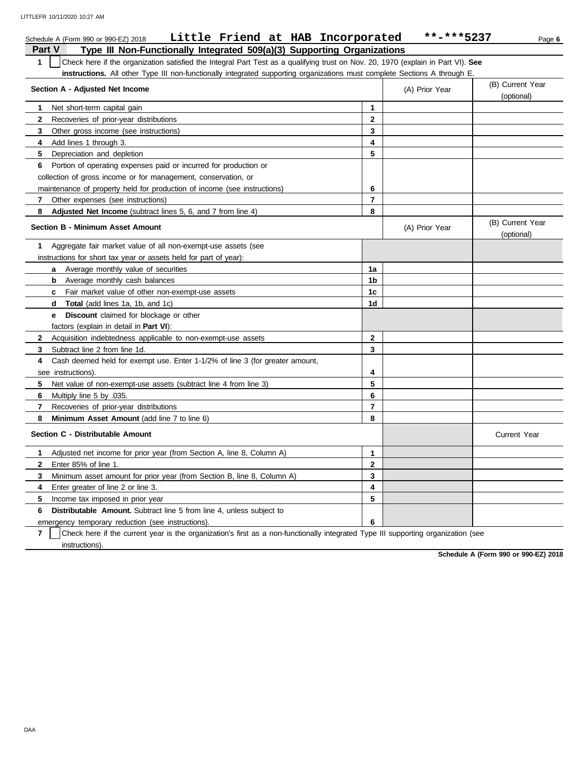| Little Friend at HAB Incorporated<br>Schedule A (Form 990 or 990-EZ) 2018                                                                                                                                                                                                            |                | **-***5237     | Page 6                         |
|--------------------------------------------------------------------------------------------------------------------------------------------------------------------------------------------------------------------------------------------------------------------------------------|----------------|----------------|--------------------------------|
| <b>Part V</b><br>Type III Non-Functionally Integrated 509(a)(3) Supporting Organizations                                                                                                                                                                                             |                |                |                                |
| $\mathbf{1}$<br>Check here if the organization satisfied the Integral Part Test as a qualifying trust on Nov. 20, 1970 (explain in Part VI). See<br><b>instructions.</b> All other Type III non-functionally integrated supporting organizations must complete Sections A through E. |                |                |                                |
| Section A - Adjusted Net Income                                                                                                                                                                                                                                                      |                | (A) Prior Year | (B) Current Year<br>(optional) |
| Net short-term capital gain<br>1                                                                                                                                                                                                                                                     | 1              |                |                                |
| $\mathbf{2}$<br>Recoveries of prior-year distributions                                                                                                                                                                                                                               | $\mathbf{2}$   |                |                                |
| 3<br>Other gross income (see instructions)                                                                                                                                                                                                                                           | 3              |                |                                |
| 4<br>Add lines 1 through 3.                                                                                                                                                                                                                                                          | 4              |                |                                |
| Depreciation and depletion<br>5                                                                                                                                                                                                                                                      | 5              |                |                                |
| Portion of operating expenses paid or incurred for production or<br>6                                                                                                                                                                                                                |                |                |                                |
| collection of gross income or for management, conservation, or                                                                                                                                                                                                                       |                |                |                                |
| maintenance of property held for production of income (see instructions)                                                                                                                                                                                                             | 6              |                |                                |
| Other expenses (see instructions)<br>7                                                                                                                                                                                                                                               | $\overline{7}$ |                |                                |
| 8<br>Adjusted Net Income (subtract lines 5, 6, and 7 from line 4)                                                                                                                                                                                                                    | 8              |                |                                |
| <b>Section B - Minimum Asset Amount</b>                                                                                                                                                                                                                                              |                | (A) Prior Year | (B) Current Year<br>(optional) |
| Aggregate fair market value of all non-exempt-use assets (see<br>1.                                                                                                                                                                                                                  |                |                |                                |
| instructions for short tax year or assets held for part of year):                                                                                                                                                                                                                    |                |                |                                |
| Average monthly value of securities<br>a                                                                                                                                                                                                                                             | 1a             |                |                                |
| <b>b</b> Average monthly cash balances                                                                                                                                                                                                                                               | 1 <sub>b</sub> |                |                                |
| Fair market value of other non-exempt-use assets<br>c.                                                                                                                                                                                                                               | 1c             |                |                                |
| Total (add lines 1a, 1b, and 1c)<br>d                                                                                                                                                                                                                                                | 1d             |                |                                |
| e Discount claimed for blockage or other                                                                                                                                                                                                                                             |                |                |                                |
| factors (explain in detail in Part VI):                                                                                                                                                                                                                                              |                |                |                                |
| $\mathbf{2}$<br>Acquisition indebtedness applicable to non-exempt-use assets                                                                                                                                                                                                         | 2              |                |                                |
| 3<br>Subtract line 2 from line 1d.                                                                                                                                                                                                                                                   | 3              |                |                                |
| Cash deemed held for exempt use. Enter 1-1/2% of line 3 (for greater amount,<br>4                                                                                                                                                                                                    |                |                |                                |
| see instructions)                                                                                                                                                                                                                                                                    | 4              |                |                                |
| Net value of non-exempt-use assets (subtract line 4 from line 3)<br>5.                                                                                                                                                                                                               | 5              |                |                                |
| 6<br>Multiply line 5 by .035.                                                                                                                                                                                                                                                        | 6              |                |                                |
| 7<br>Recoveries of prior-year distributions                                                                                                                                                                                                                                          | $\overline{7}$ |                |                                |
| 8<br>Minimum Asset Amount (add line 7 to line 6)                                                                                                                                                                                                                                     | 8              |                |                                |
| Section C - Distributable Amount                                                                                                                                                                                                                                                     |                |                | <b>Current Year</b>            |
| Adjusted net income for prior year (from Section A, line 8, Column A)<br>1                                                                                                                                                                                                           | $\mathbf{1}$   |                |                                |
| $\mathbf{2}$<br>Enter 85% of line 1.                                                                                                                                                                                                                                                 | $\mathbf{2}$   |                |                                |
| 3<br>Minimum asset amount for prior year (from Section B, line 8, Column A)                                                                                                                                                                                                          | 3              |                |                                |
| 4<br>Enter greater of line 2 or line 3.                                                                                                                                                                                                                                              | 4              |                |                                |
| 5<br>Income tax imposed in prior year                                                                                                                                                                                                                                                | 5              |                |                                |
| 6<br><b>Distributable Amount.</b> Subtract line 5 from line 4, unless subject to                                                                                                                                                                                                     |                |                |                                |
| emergency temporary reduction (see instructions).                                                                                                                                                                                                                                    | 6              |                |                                |

**7** | Check here if the current year is the organization's first as a non-functionally integrated Type III supporting organization (see instructions).

**Schedule A (Form 990 or 990-EZ) 2018**

DAA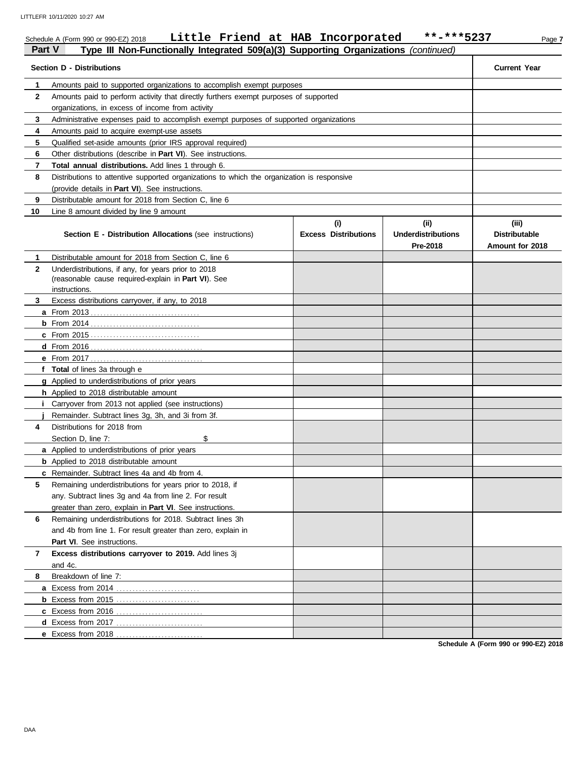|              | Little Friend at HAB Incorporated<br>Schedule A (Form 990 or 990-EZ) 2018                  |                             | **-***5237                            | Page 7                                  |
|--------------|--------------------------------------------------------------------------------------------|-----------------------------|---------------------------------------|-----------------------------------------|
| Part V       | Type III Non-Functionally Integrated 509(a)(3) Supporting Organizations (continued)        |                             |                                       |                                         |
|              | <b>Section D - Distributions</b>                                                           |                             |                                       | <b>Current Year</b>                     |
| 1            | Amounts paid to supported organizations to accomplish exempt purposes                      |                             |                                       |                                         |
| $\mathbf{2}$ | Amounts paid to perform activity that directly furthers exempt purposes of supported       |                             |                                       |                                         |
|              | organizations, in excess of income from activity                                           |                             |                                       |                                         |
| 3            | Administrative expenses paid to accomplish exempt purposes of supported organizations      |                             |                                       |                                         |
| 4            | Amounts paid to acquire exempt-use assets                                                  |                             |                                       |                                         |
| 5            | Qualified set-aside amounts (prior IRS approval required)                                  |                             |                                       |                                         |
| 6            | Other distributions (describe in Part VI). See instructions.                               |                             |                                       |                                         |
| 7            | Total annual distributions. Add lines 1 through 6.                                         |                             |                                       |                                         |
| 8            | Distributions to attentive supported organizations to which the organization is responsive |                             |                                       |                                         |
|              | (provide details in Part VI). See instructions.                                            |                             |                                       |                                         |
| 9            | Distributable amount for 2018 from Section C, line 6                                       |                             |                                       |                                         |
| 10           | Line 8 amount divided by line 9 amount                                                     |                             |                                       |                                         |
|              |                                                                                            | (i)                         | (ii)                                  | (iii)                                   |
|              | Section E - Distribution Allocations (see instructions)                                    | <b>Excess Distributions</b> | <b>Underdistributions</b><br>Pre-2018 | <b>Distributable</b><br>Amount for 2018 |
| 1.           | Distributable amount for 2018 from Section C, line 6                                       |                             |                                       |                                         |
| $\mathbf{2}$ | Underdistributions, if any, for years prior to 2018                                        |                             |                                       |                                         |
|              | (reasonable cause required-explain in Part VI). See                                        |                             |                                       |                                         |
|              | instructions.                                                                              |                             |                                       |                                         |
| 3            | Excess distributions carryover, if any, to 2018                                            |                             |                                       |                                         |
|              |                                                                                            |                             |                                       |                                         |
|              |                                                                                            |                             |                                       |                                         |
|              |                                                                                            |                             |                                       |                                         |
|              |                                                                                            |                             |                                       |                                         |
|              |                                                                                            |                             |                                       |                                         |
|              | f Total of lines 3a through e                                                              |                             |                                       |                                         |
|              | g Applied to underdistributions of prior years                                             |                             |                                       |                                         |
|              | h Applied to 2018 distributable amount                                                     |                             |                                       |                                         |
|              | <i>i</i> Carryover from 2013 not applied (see instructions)                                |                             |                                       |                                         |
|              | Remainder. Subtract lines 3g, 3h, and 3i from 3f.                                          |                             |                                       |                                         |
| 4            | Distributions for 2018 from                                                                |                             |                                       |                                         |
|              | Section D, line 7:<br>\$                                                                   |                             |                                       |                                         |
|              | a Applied to underdistributions of prior years                                             |                             |                                       |                                         |
|              | <b>b</b> Applied to 2018 distributable amount                                              |                             |                                       |                                         |
|              | c Remainder. Subtract lines 4a and 4b from 4.                                              |                             |                                       |                                         |
| 5            | Remaining underdistributions for years prior to 2018, if                                   |                             |                                       |                                         |
|              | any. Subtract lines 3g and 4a from line 2. For result                                      |                             |                                       |                                         |
|              | greater than zero, explain in Part VI. See instructions.                                   |                             |                                       |                                         |
| 6            | Remaining underdistributions for 2018. Subtract lines 3h                                   |                             |                                       |                                         |
|              | and 4b from line 1. For result greater than zero, explain in                               |                             |                                       |                                         |
|              | Part VI. See instructions.                                                                 |                             |                                       |                                         |
| 7            | Excess distributions carryover to 2019. Add lines 3j                                       |                             |                                       |                                         |
|              | and 4c.                                                                                    |                             |                                       |                                         |
| 8            | Breakdown of line 7:                                                                       |                             |                                       |                                         |
|              |                                                                                            |                             |                                       |                                         |
|              |                                                                                            |                             |                                       |                                         |
|              |                                                                                            |                             |                                       |                                         |
|              |                                                                                            |                             |                                       |                                         |
|              | e Excess from 2018                                                                         |                             |                                       |                                         |

**Schedule A (Form 990 or 990-EZ) 2018**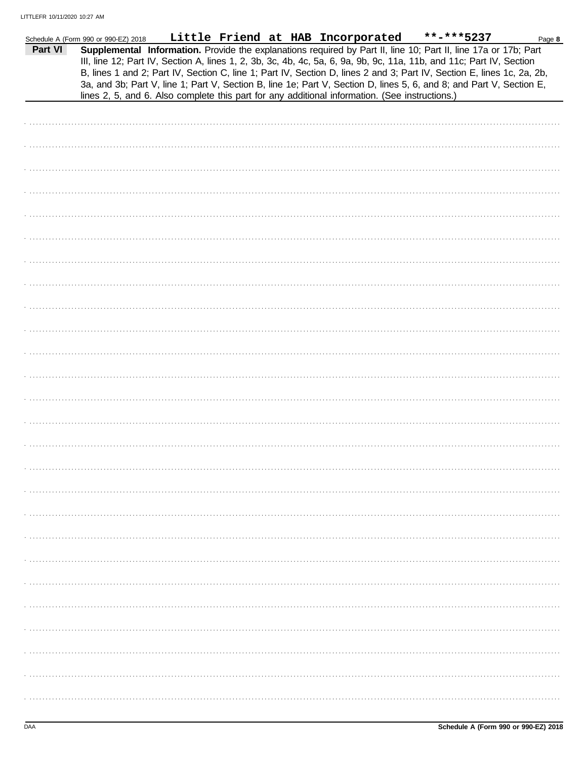|         | Schedule A (Form 990 or 990-EZ) 2018                                                           |  | Little Friend at HAB Incorporated | **-***5237                                                                                                                                                                                                                                                                                                                                                                                                                                                                                | Page 8 |
|---------|------------------------------------------------------------------------------------------------|--|-----------------------------------|-------------------------------------------------------------------------------------------------------------------------------------------------------------------------------------------------------------------------------------------------------------------------------------------------------------------------------------------------------------------------------------------------------------------------------------------------------------------------------------------|--------|
| Part VI | lines 2, 5, and 6. Also complete this part for any additional information. (See instructions.) |  |                                   | Supplemental Information. Provide the explanations required by Part II, line 10; Part II, line 17a or 17b; Part<br>III, line 12; Part IV, Section A, lines 1, 2, 3b, 3c, 4b, 4c, 5a, 6, 9a, 9b, 9c, 11a, 11b, and 11c; Part IV, Section<br>B, lines 1 and 2; Part IV, Section C, line 1; Part IV, Section D, lines 2 and 3; Part IV, Section E, lines 1c, 2a, 2b,<br>3a, and 3b; Part V, line 1; Part V, Section B, line 1e; Part V, Section D, lines 5, 6, and 8; and Part V, Section E, |        |
|         |                                                                                                |  |                                   |                                                                                                                                                                                                                                                                                                                                                                                                                                                                                           |        |
|         |                                                                                                |  |                                   |                                                                                                                                                                                                                                                                                                                                                                                                                                                                                           |        |
|         |                                                                                                |  |                                   |                                                                                                                                                                                                                                                                                                                                                                                                                                                                                           |        |
|         |                                                                                                |  |                                   |                                                                                                                                                                                                                                                                                                                                                                                                                                                                                           |        |
|         |                                                                                                |  |                                   |                                                                                                                                                                                                                                                                                                                                                                                                                                                                                           |        |
|         |                                                                                                |  |                                   |                                                                                                                                                                                                                                                                                                                                                                                                                                                                                           |        |
|         |                                                                                                |  |                                   |                                                                                                                                                                                                                                                                                                                                                                                                                                                                                           |        |
|         |                                                                                                |  |                                   |                                                                                                                                                                                                                                                                                                                                                                                                                                                                                           |        |
|         |                                                                                                |  |                                   |                                                                                                                                                                                                                                                                                                                                                                                                                                                                                           |        |
|         |                                                                                                |  |                                   |                                                                                                                                                                                                                                                                                                                                                                                                                                                                                           |        |
|         |                                                                                                |  |                                   |                                                                                                                                                                                                                                                                                                                                                                                                                                                                                           |        |
|         |                                                                                                |  |                                   |                                                                                                                                                                                                                                                                                                                                                                                                                                                                                           |        |
|         |                                                                                                |  |                                   |                                                                                                                                                                                                                                                                                                                                                                                                                                                                                           |        |
|         |                                                                                                |  |                                   |                                                                                                                                                                                                                                                                                                                                                                                                                                                                                           |        |
|         |                                                                                                |  |                                   |                                                                                                                                                                                                                                                                                                                                                                                                                                                                                           |        |
|         |                                                                                                |  |                                   |                                                                                                                                                                                                                                                                                                                                                                                                                                                                                           |        |
|         |                                                                                                |  |                                   |                                                                                                                                                                                                                                                                                                                                                                                                                                                                                           |        |
|         |                                                                                                |  |                                   |                                                                                                                                                                                                                                                                                                                                                                                                                                                                                           |        |
|         |                                                                                                |  |                                   |                                                                                                                                                                                                                                                                                                                                                                                                                                                                                           |        |
|         |                                                                                                |  |                                   |                                                                                                                                                                                                                                                                                                                                                                                                                                                                                           |        |
|         |                                                                                                |  |                                   |                                                                                                                                                                                                                                                                                                                                                                                                                                                                                           |        |
|         |                                                                                                |  |                                   |                                                                                                                                                                                                                                                                                                                                                                                                                                                                                           |        |
|         |                                                                                                |  |                                   |                                                                                                                                                                                                                                                                                                                                                                                                                                                                                           |        |
|         |                                                                                                |  |                                   |                                                                                                                                                                                                                                                                                                                                                                                                                                                                                           |        |
|         |                                                                                                |  |                                   |                                                                                                                                                                                                                                                                                                                                                                                                                                                                                           |        |
|         |                                                                                                |  |                                   |                                                                                                                                                                                                                                                                                                                                                                                                                                                                                           |        |
|         |                                                                                                |  |                                   |                                                                                                                                                                                                                                                                                                                                                                                                                                                                                           |        |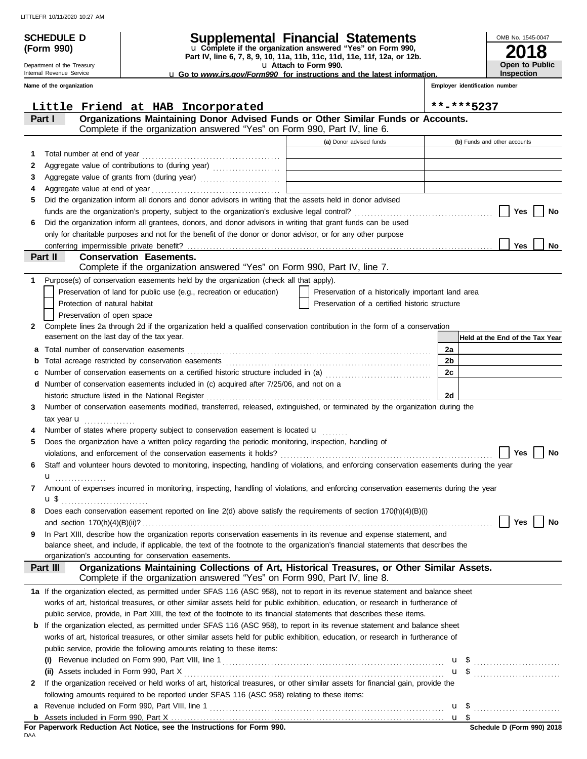**(Form 990)**

Department of the Treasury Internal Revenue Service **Name of the organization**

## **SCHEDULE D Supplemental Financial Statements**

**Part IV, line 6, 7, 8, 9, 10, 11a, 11b, 11c, 11d, 11e, 11f, 12a, or 12b.** u **Complete if the organization answered "Yes" on Form 990,**

u **Attach to Form 990.** 

u **Go to** *www.irs.gov/Form990* **for instructions and the latest information.**

**Employer identification number Inspection**

**2018**

**Open to Public**

OMB No. 1545-0047

|    | Little Friend at HAB Incorporated                                                                                                         |                                                    |                | **-***5237                      |
|----|-------------------------------------------------------------------------------------------------------------------------------------------|----------------------------------------------------|----------------|---------------------------------|
|    | Organizations Maintaining Donor Advised Funds or Other Similar Funds or Accounts.<br>Part I                                               |                                                    |                |                                 |
|    | Complete if the organization answered "Yes" on Form 990, Part IV, line 6.                                                                 |                                                    |                |                                 |
|    |                                                                                                                                           | (a) Donor advised funds                            |                | (b) Funds and other accounts    |
| 1  |                                                                                                                                           |                                                    |                |                                 |
| 2  |                                                                                                                                           |                                                    |                |                                 |
| З  |                                                                                                                                           | <u> 1980 - Johann Barbara, martin a</u>            |                |                                 |
| 4  |                                                                                                                                           |                                                    |                |                                 |
| 5  | Did the organization inform all donors and donor advisors in writing that the assets held in donor advised                                |                                                    |                |                                 |
|    |                                                                                                                                           |                                                    |                | Yes<br><b>No</b>                |
| 6  | Did the organization inform all grantees, donors, and donor advisors in writing that grant funds can be used                              |                                                    |                |                                 |
|    | only for charitable purposes and not for the benefit of the donor or donor advisor, or for any other purpose                              |                                                    |                |                                 |
|    |                                                                                                                                           |                                                    |                | <b>Yes</b><br>No                |
|    | Part II<br><b>Conservation Easements.</b>                                                                                                 |                                                    |                |                                 |
|    | Complete if the organization answered "Yes" on Form 990, Part IV, line 7.                                                                 |                                                    |                |                                 |
| 1. | Purpose(s) of conservation easements held by the organization (check all that apply).                                                     |                                                    |                |                                 |
|    | Preservation of land for public use (e.g., recreation or education)                                                                       | Preservation of a historically important land area |                |                                 |
|    | Protection of natural habitat                                                                                                             | Preservation of a certified historic structure     |                |                                 |
|    | Preservation of open space                                                                                                                |                                                    |                |                                 |
| 2  | Complete lines 2a through 2d if the organization held a qualified conservation contribution in the form of a conservation                 |                                                    |                |                                 |
|    | easement on the last day of the tax year.                                                                                                 |                                                    |                | Held at the End of the Tax Year |
| а  |                                                                                                                                           |                                                    | 2a             |                                 |
| b  |                                                                                                                                           |                                                    | 2 <sub>b</sub> |                                 |
| c  | Number of conservation easements on a certified historic structure included in (a) [[[[[[[[[[[[[[[[[[[[[[[[[]]]]]]]                       |                                                    | 2c             |                                 |
| d  | Number of conservation easements included in (c) acquired after 7/25/06, and not on a                                                     |                                                    |                |                                 |
|    | historic structure listed in the National Register                                                                                        |                                                    | 2d             |                                 |
| 3  | Number of conservation easements modified, transferred, released, extinguished, or terminated by the organization during the              |                                                    |                |                                 |
|    | tax year <b>u</b>                                                                                                                         |                                                    |                |                                 |
|    | Number of states where property subject to conservation easement is located u                                                             |                                                    |                |                                 |
| 5  | Does the organization have a written policy regarding the periodic monitoring, inspection, handling of                                    |                                                    |                |                                 |
|    |                                                                                                                                           |                                                    |                | <b>Yes</b><br>No                |
| 6  | Staff and volunteer hours devoted to monitoring, inspecting, handling of violations, and enforcing conservation easements during the year |                                                    |                |                                 |
|    | $\mathbf{u}$ . $\ldots$                                                                                                                   |                                                    |                |                                 |
| 7  | Amount of expenses incurred in monitoring, inspecting, handling of violations, and enforcing conservation easements during the year       |                                                    |                |                                 |
|    | $\mathbf{u} \mathbf{\$}$<br>.                                                                                                             |                                                    |                |                                 |
| 8  | Does each conservation easement reported on line 2(d) above satisfy the requirements of section 170(h)(4)(B)(i)                           |                                                    |                |                                 |
|    |                                                                                                                                           |                                                    |                |                                 |
| 9  | In Part XIII, describe how the organization reports conservation easements in its revenue and expense statement, and                      |                                                    |                |                                 |
|    | balance sheet, and include, if applicable, the text of the footnote to the organization's financial statements that describes the         |                                                    |                |                                 |
|    | organization's accounting for conservation easements.                                                                                     |                                                    |                |                                 |
|    | Organizations Maintaining Collections of Art, Historical Treasures, or Other Similar Assets.<br>Part III                                  |                                                    |                |                                 |
|    | Complete if the organization answered "Yes" on Form 990, Part IV, line 8.                                                                 |                                                    |                |                                 |
|    | 1a If the organization elected, as permitted under SFAS 116 (ASC 958), not to report in its revenue statement and balance sheet           |                                                    |                |                                 |
|    | works of art, historical treasures, or other similar assets held for public exhibition, education, or research in furtherance of          |                                                    |                |                                 |
|    | public service, provide, in Part XIII, the text of the footnote to its financial statements that describes these items.                   |                                                    |                |                                 |
|    | b If the organization elected, as permitted under SFAS 116 (ASC 958), to report in its revenue statement and balance sheet                |                                                    |                |                                 |
|    | works of art, historical treasures, or other similar assets held for public exhibition, education, or research in furtherance of          |                                                    |                |                                 |
|    | public service, provide the following amounts relating to these items:                                                                    |                                                    |                |                                 |
|    |                                                                                                                                           |                                                    | $u \,$ s       |                                 |
|    | (ii) Assets included in Form 990, Part X                                                                                                  |                                                    |                | $\mathbf{u}$ \$ $\ldots$        |
| 2  | If the organization received or held works of art, historical treasures, or other similar assets for financial gain, provide the          |                                                    |                |                                 |
|    | following amounts required to be reported under SFAS 116 (ASC 958) relating to these items:                                               |                                                    |                |                                 |
| a  |                                                                                                                                           |                                                    |                |                                 |
|    |                                                                                                                                           |                                                    |                |                                 |

|     |  |  |  | For Paperwork Reduction Act Notice, see the Instructions for Form 990. |  |  |
|-----|--|--|--|------------------------------------------------------------------------|--|--|
| DAA |  |  |  |                                                                        |  |  |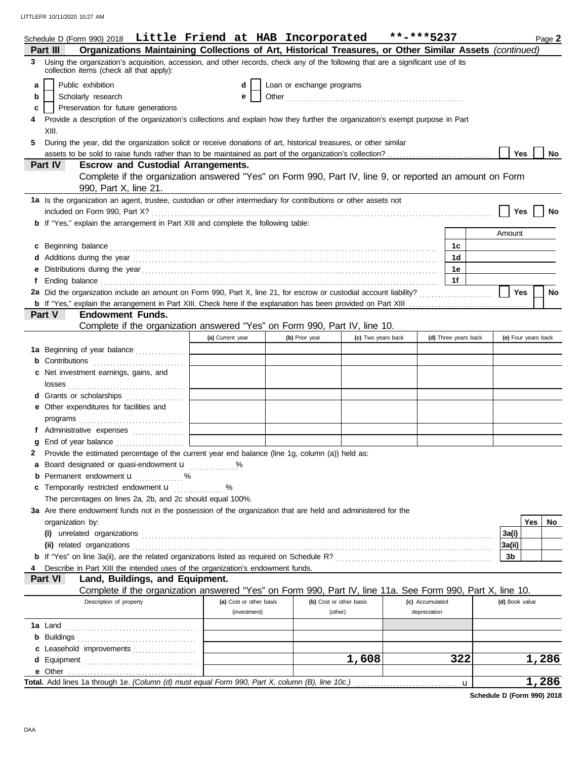|    | Schedule D (Form 990) 2018 Little Friend at HAB Incorporated                                                                                                                                                                         |                         |                           |                         | **-***5237      |                      |                     |     | Page 2 |
|----|--------------------------------------------------------------------------------------------------------------------------------------------------------------------------------------------------------------------------------------|-------------------------|---------------------------|-------------------------|-----------------|----------------------|---------------------|-----|--------|
|    | Organizations Maintaining Collections of Art, Historical Treasures, or Other Similar Assets (continued)<br>Part III                                                                                                                  |                         |                           |                         |                 |                      |                     |     |        |
| 3  | Using the organization's acquisition, accession, and other records, check any of the following that are a significant use of its<br>collection items (check all that apply):                                                         |                         |                           |                         |                 |                      |                     |     |        |
| a  | Public exhibition                                                                                                                                                                                                                    | d                       | Loan or exchange programs |                         |                 |                      |                     |     |        |
| b  | Scholarly research                                                                                                                                                                                                                   | е                       |                           |                         |                 |                      |                     |     |        |
| c  | Preservation for future generations                                                                                                                                                                                                  |                         |                           |                         |                 |                      |                     |     |        |
|    | Provide a description of the organization's collections and explain how they further the organization's exempt purpose in Part                                                                                                       |                         |                           |                         |                 |                      |                     |     |        |
|    | XIII.                                                                                                                                                                                                                                |                         |                           |                         |                 |                      |                     |     |        |
| 5. | During the year, did the organization solicit or receive donations of art, historical treasures, or other similar                                                                                                                    |                         |                           |                         |                 |                      |                     |     |        |
|    |                                                                                                                                                                                                                                      |                         |                           |                         |                 |                      | <b>Yes</b>          |     | No     |
|    | <b>Part IV</b><br><b>Escrow and Custodial Arrangements.</b>                                                                                                                                                                          |                         |                           |                         |                 |                      |                     |     |        |
|    | Complete if the organization answered "Yes" on Form 990, Part IV, line 9, or reported an amount on Form                                                                                                                              |                         |                           |                         |                 |                      |                     |     |        |
|    | 990, Part X, line 21.                                                                                                                                                                                                                |                         |                           |                         |                 |                      |                     |     |        |
|    | 1a Is the organization an agent, trustee, custodian or other intermediary for contributions or other assets not                                                                                                                      |                         |                           |                         |                 |                      |                     |     |        |
|    |                                                                                                                                                                                                                                      |                         |                           |                         |                 |                      | Yes                 |     | No     |
|    | b If "Yes," explain the arrangement in Part XIII and complete the following table:                                                                                                                                                   |                         |                           |                         |                 |                      |                     |     |        |
|    |                                                                                                                                                                                                                                      |                         |                           |                         |                 |                      | Amount              |     |        |
|    | c Beginning balance <b>contract the contract of the contract of the contract of the contract of the contract of the contract of the contract of the contract of the contract of the contract of the contract of the contract of </b> |                         |                           |                         |                 | 1с                   |                     |     |        |
|    |                                                                                                                                                                                                                                      |                         |                           |                         |                 | 1 <sub>d</sub>       |                     |     |        |
| е  |                                                                                                                                                                                                                                      |                         |                           |                         |                 | 1e                   |                     |     |        |
|    | Ending balance <b>constructs</b> and constructs and constructs and constructs and constructs and constructs and constructs and constructs and constructs and constructs and constructs and constructs and constructs and constructs  |                         |                           |                         |                 | 1f                   |                     |     |        |
|    | 2a Did the organization include an amount on Form 990, Part X, line 21, for escrow or custodial account liability?                                                                                                                   |                         |                           |                         |                 |                      | <b>Yes</b>          |     | No     |
|    |                                                                                                                                                                                                                                      |                         |                           |                         |                 |                      |                     |     |        |
|    | <b>Endowment Funds.</b><br><b>Part V</b>                                                                                                                                                                                             |                         |                           |                         |                 |                      |                     |     |        |
|    | Complete if the organization answered "Yes" on Form 990, Part IV, line 10.                                                                                                                                                           |                         |                           |                         |                 |                      |                     |     |        |
|    |                                                                                                                                                                                                                                      | (a) Current year        | (b) Prior year            | (c) Two years back      |                 | (d) Three years back | (e) Four years back |     |        |
|    | 1a Beginning of year balance                                                                                                                                                                                                         |                         |                           |                         |                 |                      |                     |     |        |
|    | <b>b</b> Contributions <b>contributions</b>                                                                                                                                                                                          |                         |                           |                         |                 |                      |                     |     |        |
|    | c Net investment earnings, gains, and                                                                                                                                                                                                |                         |                           |                         |                 |                      |                     |     |        |
|    |                                                                                                                                                                                                                                      |                         |                           |                         |                 |                      |                     |     |        |
|    | d Grants or scholarships                                                                                                                                                                                                             |                         |                           |                         |                 |                      |                     |     |        |
|    | e Other expenditures for facilities and                                                                                                                                                                                              |                         |                           |                         |                 |                      |                     |     |        |
|    |                                                                                                                                                                                                                                      |                         |                           |                         |                 |                      |                     |     |        |
|    | f Administrative expenses                                                                                                                                                                                                            |                         |                           |                         |                 |                      |                     |     |        |
|    |                                                                                                                                                                                                                                      |                         |                           |                         |                 |                      |                     |     |        |
|    | Provide the estimated percentage of the current year end balance (line 1g, column (a)) held as:                                                                                                                                      |                         |                           |                         |                 |                      |                     |     |        |
|    | a Board designated or quasi-endowment u                                                                                                                                                                                              |                         |                           |                         |                 |                      |                     |     |        |
|    | b Permanent endowment <b>u</b> %                                                                                                                                                                                                     |                         |                           |                         |                 |                      |                     |     |        |
|    | <b>c</b> Temporarily restricted endowment $\mathbf{u}$                                                                                                                                                                               | ℅                       |                           |                         |                 |                      |                     |     |        |
|    | The percentages on lines 2a, 2b, and 2c should equal 100%.                                                                                                                                                                           |                         |                           |                         |                 |                      |                     |     |        |
|    | 3a Are there endowment funds not in the possession of the organization that are held and administered for the                                                                                                                        |                         |                           |                         |                 |                      |                     |     |        |
|    | organization by:                                                                                                                                                                                                                     |                         |                           |                         |                 |                      |                     | Yes | No.    |
|    |                                                                                                                                                                                                                                      |                         |                           |                         |                 |                      | 3a(i)               |     |        |
|    |                                                                                                                                                                                                                                      |                         |                           |                         |                 |                      | 3a(ii)              |     |        |
|    |                                                                                                                                                                                                                                      |                         |                           |                         |                 |                      | 3b                  |     |        |
|    | Describe in Part XIII the intended uses of the organization's endowment funds.                                                                                                                                                       |                         |                           |                         |                 |                      |                     |     |        |
|    | Land, Buildings, and Equipment.<br>Part VI                                                                                                                                                                                           |                         |                           |                         |                 |                      |                     |     |        |
|    | Complete if the organization answered "Yes" on Form 990, Part IV, line 11a. See Form 990, Part X, line 10.                                                                                                                           |                         |                           |                         |                 |                      |                     |     |        |
|    | Description of property                                                                                                                                                                                                              | (a) Cost or other basis |                           | (b) Cost or other basis | (c) Accumulated |                      | (d) Book value      |     |        |
|    |                                                                                                                                                                                                                                      | (investment)            |                           | (other)                 | depreciation    |                      |                     |     |        |
|    |                                                                                                                                                                                                                                      |                         |                           |                         |                 |                      |                     |     |        |
|    |                                                                                                                                                                                                                                      |                         |                           |                         |                 |                      |                     |     |        |
|    | c Leasehold improvements                                                                                                                                                                                                             |                         |                           |                         |                 |                      |                     |     |        |
|    |                                                                                                                                                                                                                                      |                         |                           | 1,608                   |                 | 322                  |                     |     | 1,286  |
|    |                                                                                                                                                                                                                                      |                         |                           |                         |                 |                      |                     |     |        |
|    | Total. Add lines 1a through 1e. (Column (d) must equal Form 990, Part X, column (B), line 10c.)                                                                                                                                      |                         |                           |                         |                 | u                    |                     |     | 1,286  |

**Schedule D (Form 990) 2018**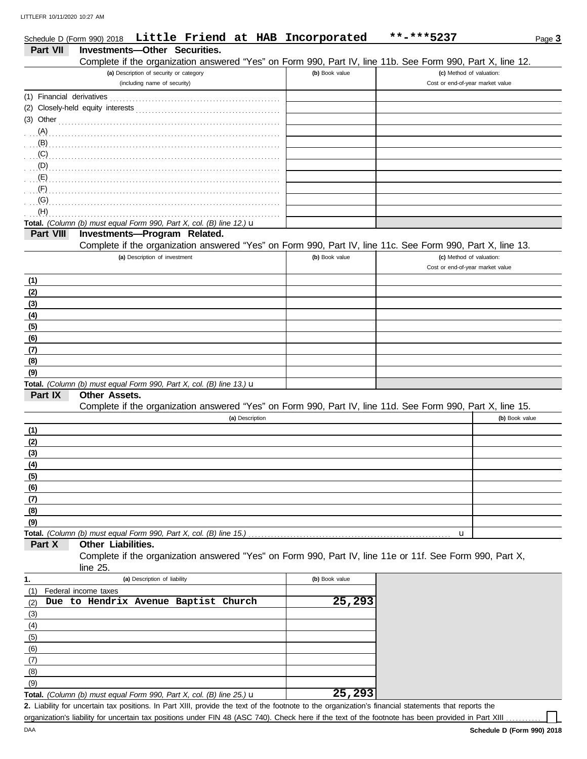|                           | Schedule D (Form 990) 2018 Little Friend at HAB Incorporated                                                                               |                | **-***5237                                                   | Page 3         |
|---------------------------|--------------------------------------------------------------------------------------------------------------------------------------------|----------------|--------------------------------------------------------------|----------------|
| Part VII                  | Investments-Other Securities.                                                                                                              |                |                                                              |                |
|                           | Complete if the organization answered "Yes" on Form 990, Part IV, line 11b. See Form 990, Part X, line 12.                                 |                |                                                              |                |
|                           | (a) Description of security or category<br>(including name of security)                                                                    | (b) Book value | (c) Method of valuation:<br>Cost or end-of-year market value |                |
|                           |                                                                                                                                            |                |                                                              |                |
| (1) Financial derivatives |                                                                                                                                            |                |                                                              |                |
| $(3)$ Other               |                                                                                                                                            |                |                                                              |                |
| (A)                       |                                                                                                                                            |                |                                                              |                |
| (B)                       |                                                                                                                                            |                |                                                              |                |
| (C)                       |                                                                                                                                            |                |                                                              |                |
| (D)                       |                                                                                                                                            |                |                                                              |                |
| (E)                       |                                                                                                                                            |                |                                                              |                |
| (F)                       |                                                                                                                                            |                |                                                              |                |
| (G)                       |                                                                                                                                            |                |                                                              |                |
| (H)                       |                                                                                                                                            |                |                                                              |                |
|                           | Total. (Column (b) must equal Form 990, Part X, col. (B) line 12.) $\mathbf u$                                                             |                |                                                              |                |
| Part VIII                 | Investments-Program Related.<br>Complete if the organization answered "Yes" on Form 990, Part IV, line 11c. See Form 990, Part X, line 13. |                |                                                              |                |
|                           | (a) Description of investment                                                                                                              | (b) Book value | (c) Method of valuation:                                     |                |
|                           |                                                                                                                                            |                | Cost or end-of-year market value                             |                |
| (1)                       |                                                                                                                                            |                |                                                              |                |
| (2)                       |                                                                                                                                            |                |                                                              |                |
| (3)                       |                                                                                                                                            |                |                                                              |                |
| (4)                       |                                                                                                                                            |                |                                                              |                |
| (5)                       |                                                                                                                                            |                |                                                              |                |
| (6)                       |                                                                                                                                            |                |                                                              |                |
| (7)                       |                                                                                                                                            |                |                                                              |                |
| (8)                       |                                                                                                                                            |                |                                                              |                |
| (9)                       |                                                                                                                                            |                |                                                              |                |
| Part IX                   | Total. (Column (b) must equal Form 990, Part X, col. (B) line 13.) u<br><b>Other Assets.</b>                                               |                |                                                              |                |
|                           | Complete if the organization answered "Yes" on Form 990, Part IV, line 11d. See Form 990, Part X, line 15.                                 |                |                                                              |                |
|                           | (a) Description                                                                                                                            |                |                                                              | (b) Book value |
| (1)                       |                                                                                                                                            |                |                                                              |                |
| (2)                       |                                                                                                                                            |                |                                                              |                |
| (3)                       |                                                                                                                                            |                |                                                              |                |
| (4)                       |                                                                                                                                            |                |                                                              |                |
| (5)                       |                                                                                                                                            |                |                                                              |                |
| (6)                       |                                                                                                                                            |                |                                                              |                |
| (7)                       |                                                                                                                                            |                |                                                              |                |
| (8)                       |                                                                                                                                            |                |                                                              |                |
| (9)                       |                                                                                                                                            |                |                                                              |                |
| Part X                    | Total. (Column (b) must equal Form 990, Part X, col. (B) line 15.)<br>Other Liabilities.                                                   |                | u                                                            |                |
|                           | Complete if the organization answered "Yes" on Form 990, Part IV, line 11e or 11f. See Form 990, Part X,                                   |                |                                                              |                |
|                           | line 25.                                                                                                                                   |                |                                                              |                |
| 1.                        | (a) Description of liability                                                                                                               | (b) Book value |                                                              |                |
| (1)                       | Federal income taxes                                                                                                                       |                |                                                              |                |
| (2)                       | Due to Hendrix Avenue Baptist Church                                                                                                       | 25,293         |                                                              |                |
| (3)                       |                                                                                                                                            |                |                                                              |                |
| (4)                       |                                                                                                                                            |                |                                                              |                |
| (5)                       |                                                                                                                                            |                |                                                              |                |
| (6)                       |                                                                                                                                            |                |                                                              |                |
| (7)                       |                                                                                                                                            |                |                                                              |                |
| (8)                       |                                                                                                                                            |                |                                                              |                |
| (9)                       |                                                                                                                                            |                |                                                              |                |
|                           | Total. (Column (b) must equal Form 990, Part X, col. (B) line 25.) $\mathbf u$                                                             | 25,293         |                                                              |                |

Liability for uncertain tax positions. In Part XIII, provide the text of the footnote to the organization's financial statements that reports the **2.** organization's liability for uncertain tax positions under FIN 48 (ASC 740). Check here if the text of the footnote has been provided in Part XIII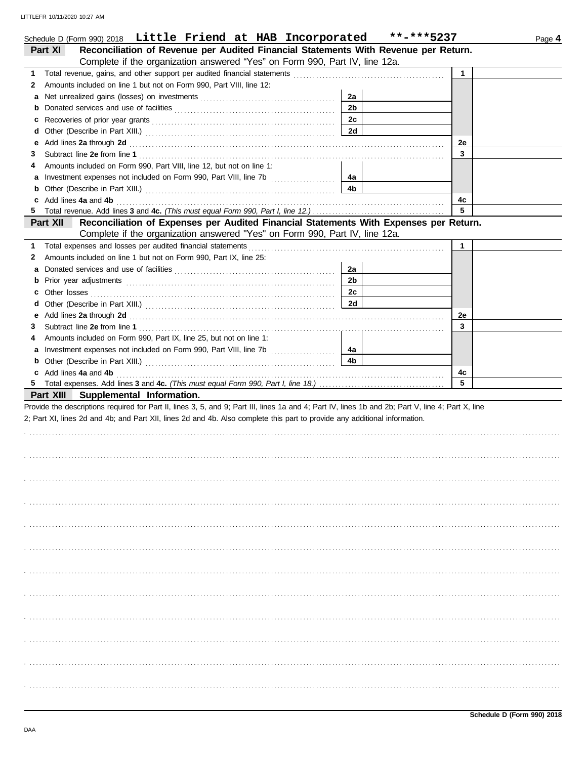|    | Schedule D (Form 990) 2018 Little Friend at HAB Incorporated                                                                                       |                | **-***5237 |              | Page 4 |
|----|----------------------------------------------------------------------------------------------------------------------------------------------------|----------------|------------|--------------|--------|
|    | Reconciliation of Revenue per Audited Financial Statements With Revenue per Return.<br>Part XI                                                     |                |            |              |        |
|    | Complete if the organization answered "Yes" on Form 990, Part IV, line 12a.                                                                        |                |            |              |        |
| 1  |                                                                                                                                                    |                |            | $\mathbf{1}$ |        |
| 2  | Amounts included on line 1 but not on Form 990, Part VIII, line 12:                                                                                |                |            |              |        |
| а  |                                                                                                                                                    | 2a             |            |              |        |
| b  |                                                                                                                                                    | 2 <sub>b</sub> |            |              |        |
| C  |                                                                                                                                                    | 2c             |            |              |        |
| d  |                                                                                                                                                    | 2d             |            |              |        |
| е  | Add lines 2a through 2d [11] Annual Material Add lines 2a through 2d [11] Add lines 2a through 2d [11] Add lines 2.                                |                |            | 2e           |        |
| З  |                                                                                                                                                    |                |            | 3            |        |
| 4  | Amounts included on Form 990, Part VIII, line 12, but not on line 1:                                                                               |                |            |              |        |
| а  |                                                                                                                                                    | 4а             |            |              |        |
| b  |                                                                                                                                                    | 4b             |            |              |        |
| c  | Add lines 4a and 4b                                                                                                                                |                |            | 4c           |        |
| 5. |                                                                                                                                                    |                |            | 5            |        |
|    | Reconciliation of Expenses per Audited Financial Statements With Expenses per Return.<br>Part XII                                                  |                |            |              |        |
|    | Complete if the organization answered "Yes" on Form 990, Part IV, line 12a.                                                                        |                |            |              |        |
| 1. |                                                                                                                                                    |                |            | 1            |        |
| 2  | Amounts included on line 1 but not on Form 990, Part IX, line 25:                                                                                  |                |            |              |        |
| а  |                                                                                                                                                    | 2a             |            |              |        |
|    |                                                                                                                                                    | 2 <sub>b</sub> |            |              |        |
|    |                                                                                                                                                    | 2c             |            |              |        |
|    |                                                                                                                                                    | 2d             |            |              |        |
|    |                                                                                                                                                    |                |            |              |        |
|    | e Add lines 2a through 2d (and the contract of the contract of the contract of the contract of the contract of                                     |                |            | 2e<br>3      |        |
| 3  |                                                                                                                                                    |                |            |              |        |
| 4  | Amounts included on Form 990, Part IX, line 25, but not on line 1:                                                                                 |                |            |              |        |
| a  |                                                                                                                                                    | 4а             |            |              |        |
| b  |                                                                                                                                                    | 4b             |            |              |        |
|    | c Add lines 4a and 4b                                                                                                                              |                |            | 4c           |        |
|    |                                                                                                                                                    |                |            | 5            |        |
|    | Part XIII Supplemental Information.                                                                                                                |                |            |              |        |
|    | Provide the descriptions required for Part II, lines 3, 5, and 9; Part III, lines 1a and 4; Part IV, lines 1b and 2b; Part V, line 4; Part X, line |                |            |              |        |
|    | 2; Part XI, lines 2d and 4b; and Part XII, lines 2d and 4b. Also complete this part to provide any additional information.                         |                |            |              |        |
|    |                                                                                                                                                    |                |            |              |        |
|    |                                                                                                                                                    |                |            |              |        |
|    |                                                                                                                                                    |                |            |              |        |
|    |                                                                                                                                                    |                |            |              |        |
|    |                                                                                                                                                    |                |            |              |        |
|    |                                                                                                                                                    |                |            |              |        |
|    |                                                                                                                                                    |                |            |              |        |
|    |                                                                                                                                                    |                |            |              |        |
|    |                                                                                                                                                    |                |            |              |        |
|    |                                                                                                                                                    |                |            |              |        |
|    |                                                                                                                                                    |                |            |              |        |
|    |                                                                                                                                                    |                |            |              |        |
|    |                                                                                                                                                    |                |            |              |        |
|    |                                                                                                                                                    |                |            |              |        |
|    |                                                                                                                                                    |                |            |              |        |
|    |                                                                                                                                                    |                |            |              |        |
|    |                                                                                                                                                    |                |            |              |        |
|    |                                                                                                                                                    |                |            |              |        |
|    |                                                                                                                                                    |                |            |              |        |
|    |                                                                                                                                                    |                |            |              |        |
|    |                                                                                                                                                    |                |            |              |        |
|    |                                                                                                                                                    |                |            |              |        |
|    |                                                                                                                                                    |                |            |              |        |
|    |                                                                                                                                                    |                |            |              |        |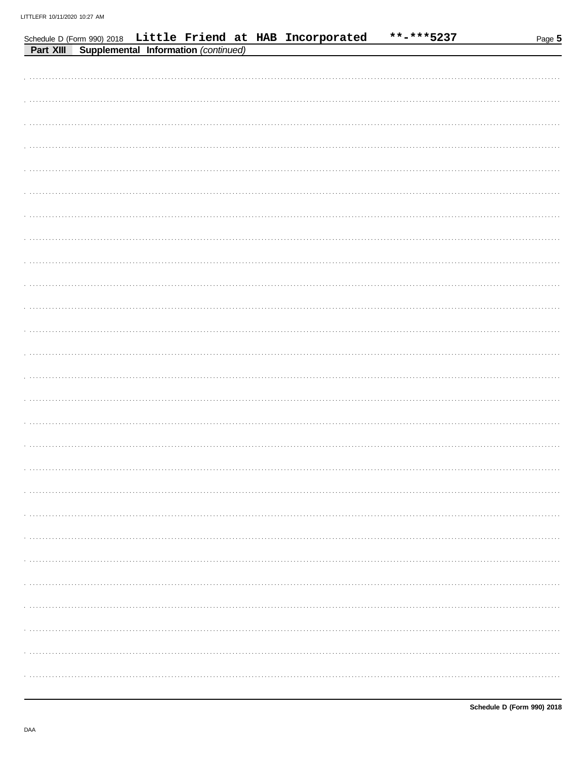|  |  | Schedule D (Form 990) 2018 Little Friend at HAB Incorporated<br>Part XIII Supplemental Information (continued) | **-***5237 | Page 5 |
|--|--|----------------------------------------------------------------------------------------------------------------|------------|--------|
|  |  |                                                                                                                |            |        |
|  |  |                                                                                                                |            |        |
|  |  |                                                                                                                |            |        |
|  |  |                                                                                                                |            |        |
|  |  |                                                                                                                |            |        |
|  |  |                                                                                                                |            |        |
|  |  |                                                                                                                |            |        |
|  |  |                                                                                                                |            |        |
|  |  |                                                                                                                |            |        |
|  |  |                                                                                                                |            |        |
|  |  |                                                                                                                |            |        |
|  |  |                                                                                                                |            |        |
|  |  |                                                                                                                |            |        |
|  |  |                                                                                                                |            |        |
|  |  |                                                                                                                |            |        |
|  |  |                                                                                                                |            |        |
|  |  |                                                                                                                |            |        |
|  |  |                                                                                                                |            |        |
|  |  |                                                                                                                |            |        |
|  |  |                                                                                                                |            |        |
|  |  |                                                                                                                |            |        |
|  |  |                                                                                                                |            |        |
|  |  |                                                                                                                |            |        |
|  |  |                                                                                                                |            | .      |
|  |  |                                                                                                                |            |        |
|  |  |                                                                                                                |            |        |
|  |  |                                                                                                                |            |        |
|  |  |                                                                                                                |            |        |
|  |  |                                                                                                                |            |        |
|  |  |                                                                                                                |            |        |
|  |  |                                                                                                                |            |        |
|  |  |                                                                                                                |            |        |
|  |  |                                                                                                                |            |        |
|  |  |                                                                                                                |            |        |
|  |  |                                                                                                                |            |        |
|  |  |                                                                                                                |            |        |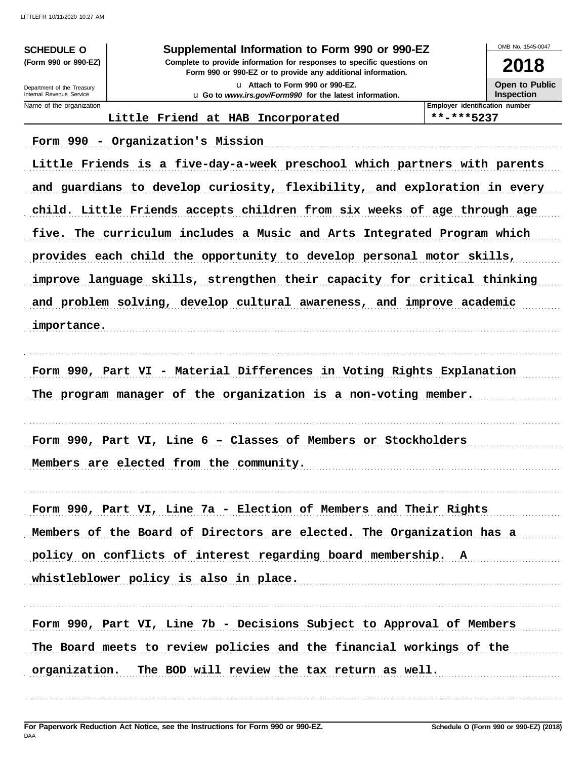**SCHEDULE O** (Form 990 or 990-EZ)

#### Supplemental Information to Form 990 or 990-EZ

Complete to provide information for responses to specific questions on Form 990 or 990-EZ or to provide any additional information. u Attach to Form 990 or 990-EZ.

u Go to www.irs.gov/Form990 for the latest information.

OMB No. 1545-0047

2018 Open to Public

Inspection

Department of the Treasury<br>Internal Revenue Service Name of the organization

Little Friend at HAB Incorporated

Employer identification number \*\*-\*\*\*5237

| Form 990 - Organization's Mission                                         |
|---------------------------------------------------------------------------|
| Little Friends is a five-day-a-week preschool which partners with parents |
| and guardians to develop curiosity, flexibility, and exploration in every |
| child. Little Friends accepts children from six weeks of age through age  |
| five. The curriculum includes a Music and Arts Integrated Program which   |
| provides each child the opportunity to develop personal motor skills,     |
| improve language skills, strengthen their capacity for critical thinking  |
| and problem solving, develop cultural awareness, and improve academic     |
| importance.                                                               |
|                                                                           |
| Form 990, Part VI - Material Differences in Voting Rights Explanation     |
| The program manager of the organization is a non-voting member.           |
|                                                                           |
| Form 990, Part VI, Line 6 - Classes of Members or Stockholders            |
| Members are elected from the community.                                   |
|                                                                           |
| Form 990, Part VI, Line 7a - Election of Members and Their Rights         |
| Members of the Board of Directors are elected. The Organization has a     |
| policy on conflicts of interest regarding board membership. A             |
| whistleblower policy is also in place.                                    |
|                                                                           |
| Form 990, Part VI, Line 7b - Decisions Subject to Approval of Members     |
| The Board meets to review policies and the financial workings of the      |
| organization. The BOD will review the tax return as well.                 |
|                                                                           |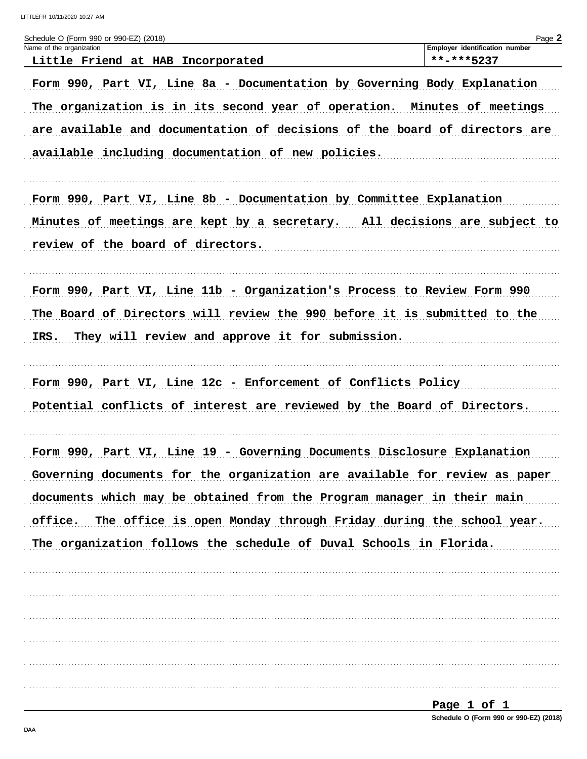| Schedule O (Form 990 or 990-EZ) (2018)                                      | Page 2                                       |
|-----------------------------------------------------------------------------|----------------------------------------------|
| Name of the organization<br>Little Friend at HAB Incorporated               | Employer identification number<br>**-***5237 |
| Form 990, Part VI, Line 8a - Documentation by Governing Body Explanation    |                                              |
| The organization is in its second year of operation. Minutes of meetings    |                                              |
| are available and documentation of decisions of the board of directors are  |                                              |
| available including documentation of new policies.                          |                                              |
| Form 990, Part VI, Line 8b - Documentation by Committee Explanation         |                                              |
| Minutes of meetings are kept by a secretary. All decisions are subject to   |                                              |
| review of the board of directors.                                           |                                              |
| Form 990, Part VI, Line 11b - Organization's Process to Review Form 990     |                                              |
| The Board of Directors will review the 990 before it is submitted to the    |                                              |
| They will review and approve it for submission.<br>IRS.                     |                                              |
| Form 990, Part VI, Line 12c - Enforcement of Conflicts Policy               |                                              |
| Potential conflicts of interest are reviewed by the Board of Directors.     |                                              |
| Form 990, Part VI, Line 19 - Governing Documents Disclosure Explanation     |                                              |
| Governing documents for the organization are available for review as paper  |                                              |
| documents which may be obtained from the Program manager in their main      |                                              |
| The office is open Monday through Friday during the school year.<br>office. |                                              |
| The organization follows the schedule of Duval Schools in Florida.          |                                              |
|                                                                             |                                              |
|                                                                             |                                              |
|                                                                             |                                              |
|                                                                             |                                              |
|                                                                             |                                              |
|                                                                             |                                              |

Page 1 of 1 Schedule O (Form 990 or 990-EZ) (2018)